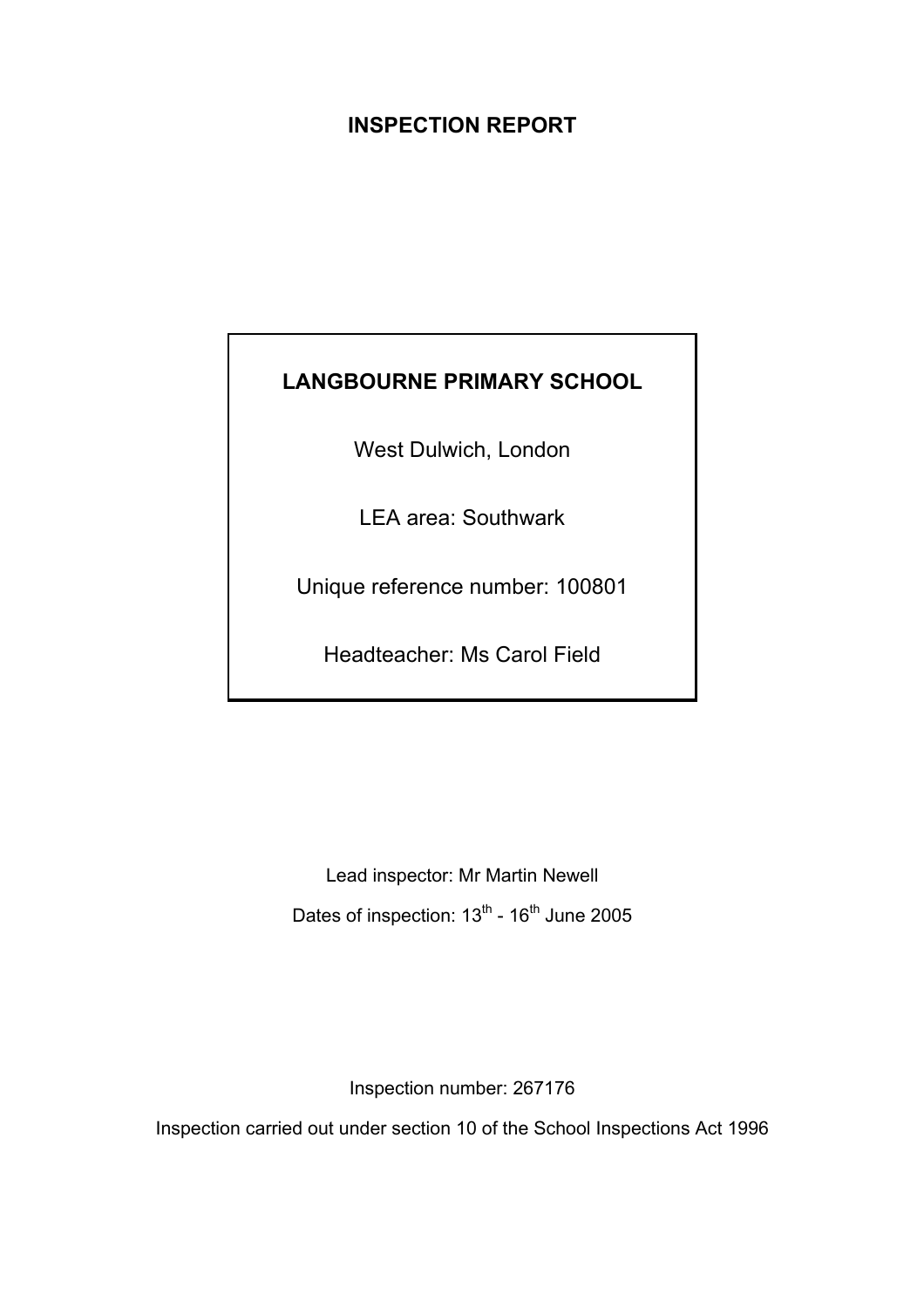# **INSPECTION REPORT**

# **LANGBOURNE PRIMARY SCHOOL**

West Dulwich, London

LEA area: Southwark

Unique reference number: 100801

Headteacher: Ms Carol Field

Lead inspector: Mr Martin Newell Dates of inspection: 13<sup>th</sup> - 16<sup>th</sup> June 2005

Inspection number: 267176

Inspection carried out under section 10 of the School Inspections Act 1996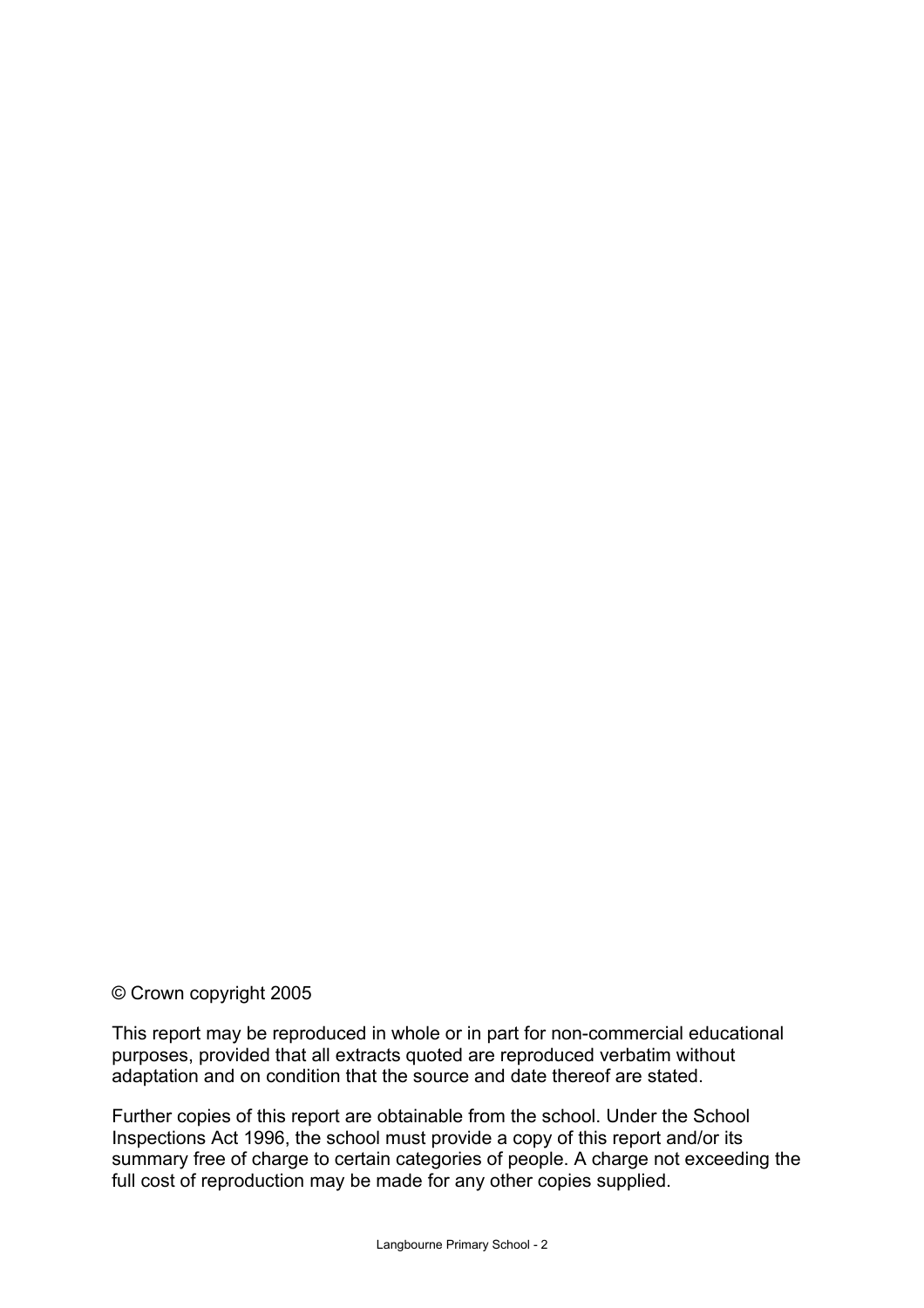## © Crown copyright 2005

This report may be reproduced in whole or in part for non-commercial educational purposes, provided that all extracts quoted are reproduced verbatim without adaptation and on condition that the source and date thereof are stated.

Further copies of this report are obtainable from the school. Under the School Inspections Act 1996, the school must provide a copy of this report and/or its summary free of charge to certain categories of people. A charge not exceeding the full cost of reproduction may be made for any other copies supplied.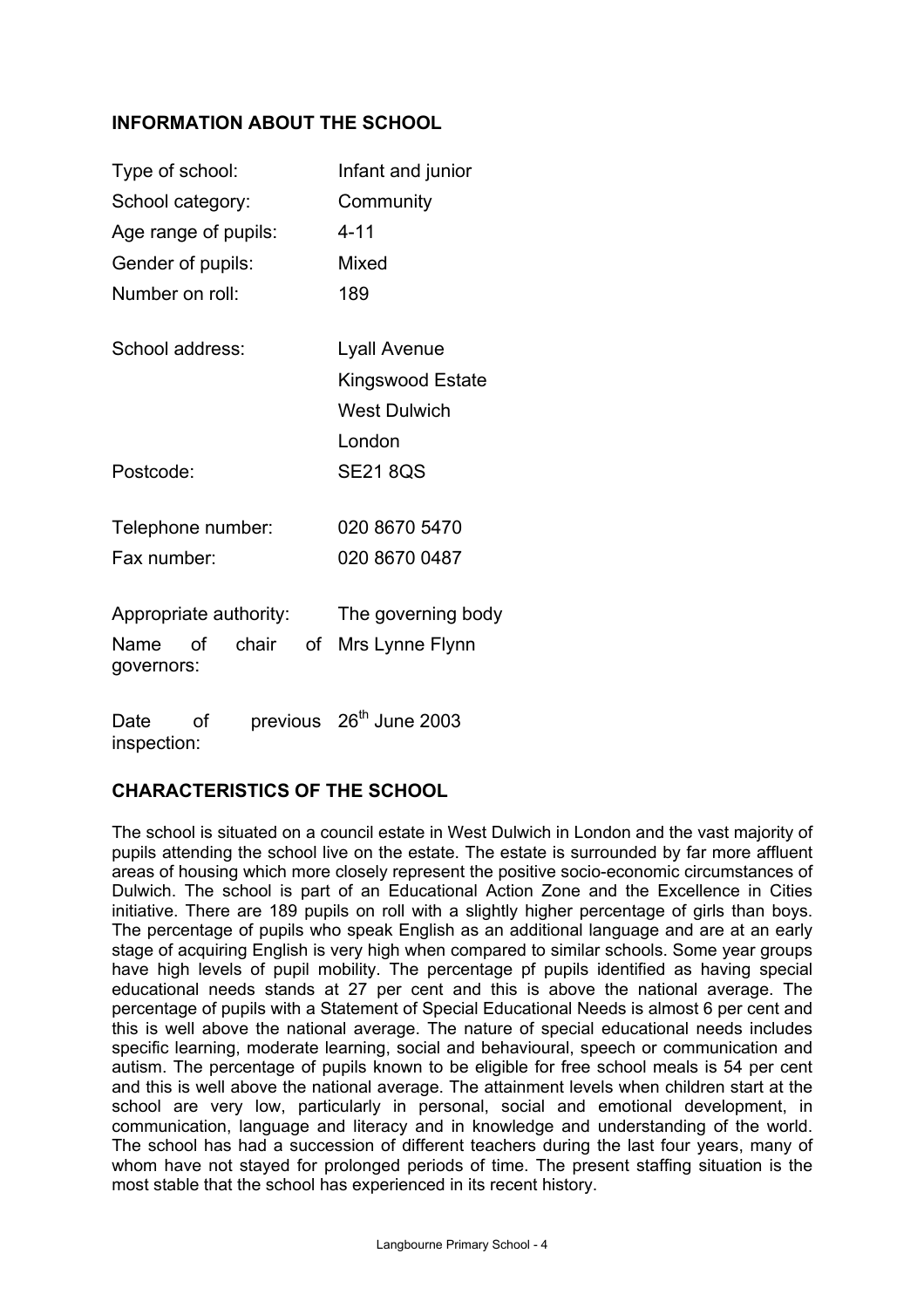## **INFORMATION ABOUT THE SCHOOL**

| Type of school:                      | Infant and junior   |
|--------------------------------------|---------------------|
| School category:                     | Community           |
| Age range of pupils:                 | $4 - 11$            |
| Gender of pupils:                    | Mixed               |
| Number on roll:                      | 189                 |
| School address:                      | Lyall Avenue        |
|                                      | Kingswood Estate    |
|                                      | <b>West Dulwich</b> |
|                                      | London              |
| Postcode:                            | <b>SE21 8QS</b>     |
| Telephone number:                    | 020 8670 5470       |
| Fax number:                          | 020 8670 0487       |
| Appropriate authority:               | The governing body  |
| of chair<br>of<br>Name<br>governors: | Mrs Lynne Flynn     |
|                                      |                     |

Date of previous 26<sup>th</sup> June 2003 inspection:

# **CHARACTERISTICS OF THE SCHOOL**

The school is situated on a council estate in West Dulwich in London and the vast majority of pupils attending the school live on the estate. The estate is surrounded by far more affluent areas of housing which more closely represent the positive socio-economic circumstances of Dulwich. The school is part of an Educational Action Zone and the Excellence in Cities initiative. There are 189 pupils on roll with a slightly higher percentage of girls than boys. The percentage of pupils who speak English as an additional language and are at an early stage of acquiring English is very high when compared to similar schools. Some year groups have high levels of pupil mobility. The percentage pf pupils identified as having special educational needs stands at 27 per cent and this is above the national average. The percentage of pupils with a Statement of Special Educational Needs is almost 6 per cent and this is well above the national average. The nature of special educational needs includes specific learning, moderate learning, social and behavioural, speech or communication and autism. The percentage of pupils known to be eligible for free school meals is 54 per cent and this is well above the national average. The attainment levels when children start at the school are very low, particularly in personal, social and emotional development, in communication, language and literacy and in knowledge and understanding of the world. The school has had a succession of different teachers during the last four years, many of whom have not stayed for prolonged periods of time. The present staffing situation is the most stable that the school has experienced in its recent history.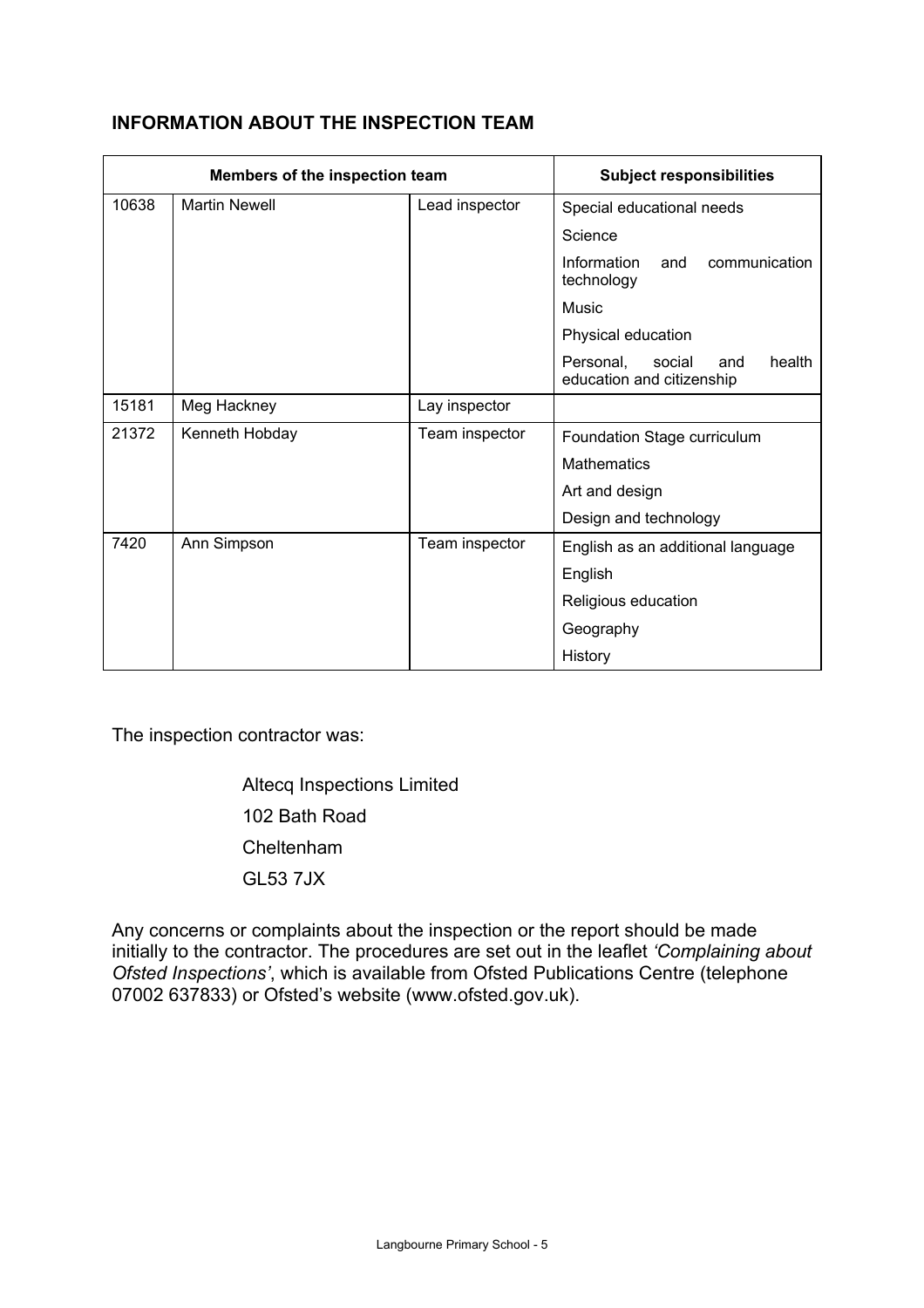|       | Members of the inspection team |                | <b>Subject responsibilities</b>                                   |
|-------|--------------------------------|----------------|-------------------------------------------------------------------|
| 10638 | <b>Martin Newell</b>           | Lead inspector | Special educational needs                                         |
|       |                                |                | Science                                                           |
|       |                                |                | Information<br>and<br>communication<br>technology                 |
|       |                                |                | Music                                                             |
|       |                                |                | Physical education                                                |
|       |                                |                | health<br>Personal,<br>social<br>and<br>education and citizenship |
| 15181 | Meg Hackney                    | Lay inspector  |                                                                   |
| 21372 | Kenneth Hobday                 | Team inspector | Foundation Stage curriculum                                       |
|       |                                |                | <b>Mathematics</b>                                                |
|       |                                |                | Art and design                                                    |
|       |                                |                | Design and technology                                             |
| 7420  | Ann Simpson                    | Team inspector | English as an additional language                                 |
|       |                                |                | English                                                           |
|       |                                |                | Religious education                                               |
|       |                                |                | Geography                                                         |

# **INFORMATION ABOUT THE INSPECTION TEAM**

The inspection contractor was:

 Altecq Inspections Limited 102 Bath Road Cheltenham GL53 7JX

Any concerns or complaints about the inspection or the report should be made initially to the contractor. The procedures are set out in the leaflet *'Complaining about Ofsted Inspections'*, which is available from Ofsted Publications Centre (telephone 07002 637833) or Ofsted's website (www.ofsted.gov.uk).

**History**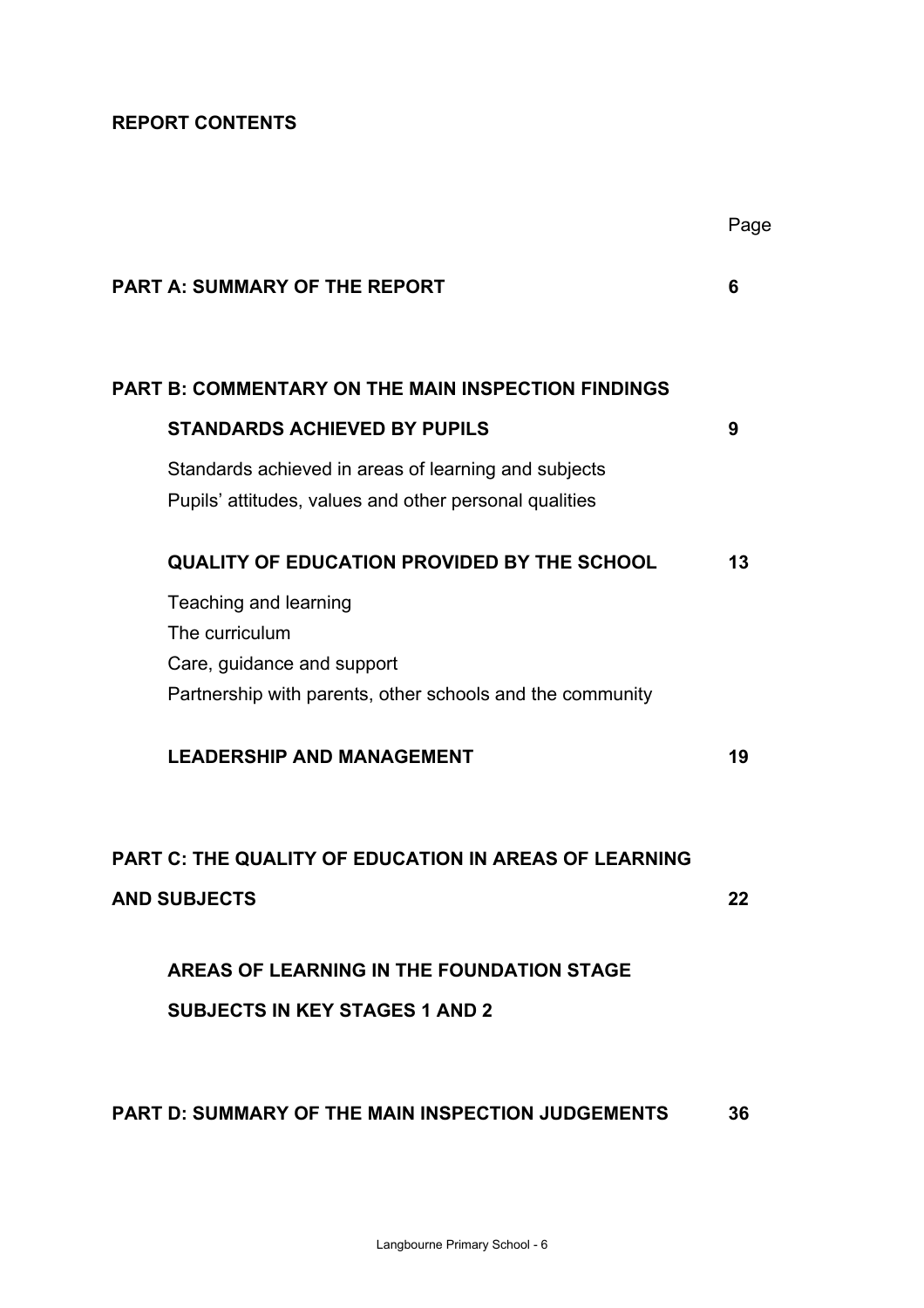# **REPORT CONTENTS**

|                                                                                                                | Page |
|----------------------------------------------------------------------------------------------------------------|------|
| <b>PART A: SUMMARY OF THE REPORT</b>                                                                           | 6    |
| <b>PART B: COMMENTARY ON THE MAIN INSPECTION FINDINGS</b>                                                      |      |
| <b>STANDARDS ACHIEVED BY PUPILS</b>                                                                            | 9    |
| Standards achieved in areas of learning and subjects<br>Pupils' attitudes, values and other personal qualities |      |
| <b>QUALITY OF EDUCATION PROVIDED BY THE SCHOOL</b>                                                             | 13   |
| Teaching and learning                                                                                          |      |
| The curriculum                                                                                                 |      |
| Care, guidance and support                                                                                     |      |
| Partnership with parents, other schools and the community                                                      |      |
| <b>LEADERSHIP AND MANAGEMENT</b>                                                                               | 19   |
| <b>PART C: THE QUALITY OF EDUCATION IN AREAS OF LEARNING</b>                                                   |      |
| <b>AND SUBJECTS</b>                                                                                            | 22   |
| AREAS OF LEARNING IN THE FOUNDATION STAGE                                                                      |      |
| <b>SUBJECTS IN KEY STAGES 1 AND 2</b>                                                                          |      |
| <b>PART D: SUMMARY OF THE MAIN INSPECTION JUDGEMENTS</b>                                                       | 36   |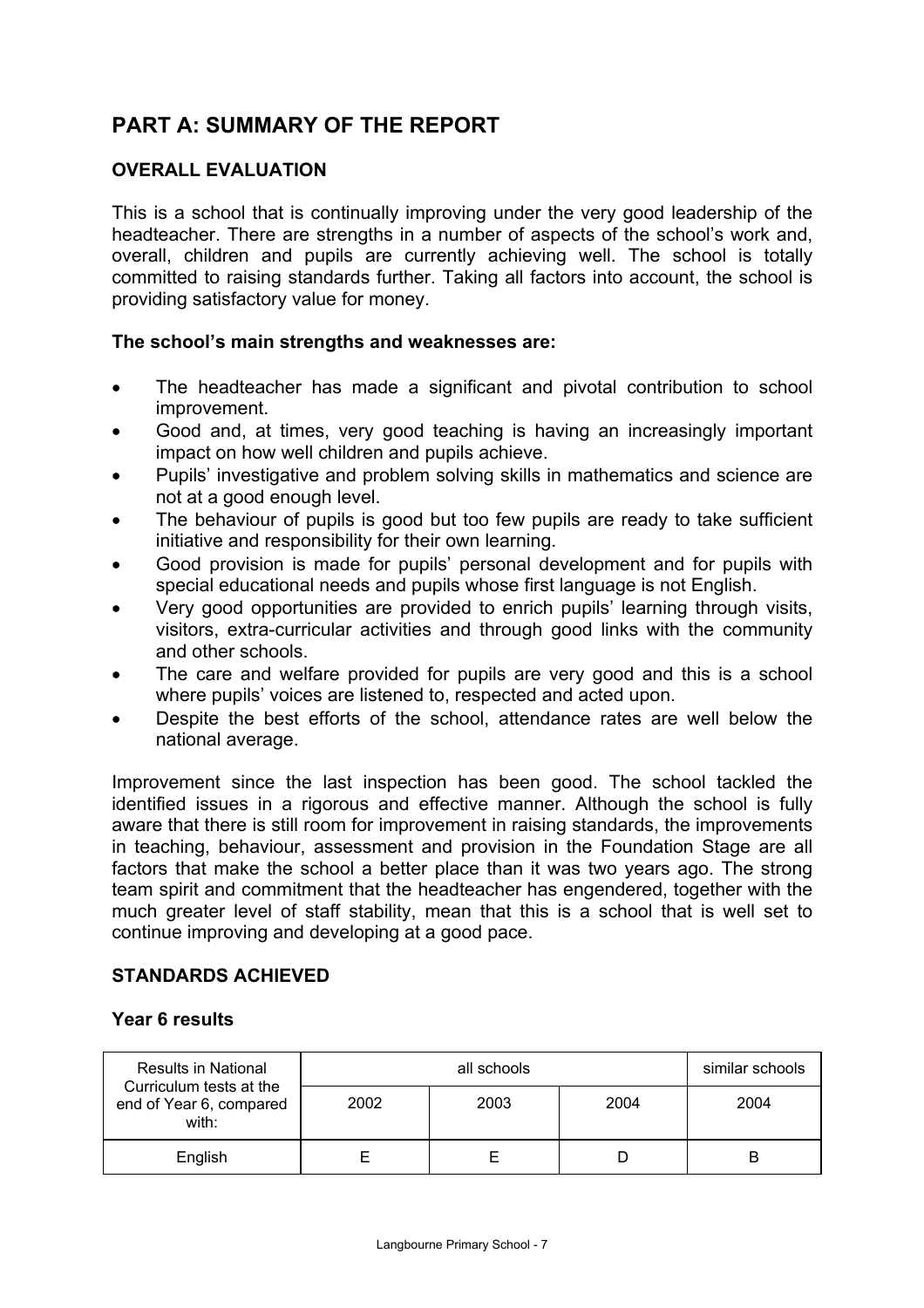# **PART A: SUMMARY OF THE REPORT**

## **OVERALL EVALUATION**

This is a school that is continually improving under the very good leadership of the headteacher. There are strengths in a number of aspects of the school's work and, overall, children and pupils are currently achieving well. The school is totally committed to raising standards further. Taking all factors into account, the school is providing satisfactory value for money.

## **The school's main strengths and weaknesses are:**

- The headteacher has made a significant and pivotal contribution to school improvement.
- Good and, at times, very good teaching is having an increasingly important impact on how well children and pupils achieve.
- Pupils' investigative and problem solving skills in mathematics and science are not at a good enough level.
- The behaviour of pupils is good but too few pupils are ready to take sufficient initiative and responsibility for their own learning.
- Good provision is made for pupils' personal development and for pupils with special educational needs and pupils whose first language is not English.
- Very good opportunities are provided to enrich pupils' learning through visits, visitors, extra-curricular activities and through good links with the community and other schools.
- The care and welfare provided for pupils are very good and this is a school where pupils' voices are listened to, respected and acted upon.
- Despite the best efforts of the school, attendance rates are well below the national average.

Improvement since the last inspection has been good. The school tackled the identified issues in a rigorous and effective manner. Although the school is fully aware that there is still room for improvement in raising standards, the improvements in teaching, behaviour, assessment and provision in the Foundation Stage are all factors that make the school a better place than it was two years ago. The strong team spirit and commitment that the headteacher has engendered, together with the much greater level of staff stability, mean that this is a school that is well set to continue improving and developing at a good pace.

## **STANDARDS ACHIEVED**

## **Year 6 results**

| <b>Results in National</b>                                  |      | similar schools |      |      |
|-------------------------------------------------------------|------|-----------------|------|------|
| Curriculum tests at the<br>end of Year 6, compared<br>with: | 2002 | 2003            | 2004 | 2004 |
| English                                                     |      |                 |      | B    |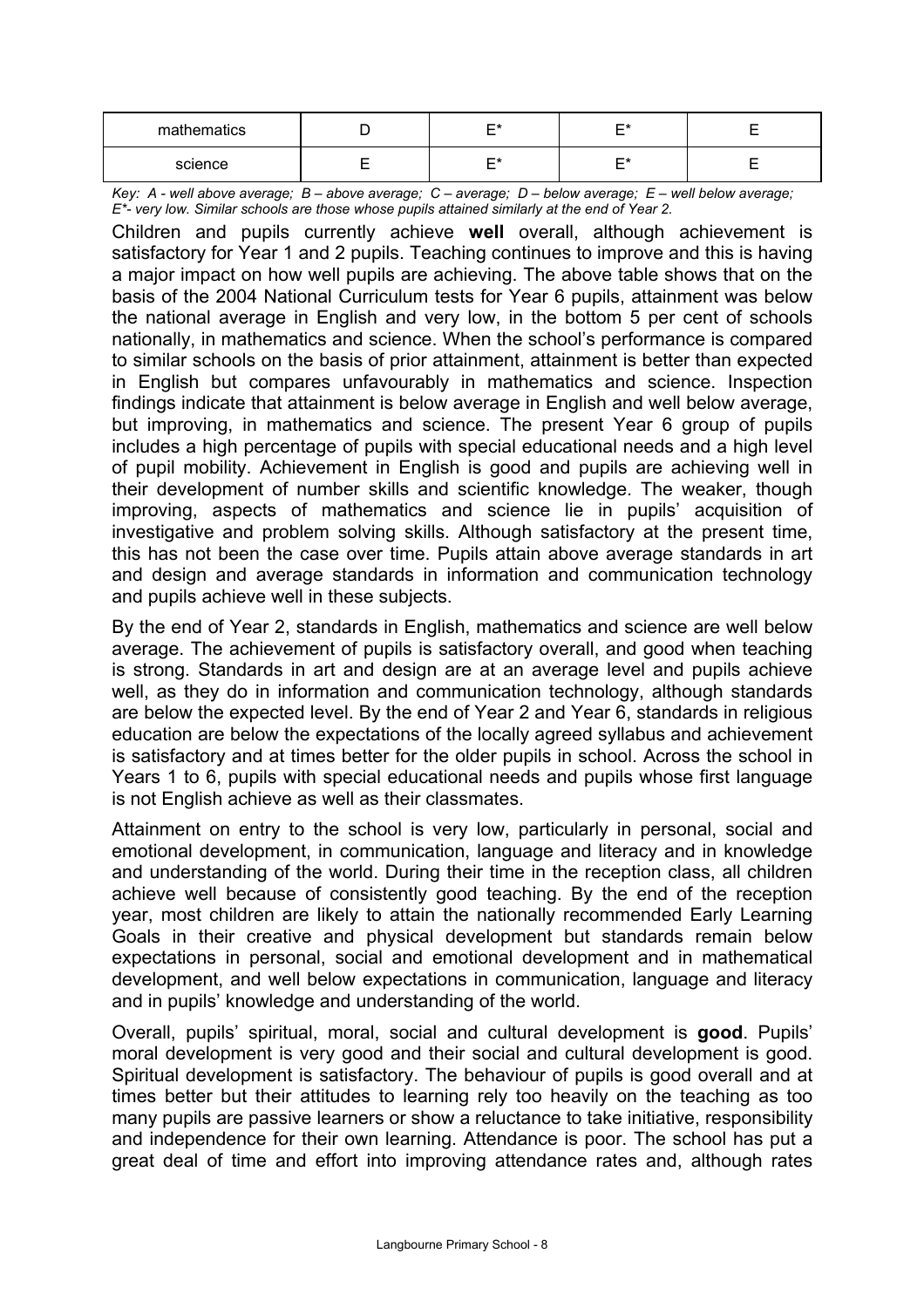| mathematics | --<br>⊏∗<br>– | r* |  |
|-------------|---------------|----|--|
| science     | ⊏∗<br>-       | ⊷  |  |

*Key: A - well above average; B – above average; C – average; D – below average; E – well below average; E\*- very low. Similar schools are those whose pupils attained similarly at the end of Year 2.* 

Children and pupils currently achieve **well** overall, although achievement is satisfactory for Year 1 and 2 pupils. Teaching continues to improve and this is having a major impact on how well pupils are achieving. The above table shows that on the basis of the 2004 National Curriculum tests for Year 6 pupils, attainment was below the national average in English and very low, in the bottom 5 per cent of schools nationally, in mathematics and science. When the school's performance is compared to similar schools on the basis of prior attainment, attainment is better than expected in English but compares unfavourably in mathematics and science. Inspection findings indicate that attainment is below average in English and well below average, but improving, in mathematics and science. The present Year 6 group of pupils includes a high percentage of pupils with special educational needs and a high level of pupil mobility. Achievement in English is good and pupils are achieving well in their development of number skills and scientific knowledge. The weaker, though improving, aspects of mathematics and science lie in pupils' acquisition of investigative and problem solving skills. Although satisfactory at the present time, this has not been the case over time. Pupils attain above average standards in art and design and average standards in information and communication technology and pupils achieve well in these subjects.

By the end of Year 2, standards in English, mathematics and science are well below average. The achievement of pupils is satisfactory overall, and good when teaching is strong. Standards in art and design are at an average level and pupils achieve well, as they do in information and communication technology, although standards are below the expected level. By the end of Year 2 and Year 6, standards in religious education are below the expectations of the locally agreed syllabus and achievement is satisfactory and at times better for the older pupils in school. Across the school in Years 1 to 6, pupils with special educational needs and pupils whose first language is not English achieve as well as their classmates.

Attainment on entry to the school is very low, particularly in personal, social and emotional development, in communication, language and literacy and in knowledge and understanding of the world. During their time in the reception class, all children achieve well because of consistently good teaching. By the end of the reception year, most children are likely to attain the nationally recommended Early Learning Goals in their creative and physical development but standards remain below expectations in personal, social and emotional development and in mathematical development, and well below expectations in communication, language and literacy and in pupils' knowledge and understanding of the world.

Overall, pupils' spiritual, moral, social and cultural development is **good**. Pupils' moral development is very good and their social and cultural development is good. Spiritual development is satisfactory. The behaviour of pupils is good overall and at times better but their attitudes to learning rely too heavily on the teaching as too many pupils are passive learners or show a reluctance to take initiative, responsibility and independence for their own learning. Attendance is poor. The school has put a great deal of time and effort into improving attendance rates and, although rates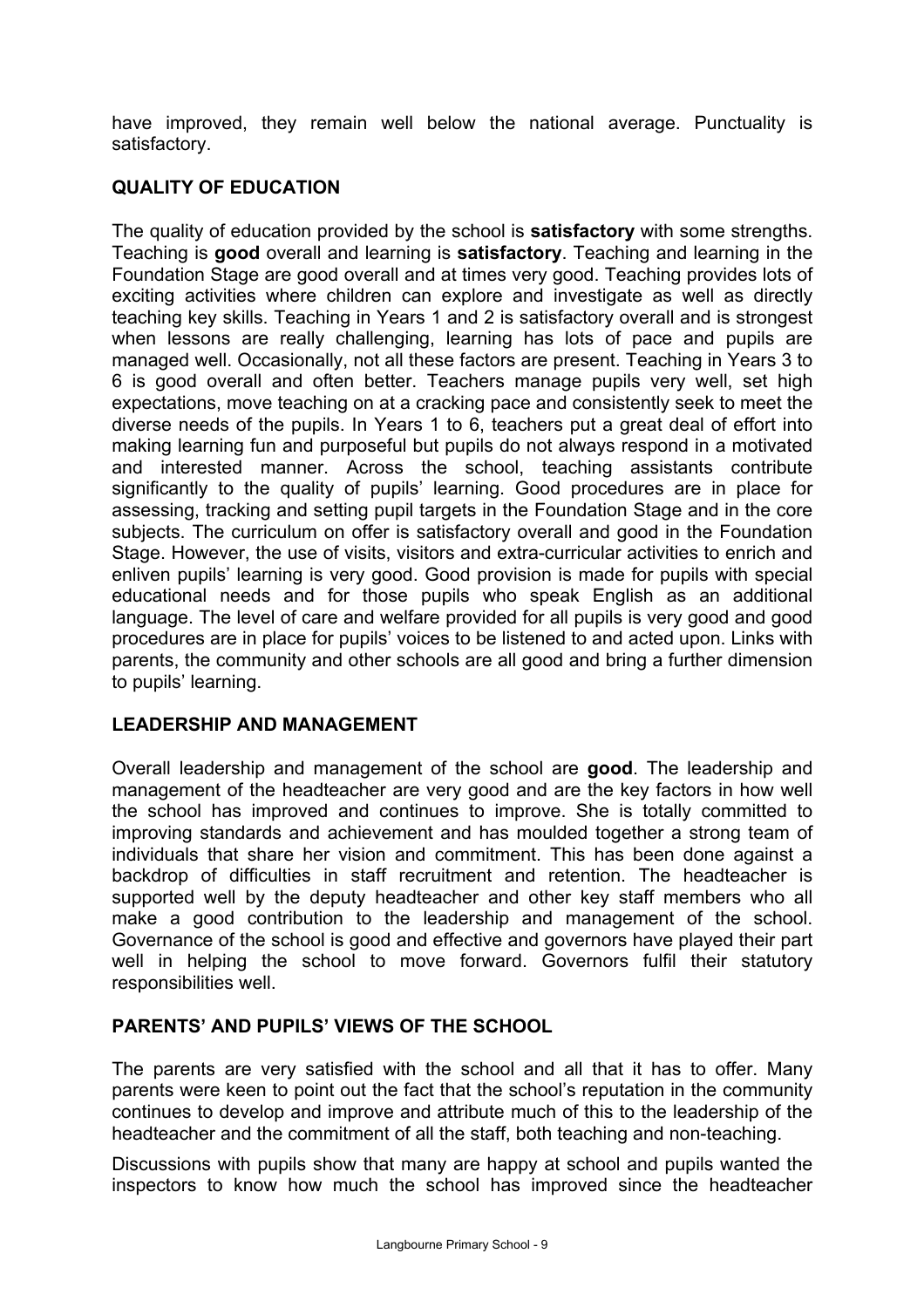have improved, they remain well below the national average. Punctuality is satisfactory.

# **QUALITY OF EDUCATION**

The quality of education provided by the school is **satisfactory** with some strengths. Teaching is **good** overall and learning is **satisfactory**. Teaching and learning in the Foundation Stage are good overall and at times very good. Teaching provides lots of exciting activities where children can explore and investigate as well as directly teaching key skills. Teaching in Years 1 and 2 is satisfactory overall and is strongest when lessons are really challenging, learning has lots of pace and pupils are managed well. Occasionally, not all these factors are present. Teaching in Years 3 to 6 is good overall and often better. Teachers manage pupils very well, set high expectations, move teaching on at a cracking pace and consistently seek to meet the diverse needs of the pupils. In Years 1 to 6, teachers put a great deal of effort into making learning fun and purposeful but pupils do not always respond in a motivated and interested manner. Across the school, teaching assistants contribute significantly to the quality of pupils' learning. Good procedures are in place for assessing, tracking and setting pupil targets in the Foundation Stage and in the core subjects. The curriculum on offer is satisfactory overall and good in the Foundation Stage. However, the use of visits, visitors and extra-curricular activities to enrich and enliven pupils' learning is very good. Good provision is made for pupils with special educational needs and for those pupils who speak English as an additional language. The level of care and welfare provided for all pupils is very good and good procedures are in place for pupils' voices to be listened to and acted upon. Links with parents, the community and other schools are all good and bring a further dimension to pupils' learning.

# **LEADERSHIP AND MANAGEMENT**

Overall leadership and management of the school are **good**. The leadership and management of the headteacher are very good and are the key factors in how well the school has improved and continues to improve. She is totally committed to improving standards and achievement and has moulded together a strong team of individuals that share her vision and commitment. This has been done against a backdrop of difficulties in staff recruitment and retention. The headteacher is supported well by the deputy headteacher and other key staff members who all make a good contribution to the leadership and management of the school. Governance of the school is good and effective and governors have played their part well in helping the school to move forward. Governors fulfil their statutory responsibilities well.

# **PARENTS' AND PUPILS' VIEWS OF THE SCHOOL**

The parents are very satisfied with the school and all that it has to offer. Many parents were keen to point out the fact that the school's reputation in the community continues to develop and improve and attribute much of this to the leadership of the headteacher and the commitment of all the staff, both teaching and non-teaching.

Discussions with pupils show that many are happy at school and pupils wanted the inspectors to know how much the school has improved since the headteacher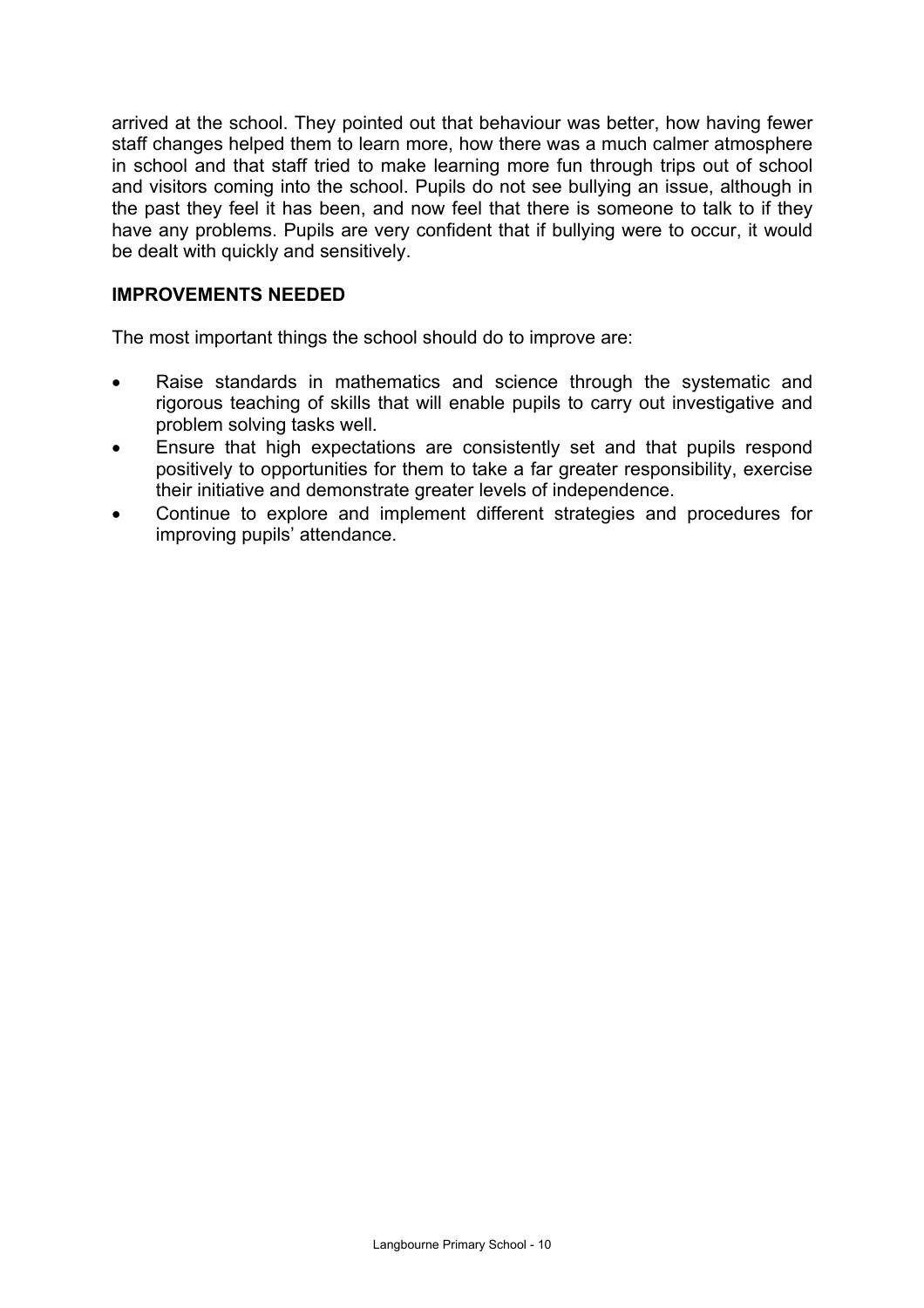arrived at the school. They pointed out that behaviour was better, how having fewer staff changes helped them to learn more, how there was a much calmer atmosphere in school and that staff tried to make learning more fun through trips out of school and visitors coming into the school. Pupils do not see bullying an issue, although in the past they feel it has been, and now feel that there is someone to talk to if they have any problems. Pupils are very confident that if bullying were to occur, it would be dealt with quickly and sensitively.

## **IMPROVEMENTS NEEDED**

The most important things the school should do to improve are:

- Raise standards in mathematics and science through the systematic and rigorous teaching of skills that will enable pupils to carry out investigative and problem solving tasks well.
- Ensure that high expectations are consistently set and that pupils respond positively to opportunities for them to take a far greater responsibility, exercise their initiative and demonstrate greater levels of independence.
- Continue to explore and implement different strategies and procedures for improving pupils' attendance.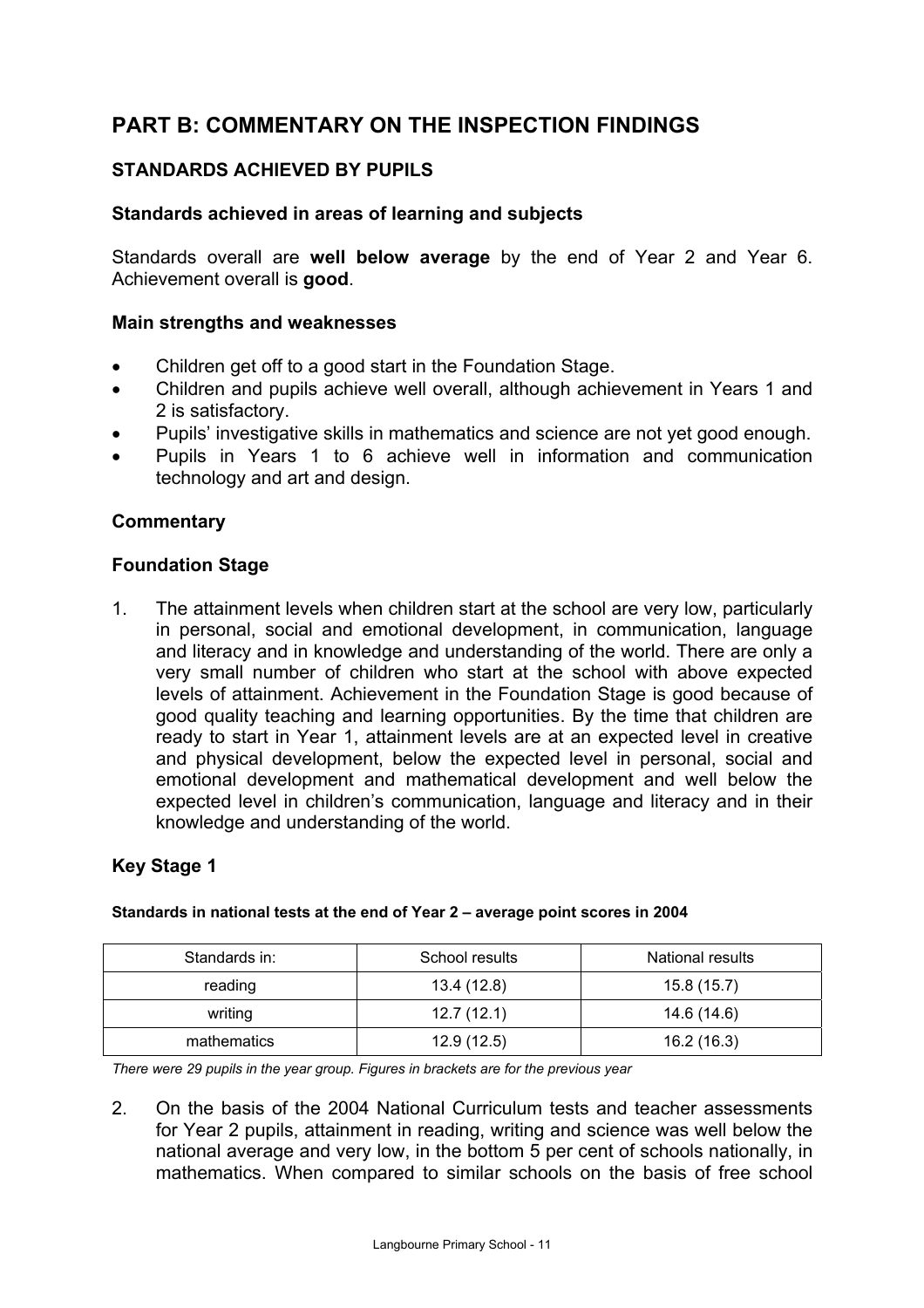# **PART B: COMMENTARY ON THE INSPECTION FINDINGS**

# **STANDARDS ACHIEVED BY PUPILS**

## **Standards achieved in areas of learning and subjects**

Standards overall are **well below average** by the end of Year 2 and Year 6. Achievement overall is **good**.

## **Main strengths and weaknesses**

- Children get off to a good start in the Foundation Stage.
- Children and pupils achieve well overall, although achievement in Years 1 and 2 is satisfactory.
- Pupils' investigative skills in mathematics and science are not yet good enough.
- Pupils in Years 1 to 6 achieve well in information and communication technology and art and design.

## **Commentary**

## **Foundation Stage**

1. The attainment levels when children start at the school are very low, particularly in personal, social and emotional development, in communication, language and literacy and in knowledge and understanding of the world. There are only a very small number of children who start at the school with above expected levels of attainment. Achievement in the Foundation Stage is good because of good quality teaching and learning opportunities. By the time that children are ready to start in Year 1, attainment levels are at an expected level in creative and physical development, below the expected level in personal, social and emotional development and mathematical development and well below the expected level in children's communication, language and literacy and in their knowledge and understanding of the world.

## **Key Stage 1**

| Standards in: | School results | National results |
|---------------|----------------|------------------|
| reading       | 13.4 (12.8)    | 15.8 (15.7)      |
| writing       | 12.7(12.1)     | 14.6 (14.6)      |
| mathematics   | 12.9(12.5)     | 16.2 (16.3)      |

#### **Standards in national tests at the end of Year 2 – average point scores in 2004**

*There were 29 pupils in the year group. Figures in brackets are for the previous year* 

2. On the basis of the 2004 National Curriculum tests and teacher assessments for Year 2 pupils, attainment in reading, writing and science was well below the national average and very low, in the bottom 5 per cent of schools nationally, in mathematics. When compared to similar schools on the basis of free school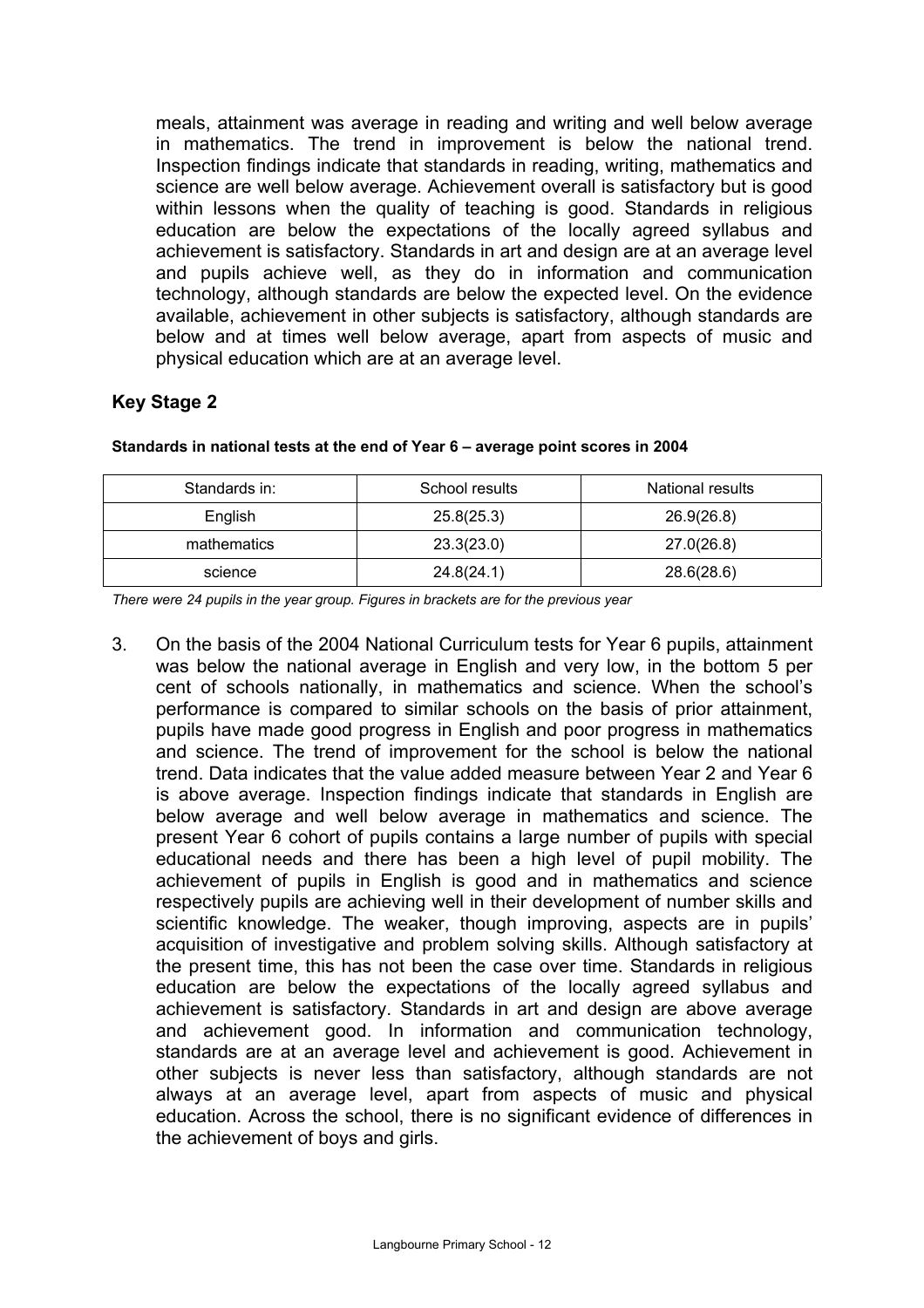meals, attainment was average in reading and writing and well below average in mathematics. The trend in improvement is below the national trend. Inspection findings indicate that standards in reading, writing, mathematics and science are well below average. Achievement overall is satisfactory but is good within lessons when the quality of teaching is good. Standards in religious education are below the expectations of the locally agreed syllabus and achievement is satisfactory. Standards in art and design are at an average level and pupils achieve well, as they do in information and communication technology, although standards are below the expected level. On the evidence available, achievement in other subjects is satisfactory, although standards are below and at times well below average, apart from aspects of music and physical education which are at an average level.

## **Key Stage 2**

| Standards in: | School results | National results |
|---------------|----------------|------------------|
| English       | 25.8(25.3)     | 26.9(26.8)       |
| mathematics   | 23.3(23.0)     | 27.0(26.8)       |
| science       | 24.8(24.1)     | 28.6(28.6)       |

**Standards in national tests at the end of Year 6 – average point scores in 2004** 

*There were 24 pupils in the year group. Figures in brackets are for the previous year* 

3. On the basis of the 2004 National Curriculum tests for Year 6 pupils, attainment was below the national average in English and very low, in the bottom 5 per cent of schools nationally, in mathematics and science. When the school's performance is compared to similar schools on the basis of prior attainment, pupils have made good progress in English and poor progress in mathematics and science. The trend of improvement for the school is below the national trend. Data indicates that the value added measure between Year 2 and Year 6 is above average. Inspection findings indicate that standards in English are below average and well below average in mathematics and science. The present Year 6 cohort of pupils contains a large number of pupils with special educational needs and there has been a high level of pupil mobility. The achievement of pupils in English is good and in mathematics and science respectively pupils are achieving well in their development of number skills and scientific knowledge. The weaker, though improving, aspects are in pupils' acquisition of investigative and problem solving skills. Although satisfactory at the present time, this has not been the case over time. Standards in religious education are below the expectations of the locally agreed syllabus and achievement is satisfactory. Standards in art and design are above average and achievement good. In information and communication technology, standards are at an average level and achievement is good. Achievement in other subjects is never less than satisfactory, although standards are not always at an average level, apart from aspects of music and physical education. Across the school, there is no significant evidence of differences in the achievement of boys and girls.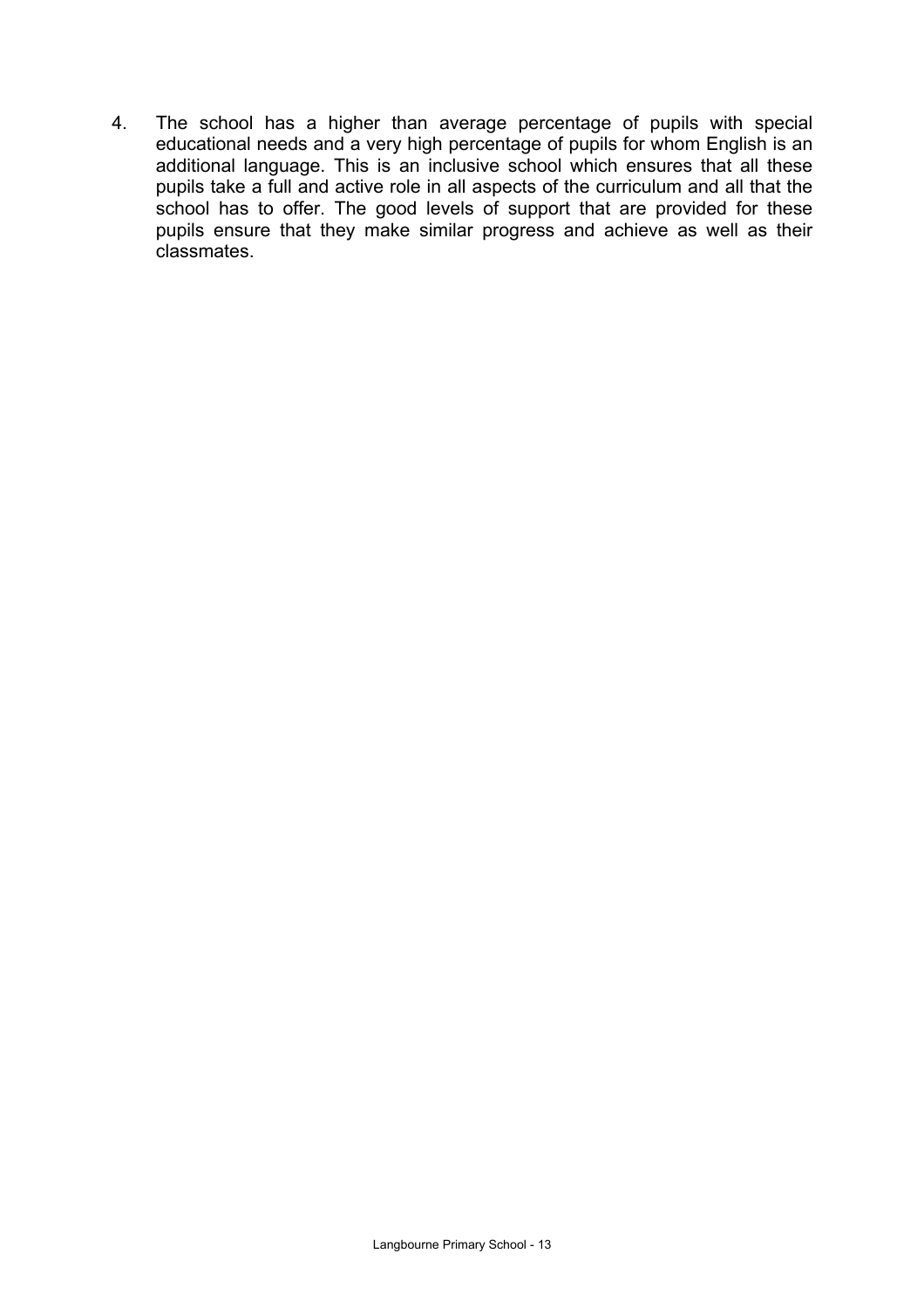4. The school has a higher than average percentage of pupils with special educational needs and a very high percentage of pupils for whom English is an additional language. This is an inclusive school which ensures that all these pupils take a full and active role in all aspects of the curriculum and all that the school has to offer. The good levels of support that are provided for these pupils ensure that they make similar progress and achieve as well as their classmates.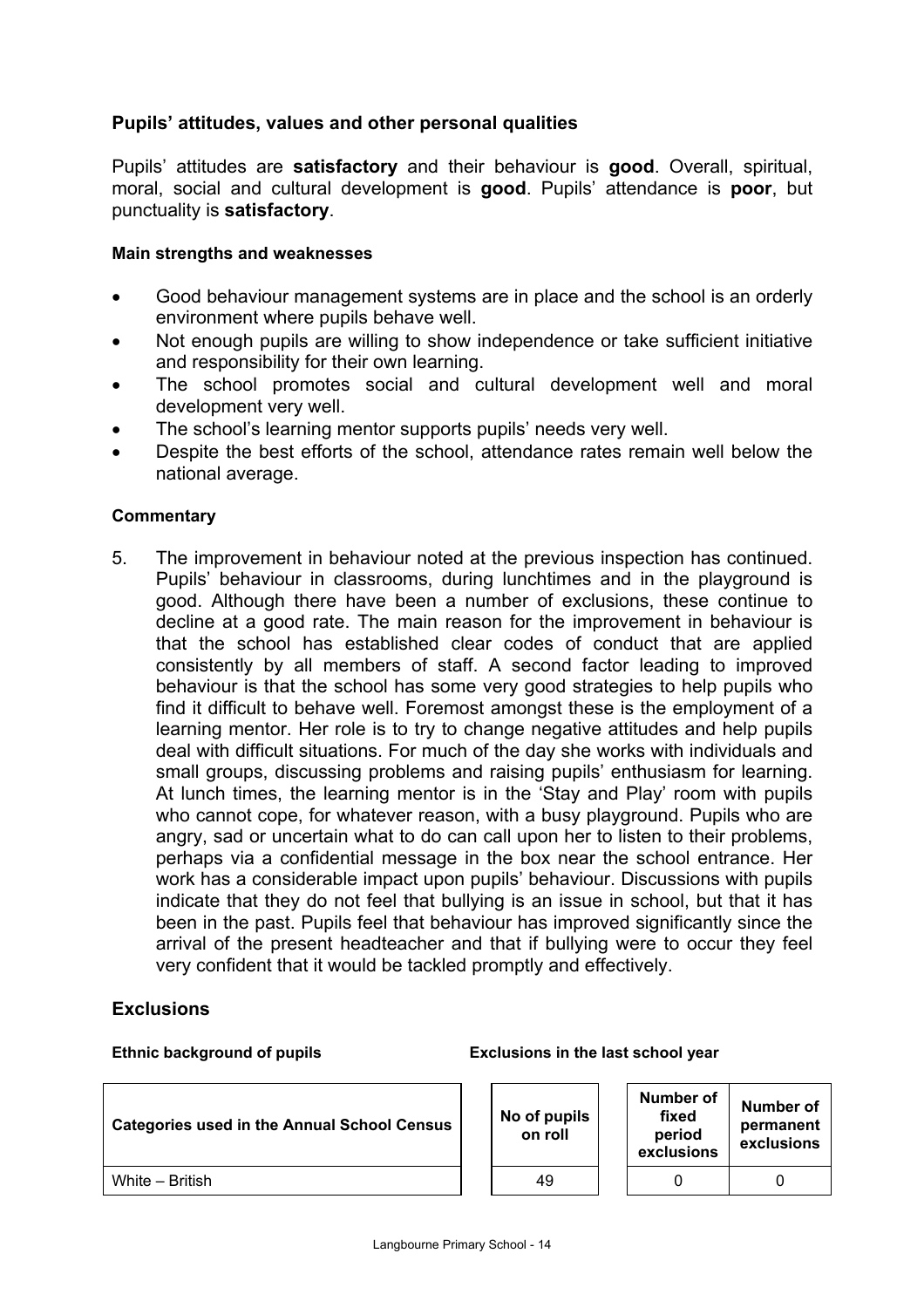## **Pupils' attitudes, values and other personal qualities**

Pupils' attitudes are **satisfactory** and their behaviour is **good**. Overall, spiritual, moral, social and cultural development is **good**. Pupils' attendance is **poor**, but punctuality is **satisfactory**.

#### **Main strengths and weaknesses**

- Good behaviour management systems are in place and the school is an orderly environment where pupils behave well.
- Not enough pupils are willing to show independence or take sufficient initiative and responsibility for their own learning.
- The school promotes social and cultural development well and moral development very well.
- The school's learning mentor supports pupils' needs very well.
- Despite the best efforts of the school, attendance rates remain well below the national average.

#### **Commentary**

5. The improvement in behaviour noted at the previous inspection has continued. Pupils' behaviour in classrooms, during lunchtimes and in the playground is good. Although there have been a number of exclusions, these continue to decline at a good rate. The main reason for the improvement in behaviour is that the school has established clear codes of conduct that are applied consistently by all members of staff. A second factor leading to improved behaviour is that the school has some very good strategies to help pupils who find it difficult to behave well. Foremost amongst these is the employment of a learning mentor. Her role is to try to change negative attitudes and help pupils deal with difficult situations. For much of the day she works with individuals and small groups, discussing problems and raising pupils' enthusiasm for learning. At lunch times, the learning mentor is in the 'Stay and Play' room with pupils who cannot cope, for whatever reason, with a busy playground. Pupils who are angry, sad or uncertain what to do can call upon her to listen to their problems, perhaps via a confidential message in the box near the school entrance. Her work has a considerable impact upon pupils' behaviour. Discussions with pupils indicate that they do not feel that bullying is an issue in school, but that it has been in the past. Pupils feel that behaviour has improved significantly since the arrival of the present headteacher and that if bullying were to occur they feel very confident that it would be tackled promptly and effectively.

## **Exclusions**

| Ethnic background of pupils                        | Exclusions in the last school year |                                            |                                      |  |  |
|----------------------------------------------------|------------------------------------|--------------------------------------------|--------------------------------------|--|--|
| <b>Categories used in the Annual School Census</b> | No of pupils<br>on roll            | Number of<br>fixed<br>period<br>exclusions | Number of<br>permanent<br>exclusions |  |  |
| White - British                                    | 49                                 |                                            |                                      |  |  |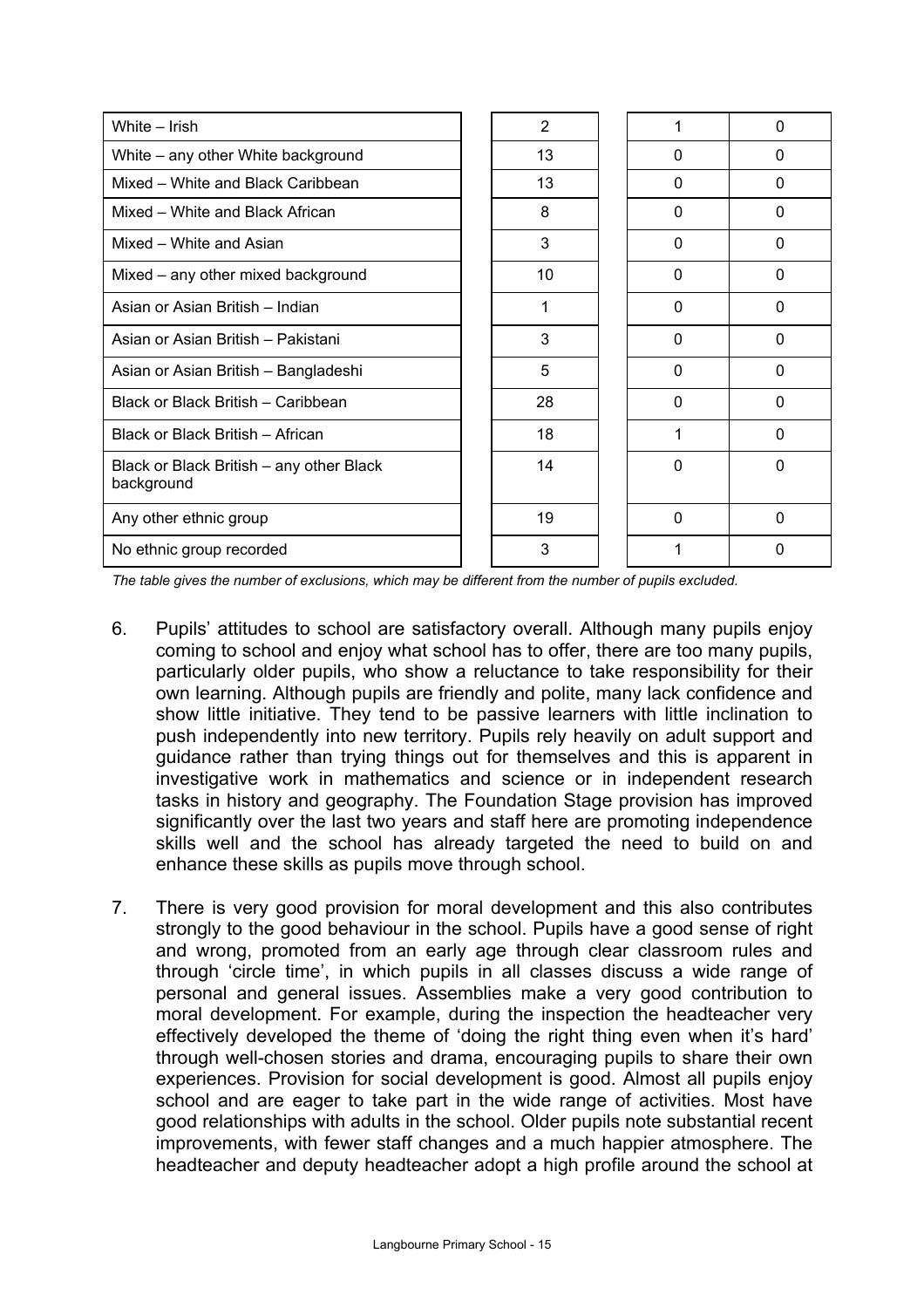| White - Irish                                          | 2  |          | $\Omega$ |
|--------------------------------------------------------|----|----------|----------|
| White - any other White background                     | 13 | $\Omega$ | $\Omega$ |
| Mixed - White and Black Caribbean                      | 13 | $\Omega$ | $\Omega$ |
| Mixed - White and Black African                        | 8  | $\Omega$ | $\Omega$ |
| Mixed - White and Asian                                | 3  | $\Omega$ | 0        |
| Mixed – any other mixed background                     | 10 | $\Omega$ | $\Omega$ |
| Asian or Asian British - Indian                        | 1  | $\Omega$ | $\Omega$ |
| Asian or Asian British – Pakistani                     | 3  | $\Omega$ | $\Omega$ |
| Asian or Asian British - Bangladeshi                   | 5  | $\Omega$ | $\Omega$ |
| Black or Black British - Caribbean                     | 28 | $\Omega$ | 0        |
| Black or Black British - African                       | 18 |          | $\Omega$ |
| Black or Black British – any other Black<br>background | 14 | $\Omega$ | $\Omega$ |
| Any other ethnic group                                 | 19 | $\Omega$ | $\Omega$ |
| No ethnic group recorded                               | 3  |          | 0        |

*The table gives the number of exclusions, which may be different from the number of pupils excluded.* 

- 6. Pupils' attitudes to school are satisfactory overall. Although many pupils enjoy coming to school and enjoy what school has to offer, there are too many pupils, particularly older pupils, who show a reluctance to take responsibility for their own learning. Although pupils are friendly and polite, many lack confidence and show little initiative. They tend to be passive learners with little inclination to push independently into new territory. Pupils rely heavily on adult support and guidance rather than trying things out for themselves and this is apparent in investigative work in mathematics and science or in independent research tasks in history and geography. The Foundation Stage provision has improved significantly over the last two years and staff here are promoting independence skills well and the school has already targeted the need to build on and enhance these skills as pupils move through school.
- 7. There is very good provision for moral development and this also contributes strongly to the good behaviour in the school. Pupils have a good sense of right and wrong, promoted from an early age through clear classroom rules and through 'circle time', in which pupils in all classes discuss a wide range of personal and general issues. Assemblies make a very good contribution to moral development. For example, during the inspection the headteacher very effectively developed the theme of 'doing the right thing even when it's hard' through well-chosen stories and drama, encouraging pupils to share their own experiences. Provision for social development is good. Almost all pupils enjoy school and are eager to take part in the wide range of activities. Most have good relationships with adults in the school. Older pupils note substantial recent improvements, with fewer staff changes and a much happier atmosphere. The headteacher and deputy headteacher adopt a high profile around the school at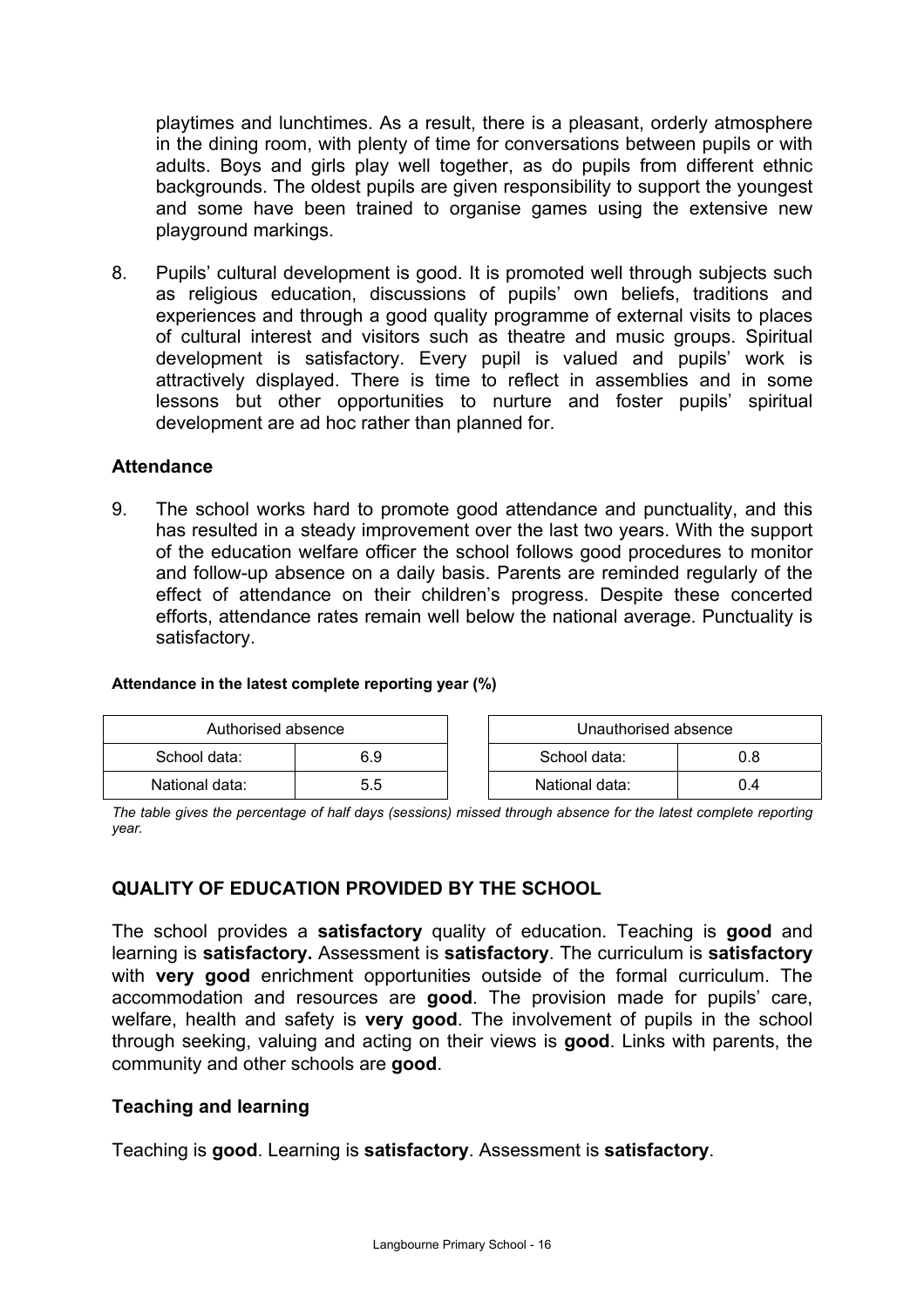playtimes and lunchtimes. As a result, there is a pleasant, orderly atmosphere in the dining room, with plenty of time for conversations between pupils or with adults. Boys and girls play well together, as do pupils from different ethnic backgrounds. The oldest pupils are given responsibility to support the youngest and some have been trained to organise games using the extensive new playground markings.

8. Pupils' cultural development is good. It is promoted well through subjects such as religious education, discussions of pupils' own beliefs, traditions and experiences and through a good quality programme of external visits to places of cultural interest and visitors such as theatre and music groups. Spiritual development is satisfactory. Every pupil is valued and pupils' work is attractively displayed. There is time to reflect in assemblies and in some lessons but other opportunities to nurture and foster pupils' spiritual development are ad hoc rather than planned for.

#### **Attendance**

9. The school works hard to promote good attendance and punctuality, and this has resulted in a steady improvement over the last two years. With the support of the education welfare officer the school follows good procedures to monitor and follow-up absence on a daily basis. Parents are reminded regularly of the effect of attendance on their children's progress. Despite these concerted efforts, attendance rates remain well below the national average. Punctuality is satisfactory.

#### **Attendance in the latest complete reporting year (%)**

| Authorised absence |     |  | Unauthorised absence |     |  |
|--------------------|-----|--|----------------------|-----|--|
| School data:       | 6.9 |  | School data:         |     |  |
| National data:     | 5.5 |  | National data:       | U.4 |  |

*The table gives the percentage of half days (sessions) missed through absence for the latest complete reporting year.* 

## **QUALITY OF EDUCATION PROVIDED BY THE SCHOOL**

The school provides a **satisfactory** quality of education. Teaching is **good** and learning is **satisfactory.** Assessment is **satisfactory**. The curriculum is **satisfactory**  with **very good** enrichment opportunities outside of the formal curriculum. The accommodation and resources are **good**. The provision made for pupils' care, welfare, health and safety is **very good**. The involvement of pupils in the school through seeking, valuing and acting on their views is **good**. Links with parents, the community and other schools are **good**.

#### **Teaching and learning**

Teaching is **good**. Learning is **satisfactory**. Assessment is **satisfactory**.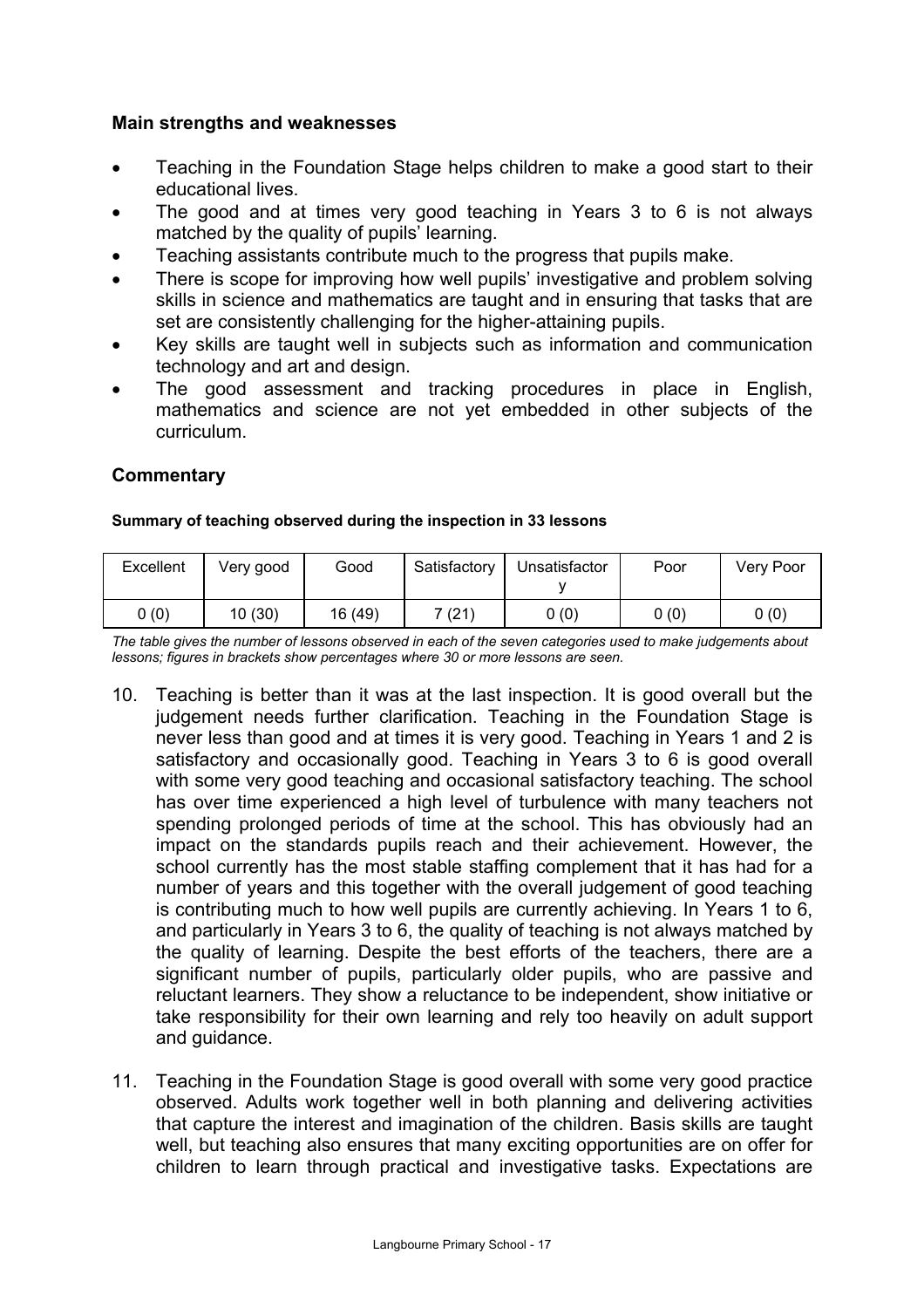## **Main strengths and weaknesses**

- Teaching in the Foundation Stage helps children to make a good start to their educational lives.
- The good and at times very good teaching in Years 3 to 6 is not always matched by the quality of pupils' learning.
- Teaching assistants contribute much to the progress that pupils make.
- There is scope for improving how well pupils' investigative and problem solving skills in science and mathematics are taught and in ensuring that tasks that are set are consistently challenging for the higher-attaining pupils.
- Key skills are taught well in subjects such as information and communication technology and art and design.
- The good assessment and tracking procedures in place in English, mathematics and science are not yet embedded in other subjects of the curriculum.

## **Commentary**

#### **Summary of teaching observed during the inspection in 33 lessons**

| Excellent | Very good | Good    | Satisfactory | Unsatisfactor | Poor | Very Poor |
|-----------|-----------|---------|--------------|---------------|------|-----------|
| 0(0)      | 10(30)    | 16 (49) | 7 (21)       | 0(0)          | 0(0) | 0 (0)     |

*The table gives the number of lessons observed in each of the seven categories used to make judgements about lessons; figures in brackets show percentages where 30 or more lessons are seen.* 

- 10. Teaching is better than it was at the last inspection. It is good overall but the judgement needs further clarification. Teaching in the Foundation Stage is never less than good and at times it is very good. Teaching in Years 1 and 2 is satisfactory and occasionally good. Teaching in Years 3 to 6 is good overall with some very good teaching and occasional satisfactory teaching. The school has over time experienced a high level of turbulence with many teachers not spending prolonged periods of time at the school. This has obviously had an impact on the standards pupils reach and their achievement. However, the school currently has the most stable staffing complement that it has had for a number of years and this together with the overall judgement of good teaching is contributing much to how well pupils are currently achieving. In Years 1 to 6, and particularly in Years 3 to 6, the quality of teaching is not always matched by the quality of learning. Despite the best efforts of the teachers, there are a significant number of pupils, particularly older pupils, who are passive and reluctant learners. They show a reluctance to be independent, show initiative or take responsibility for their own learning and rely too heavily on adult support and guidance.
- 11. Teaching in the Foundation Stage is good overall with some very good practice observed. Adults work together well in both planning and delivering activities that capture the interest and imagination of the children. Basis skills are taught well, but teaching also ensures that many exciting opportunities are on offer for children to learn through practical and investigative tasks. Expectations are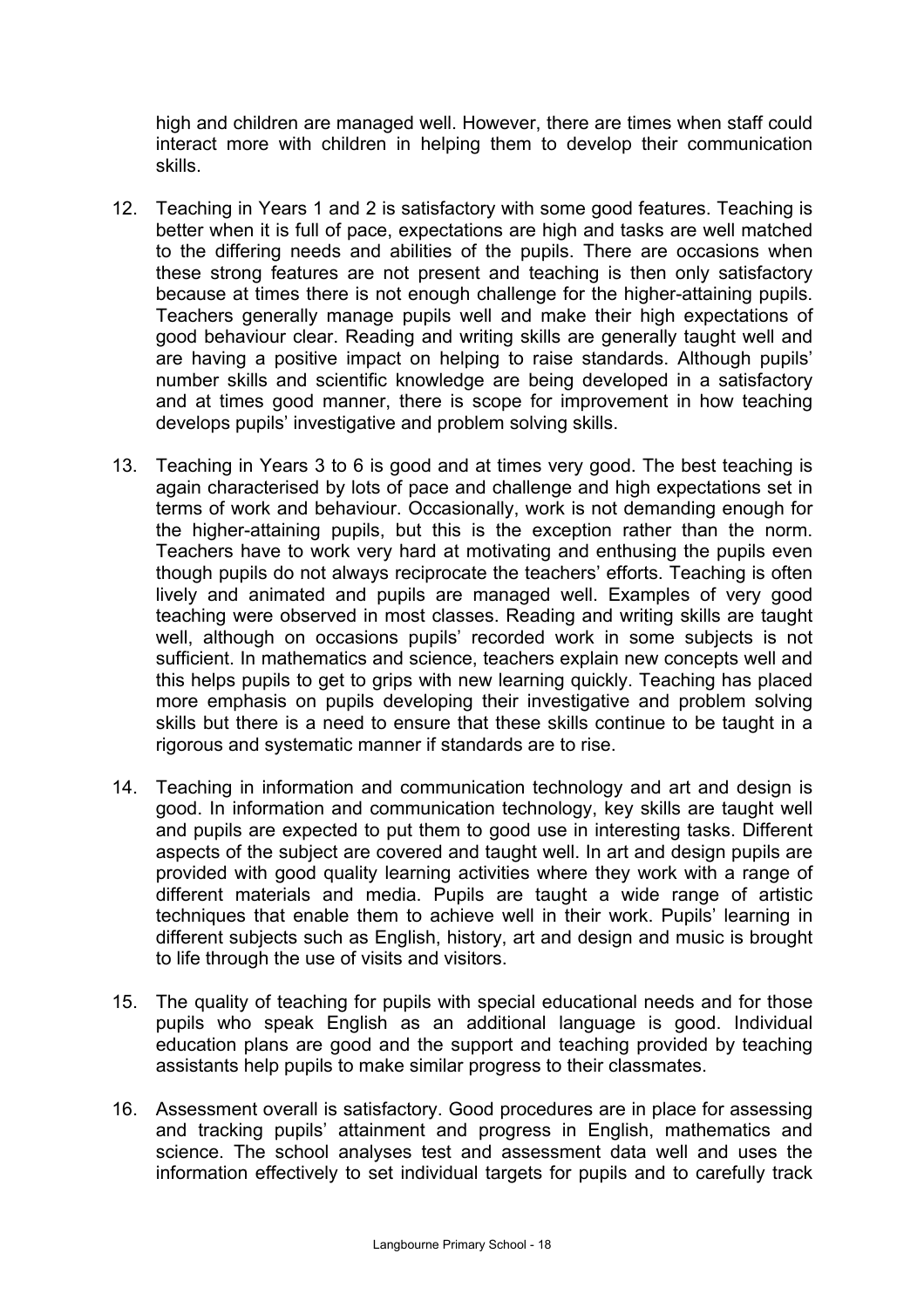high and children are managed well. However, there are times when staff could interact more with children in helping them to develop their communication skills.

- 12. Teaching in Years 1 and 2 is satisfactory with some good features. Teaching is better when it is full of pace, expectations are high and tasks are well matched to the differing needs and abilities of the pupils. There are occasions when these strong features are not present and teaching is then only satisfactory because at times there is not enough challenge for the higher-attaining pupils. Teachers generally manage pupils well and make their high expectations of good behaviour clear. Reading and writing skills are generally taught well and are having a positive impact on helping to raise standards. Although pupils' number skills and scientific knowledge are being developed in a satisfactory and at times good manner, there is scope for improvement in how teaching develops pupils' investigative and problem solving skills.
- 13. Teaching in Years 3 to 6 is good and at times very good. The best teaching is again characterised by lots of pace and challenge and high expectations set in terms of work and behaviour. Occasionally, work is not demanding enough for the higher-attaining pupils, but this is the exception rather than the norm. Teachers have to work very hard at motivating and enthusing the pupils even though pupils do not always reciprocate the teachers' efforts. Teaching is often lively and animated and pupils are managed well. Examples of very good teaching were observed in most classes. Reading and writing skills are taught well, although on occasions pupils' recorded work in some subjects is not sufficient. In mathematics and science, teachers explain new concepts well and this helps pupils to get to grips with new learning quickly. Teaching has placed more emphasis on pupils developing their investigative and problem solving skills but there is a need to ensure that these skills continue to be taught in a rigorous and systematic manner if standards are to rise.
- 14. Teaching in information and communication technology and art and design is good. In information and communication technology, key skills are taught well and pupils are expected to put them to good use in interesting tasks. Different aspects of the subject are covered and taught well. In art and design pupils are provided with good quality learning activities where they work with a range of different materials and media. Pupils are taught a wide range of artistic techniques that enable them to achieve well in their work. Pupils' learning in different subjects such as English, history, art and design and music is brought to life through the use of visits and visitors.
- 15. The quality of teaching for pupils with special educational needs and for those pupils who speak English as an additional language is good. Individual education plans are good and the support and teaching provided by teaching assistants help pupils to make similar progress to their classmates.
- 16. Assessment overall is satisfactory. Good procedures are in place for assessing and tracking pupils' attainment and progress in English, mathematics and science. The school analyses test and assessment data well and uses the information effectively to set individual targets for pupils and to carefully track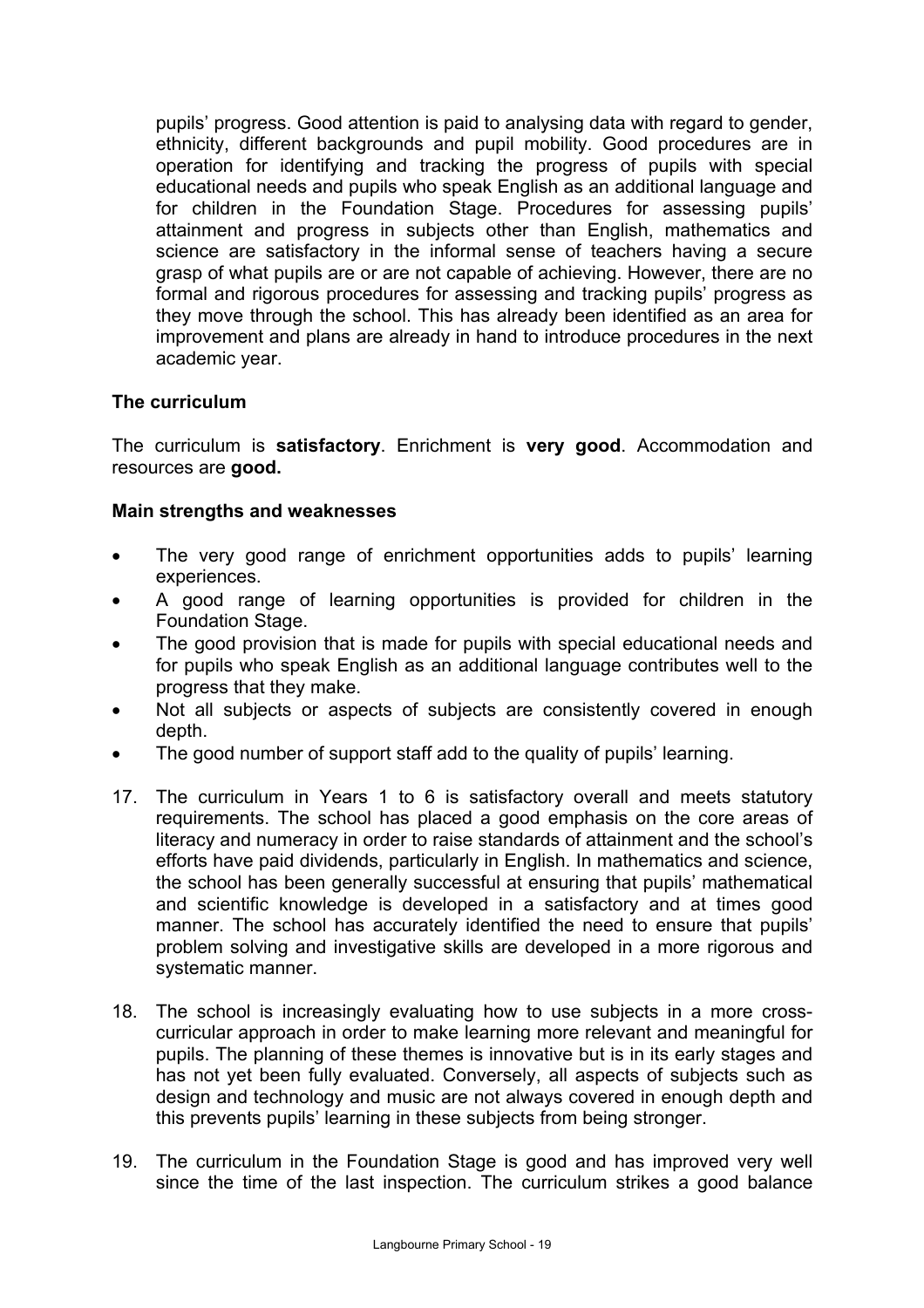pupils' progress. Good attention is paid to analysing data with regard to gender, ethnicity, different backgrounds and pupil mobility. Good procedures are in operation for identifying and tracking the progress of pupils with special educational needs and pupils who speak English as an additional language and for children in the Foundation Stage. Procedures for assessing pupils' attainment and progress in subjects other than English, mathematics and science are satisfactory in the informal sense of teachers having a secure grasp of what pupils are or are not capable of achieving. However, there are no formal and rigorous procedures for assessing and tracking pupils' progress as they move through the school. This has already been identified as an area for improvement and plans are already in hand to introduce procedures in the next academic year.

## **The curriculum**

The curriculum is **satisfactory**. Enrichment is **very good**. Accommodation and resources are **good.** 

## **Main strengths and weaknesses**

- The very good range of enrichment opportunities adds to pupils' learning experiences.
- A good range of learning opportunities is provided for children in the Foundation Stage.
- The good provision that is made for pupils with special educational needs and for pupils who speak English as an additional language contributes well to the progress that they make.
- Not all subjects or aspects of subjects are consistently covered in enough depth.
- The good number of support staff add to the quality of pupils' learning.
- 17. The curriculum in Years 1 to 6 is satisfactory overall and meets statutory requirements. The school has placed a good emphasis on the core areas of literacy and numeracy in order to raise standards of attainment and the school's efforts have paid dividends, particularly in English. In mathematics and science, the school has been generally successful at ensuring that pupils' mathematical and scientific knowledge is developed in a satisfactory and at times good manner. The school has accurately identified the need to ensure that pupils' problem solving and investigative skills are developed in a more rigorous and systematic manner.
- 18. The school is increasingly evaluating how to use subjects in a more crosscurricular approach in order to make learning more relevant and meaningful for pupils. The planning of these themes is innovative but is in its early stages and has not yet been fully evaluated. Conversely, all aspects of subjects such as design and technology and music are not always covered in enough depth and this prevents pupils' learning in these subjects from being stronger.
- 19. The curriculum in the Foundation Stage is good and has improved very well since the time of the last inspection. The curriculum strikes a good balance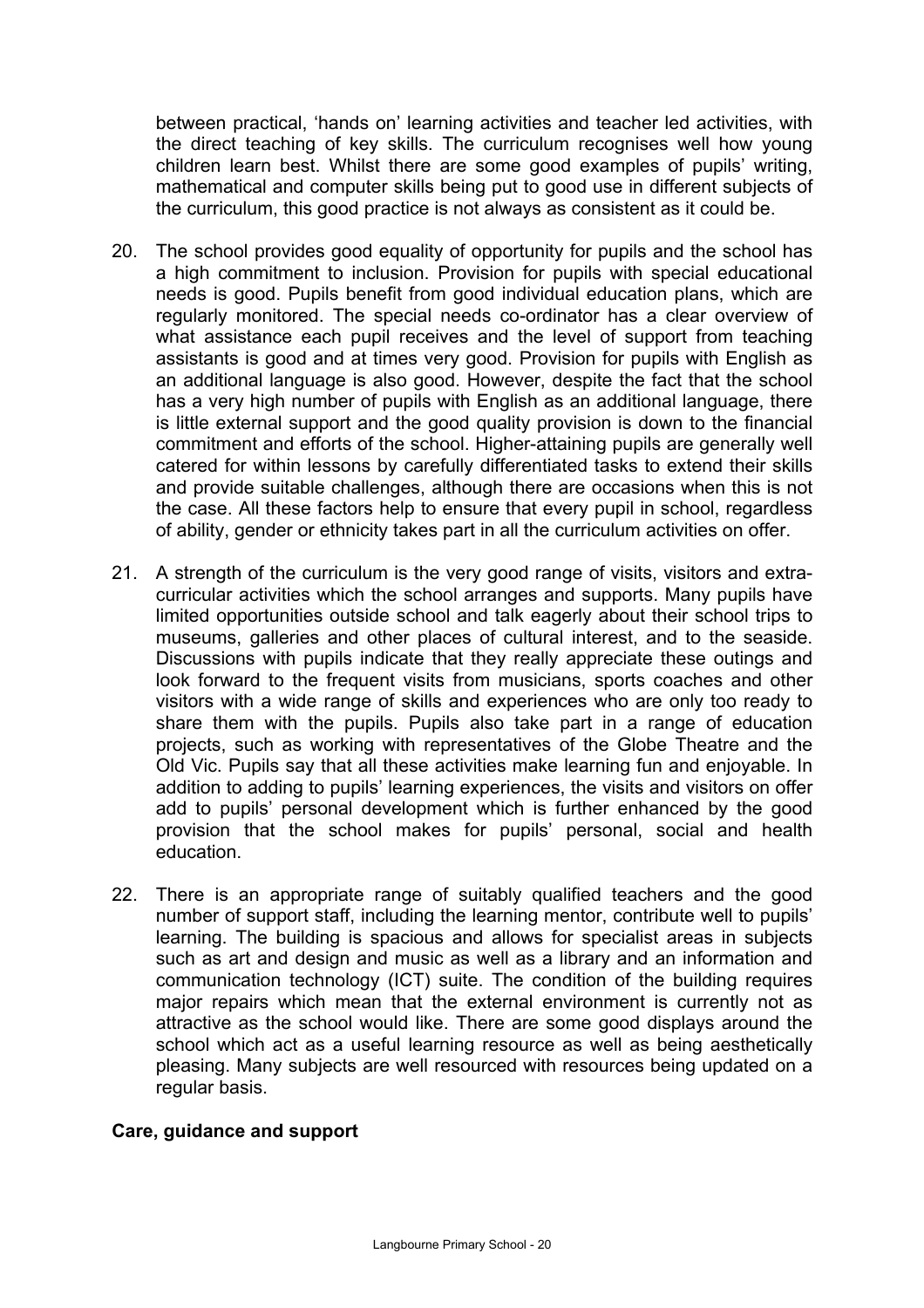between practical, 'hands on' learning activities and teacher led activities, with the direct teaching of key skills. The curriculum recognises well how young children learn best. Whilst there are some good examples of pupils' writing, mathematical and computer skills being put to good use in different subjects of the curriculum, this good practice is not always as consistent as it could be.

- 20. The school provides good equality of opportunity for pupils and the school has a high commitment to inclusion. Provision for pupils with special educational needs is good. Pupils benefit from good individual education plans, which are regularly monitored. The special needs co-ordinator has a clear overview of what assistance each pupil receives and the level of support from teaching assistants is good and at times very good. Provision for pupils with English as an additional language is also good. However, despite the fact that the school has a very high number of pupils with English as an additional language, there is little external support and the good quality provision is down to the financial commitment and efforts of the school. Higher-attaining pupils are generally well catered for within lessons by carefully differentiated tasks to extend their skills and provide suitable challenges, although there are occasions when this is not the case. All these factors help to ensure that every pupil in school, regardless of ability, gender or ethnicity takes part in all the curriculum activities on offer.
- 21. A strength of the curriculum is the very good range of visits, visitors and extracurricular activities which the school arranges and supports. Many pupils have limited opportunities outside school and talk eagerly about their school trips to museums, galleries and other places of cultural interest, and to the seaside. Discussions with pupils indicate that they really appreciate these outings and look forward to the frequent visits from musicians, sports coaches and other visitors with a wide range of skills and experiences who are only too ready to share them with the pupils. Pupils also take part in a range of education projects, such as working with representatives of the Globe Theatre and the Old Vic. Pupils say that all these activities make learning fun and enjoyable. In addition to adding to pupils' learning experiences, the visits and visitors on offer add to pupils' personal development which is further enhanced by the good provision that the school makes for pupils' personal, social and health education.
- 22. There is an appropriate range of suitably qualified teachers and the good number of support staff, including the learning mentor, contribute well to pupils' learning. The building is spacious and allows for specialist areas in subjects such as art and design and music as well as a library and an information and communication technology (ICT) suite. The condition of the building requires major repairs which mean that the external environment is currently not as attractive as the school would like. There are some good displays around the school which act as a useful learning resource as well as being aesthetically pleasing. Many subjects are well resourced with resources being updated on a regular basis.

## **Care, guidance and support**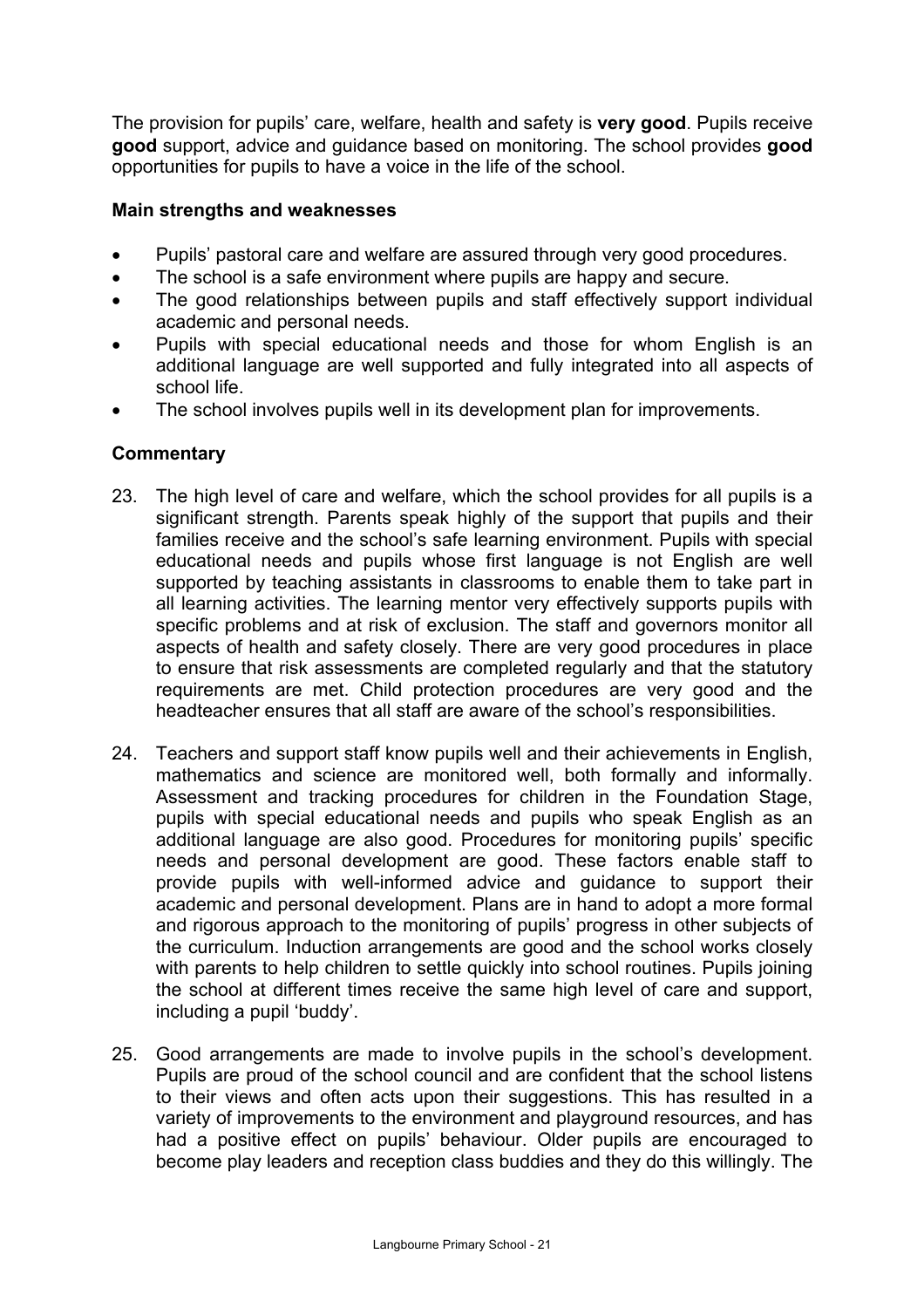The provision for pupils' care, welfare, health and safety is **very good**. Pupils receive **good** support, advice and guidance based on monitoring. The school provides **good** opportunities for pupils to have a voice in the life of the school.

## **Main strengths and weaknesses**

- Pupils' pastoral care and welfare are assured through very good procedures.
- The school is a safe environment where pupils are happy and secure.
- The good relationships between pupils and staff effectively support individual academic and personal needs.
- Pupils with special educational needs and those for whom English is an additional language are well supported and fully integrated into all aspects of school life.
- The school involves pupils well in its development plan for improvements.

## **Commentary**

- 23. The high level of care and welfare, which the school provides for all pupils is a significant strength. Parents speak highly of the support that pupils and their families receive and the school's safe learning environment. Pupils with special educational needs and pupils whose first language is not English are well supported by teaching assistants in classrooms to enable them to take part in all learning activities. The learning mentor very effectively supports pupils with specific problems and at risk of exclusion. The staff and governors monitor all aspects of health and safety closely. There are very good procedures in place to ensure that risk assessments are completed regularly and that the statutory requirements are met. Child protection procedures are very good and the headteacher ensures that all staff are aware of the school's responsibilities.
- 24. Teachers and support staff know pupils well and their achievements in English, mathematics and science are monitored well, both formally and informally. Assessment and tracking procedures for children in the Foundation Stage, pupils with special educational needs and pupils who speak English as an additional language are also good. Procedures for monitoring pupils' specific needs and personal development are good. These factors enable staff to provide pupils with well-informed advice and guidance to support their academic and personal development. Plans are in hand to adopt a more formal and rigorous approach to the monitoring of pupils' progress in other subjects of the curriculum. Induction arrangements are good and the school works closely with parents to help children to settle quickly into school routines. Pupils joining the school at different times receive the same high level of care and support, including a pupil 'buddy'.
- 25. Good arrangements are made to involve pupils in the school's development. Pupils are proud of the school council and are confident that the school listens to their views and often acts upon their suggestions. This has resulted in a variety of improvements to the environment and playground resources, and has had a positive effect on pupils' behaviour. Older pupils are encouraged to become play leaders and reception class buddies and they do this willingly. The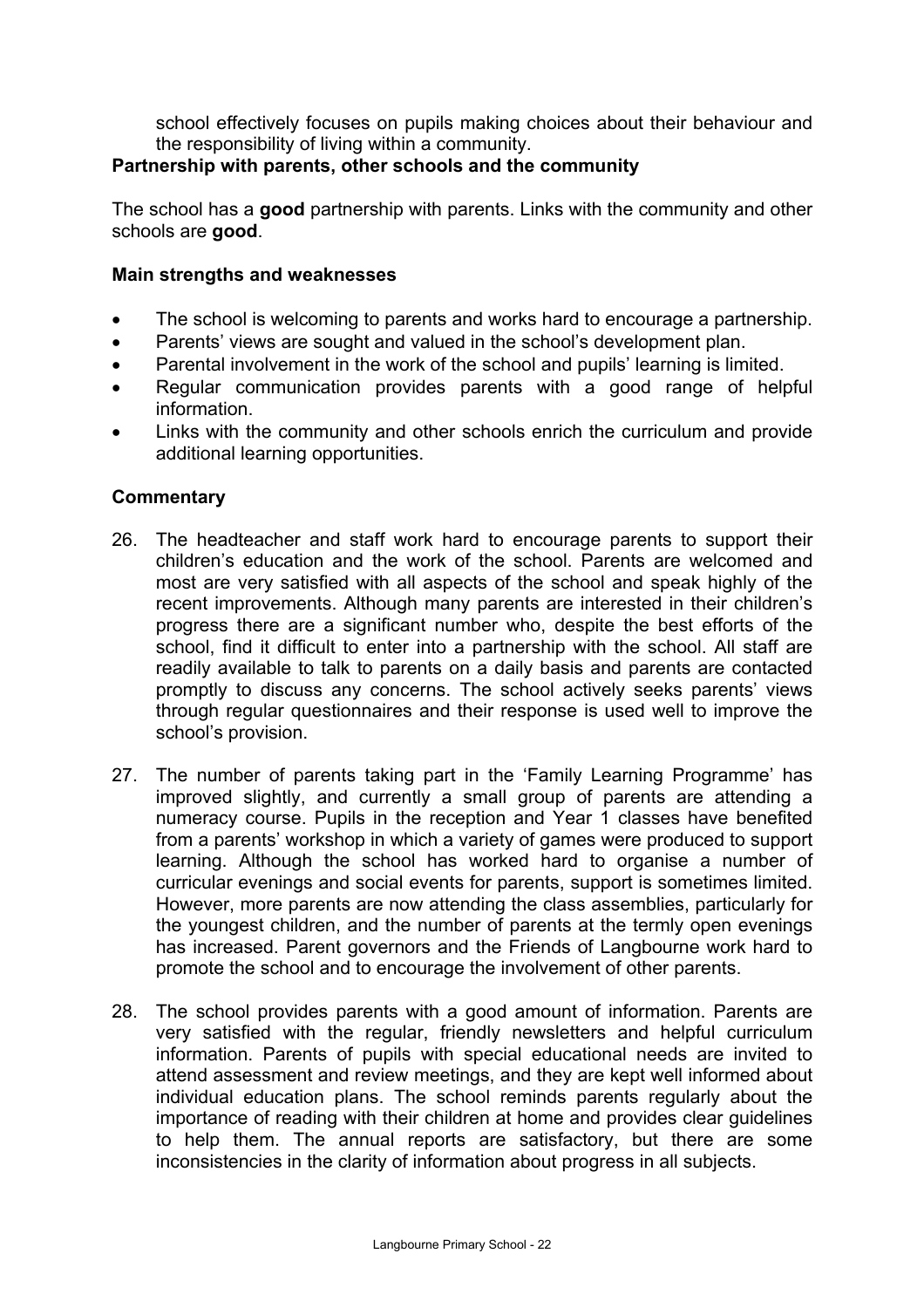school effectively focuses on pupils making choices about their behaviour and the responsibility of living within a community.

## **Partnership with parents, other schools and the community**

The school has a **good** partnership with parents. Links with the community and other schools are **good**.

## **Main strengths and weaknesses**

- The school is welcoming to parents and works hard to encourage a partnership.
- Parents' views are sought and valued in the school's development plan.
- Parental involvement in the work of the school and pupils' learning is limited.
- Regular communication provides parents with a good range of helpful information.
- Links with the community and other schools enrich the curriculum and provide additional learning opportunities.

## **Commentary**

- 26. The headteacher and staff work hard to encourage parents to support their children's education and the work of the school. Parents are welcomed and most are very satisfied with all aspects of the school and speak highly of the recent improvements. Although many parents are interested in their children's progress there are a significant number who, despite the best efforts of the school, find it difficult to enter into a partnership with the school. All staff are readily available to talk to parents on a daily basis and parents are contacted promptly to discuss any concerns. The school actively seeks parents' views through regular questionnaires and their response is used well to improve the school's provision.
- 27. The number of parents taking part in the 'Family Learning Programme' has improved slightly, and currently a small group of parents are attending a numeracy course. Pupils in the reception and Year 1 classes have benefited from a parents' workshop in which a variety of games were produced to support learning. Although the school has worked hard to organise a number of curricular evenings and social events for parents, support is sometimes limited. However, more parents are now attending the class assemblies, particularly for the youngest children, and the number of parents at the termly open evenings has increased. Parent governors and the Friends of Langbourne work hard to promote the school and to encourage the involvement of other parents.
- 28. The school provides parents with a good amount of information. Parents are very satisfied with the regular, friendly newsletters and helpful curriculum information. Parents of pupils with special educational needs are invited to attend assessment and review meetings, and they are kept well informed about individual education plans. The school reminds parents regularly about the importance of reading with their children at home and provides clear guidelines to help them. The annual reports are satisfactory, but there are some inconsistencies in the clarity of information about progress in all subjects.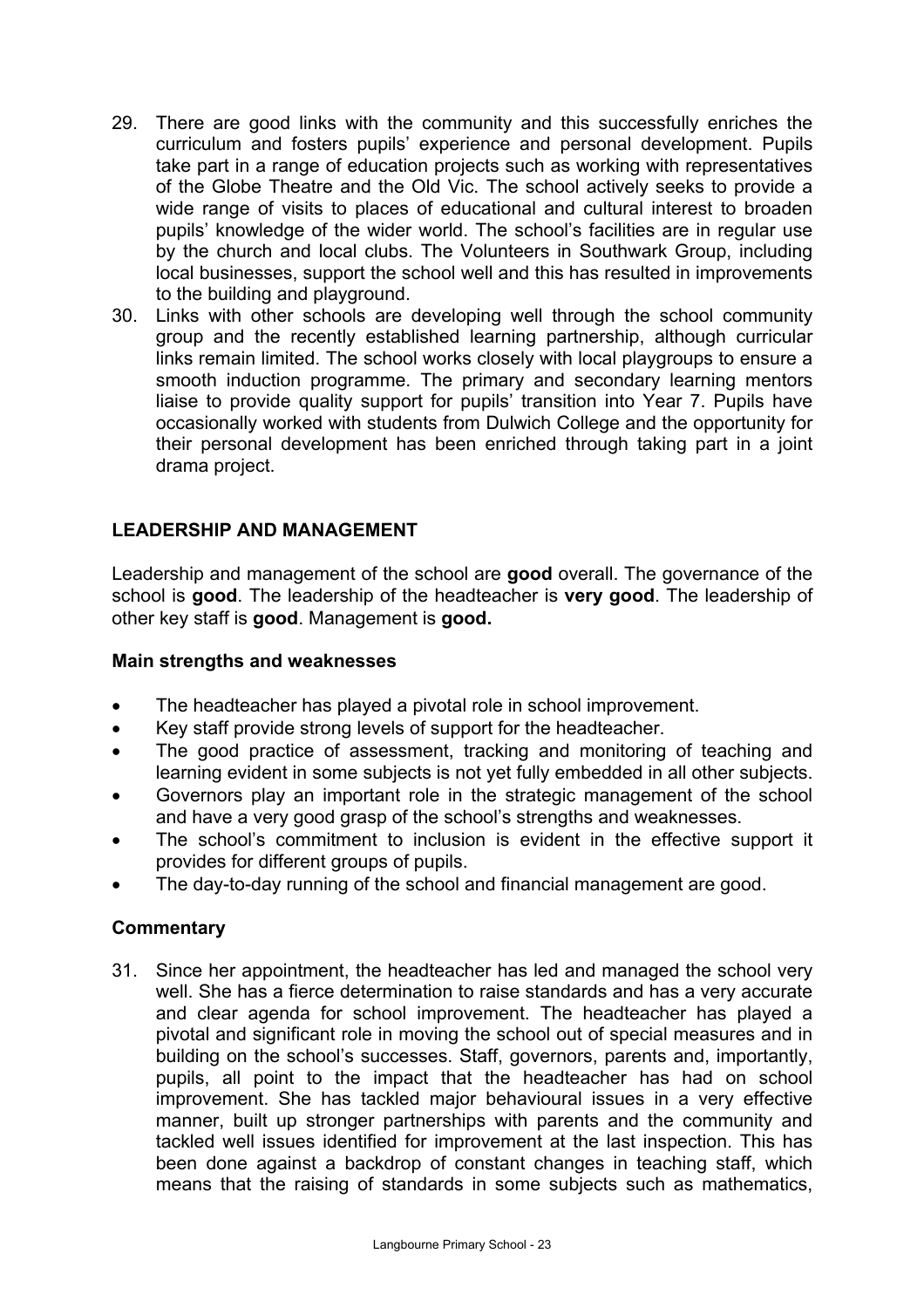- 29. There are good links with the community and this successfully enriches the curriculum and fosters pupils' experience and personal development. Pupils take part in a range of education projects such as working with representatives of the Globe Theatre and the Old Vic. The school actively seeks to provide a wide range of visits to places of educational and cultural interest to broaden pupils' knowledge of the wider world. The school's facilities are in regular use by the church and local clubs. The Volunteers in Southwark Group, including local businesses, support the school well and this has resulted in improvements to the building and playground.
- 30. Links with other schools are developing well through the school community group and the recently established learning partnership, although curricular links remain limited. The school works closely with local playgroups to ensure a smooth induction programme. The primary and secondary learning mentors liaise to provide quality support for pupils' transition into Year 7. Pupils have occasionally worked with students from Dulwich College and the opportunity for their personal development has been enriched through taking part in a joint drama project.

## **LEADERSHIP AND MANAGEMENT**

Leadership and management of the school are **good** overall. The governance of the school is **good**. The leadership of the headteacher is **very good**. The leadership of other key staff is **good**. Management is **good.**

#### **Main strengths and weaknesses**

- The headteacher has played a pivotal role in school improvement.
- Key staff provide strong levels of support for the headteacher.
- The good practice of assessment, tracking and monitoring of teaching and learning evident in some subjects is not yet fully embedded in all other subjects.
- Governors play an important role in the strategic management of the school and have a very good grasp of the school's strengths and weaknesses.
- The school's commitment to inclusion is evident in the effective support it provides for different groups of pupils.
- The day-to-day running of the school and financial management are good.

## **Commentary**

31. Since her appointment, the headteacher has led and managed the school very well. She has a fierce determination to raise standards and has a very accurate and clear agenda for school improvement. The headteacher has played a pivotal and significant role in moving the school out of special measures and in building on the school's successes. Staff, governors, parents and, importantly, pupils, all point to the impact that the headteacher has had on school improvement. She has tackled major behavioural issues in a very effective manner, built up stronger partnerships with parents and the community and tackled well issues identified for improvement at the last inspection. This has been done against a backdrop of constant changes in teaching staff, which means that the raising of standards in some subjects such as mathematics,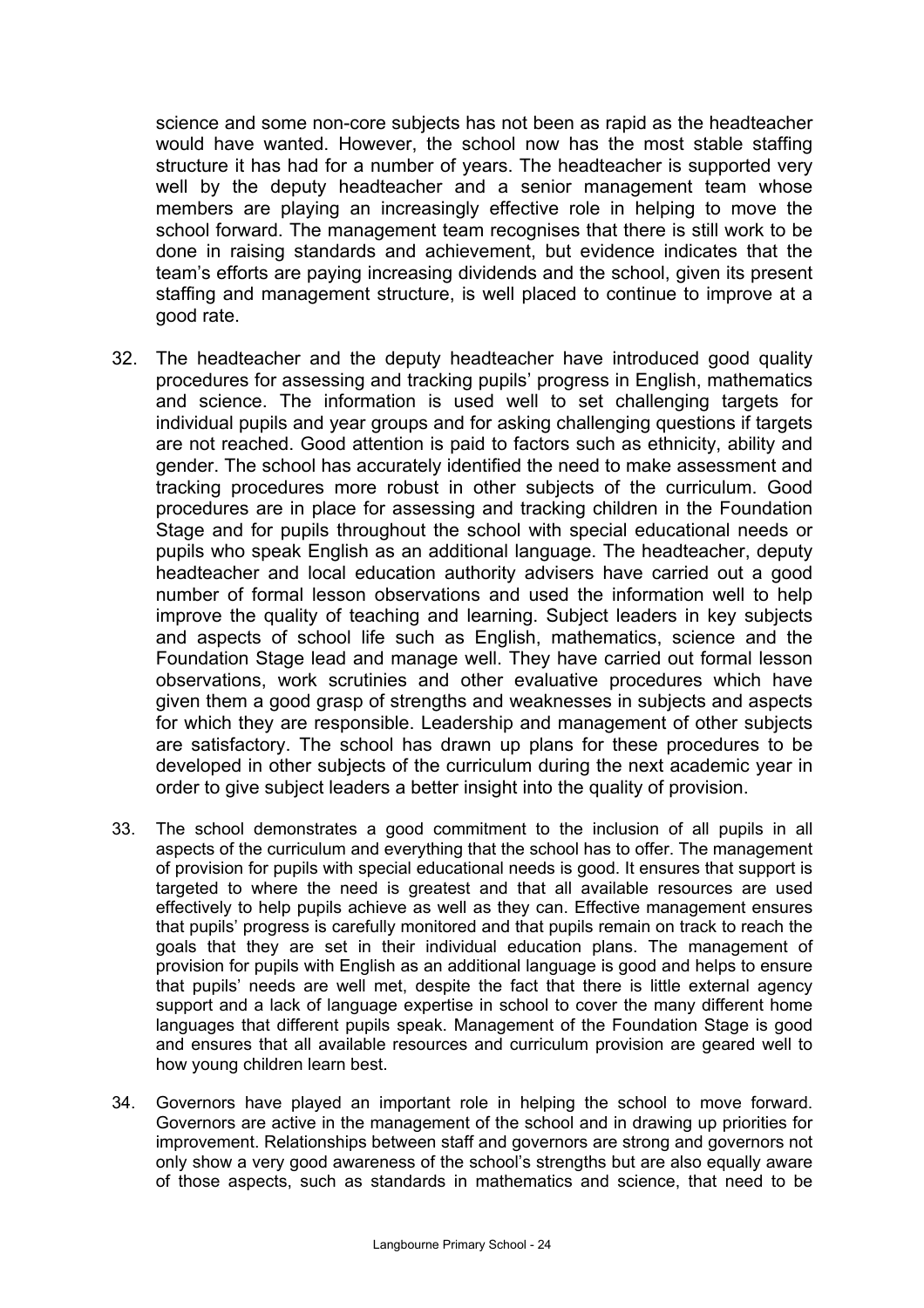science and some non-core subjects has not been as rapid as the headteacher would have wanted. However, the school now has the most stable staffing structure it has had for a number of years. The headteacher is supported very well by the deputy headteacher and a senior management team whose members are playing an increasingly effective role in helping to move the school forward. The management team recognises that there is still work to be done in raising standards and achievement, but evidence indicates that the team's efforts are paying increasing dividends and the school, given its present staffing and management structure, is well placed to continue to improve at a good rate.

- 32. The headteacher and the deputy headteacher have introduced good quality procedures for assessing and tracking pupils' progress in English, mathematics and science. The information is used well to set challenging targets for individual pupils and year groups and for asking challenging questions if targets are not reached. Good attention is paid to factors such as ethnicity, ability and gender. The school has accurately identified the need to make assessment and tracking procedures more robust in other subjects of the curriculum. Good procedures are in place for assessing and tracking children in the Foundation Stage and for pupils throughout the school with special educational needs or pupils who speak English as an additional language. The headteacher, deputy headteacher and local education authority advisers have carried out a good number of formal lesson observations and used the information well to help improve the quality of teaching and learning. Subject leaders in key subjects and aspects of school life such as English, mathematics, science and the Foundation Stage lead and manage well. They have carried out formal lesson observations, work scrutinies and other evaluative procedures which have given them a good grasp of strengths and weaknesses in subjects and aspects for which they are responsible. Leadership and management of other subjects are satisfactory. The school has drawn up plans for these procedures to be developed in other subjects of the curriculum during the next academic year in order to give subject leaders a better insight into the quality of provision.
- 33. The school demonstrates a good commitment to the inclusion of all pupils in all aspects of the curriculum and everything that the school has to offer. The management of provision for pupils with special educational needs is good. It ensures that support is targeted to where the need is greatest and that all available resources are used effectively to help pupils achieve as well as they can. Effective management ensures that pupils' progress is carefully monitored and that pupils remain on track to reach the goals that they are set in their individual education plans. The management of provision for pupils with English as an additional language is good and helps to ensure that pupils' needs are well met, despite the fact that there is little external agency support and a lack of language expertise in school to cover the many different home languages that different pupils speak. Management of the Foundation Stage is good and ensures that all available resources and curriculum provision are geared well to how young children learn best.
- 34. Governors have played an important role in helping the school to move forward. Governors are active in the management of the school and in drawing up priorities for improvement. Relationships between staff and governors are strong and governors not only show a very good awareness of the school's strengths but are also equally aware of those aspects, such as standards in mathematics and science, that need to be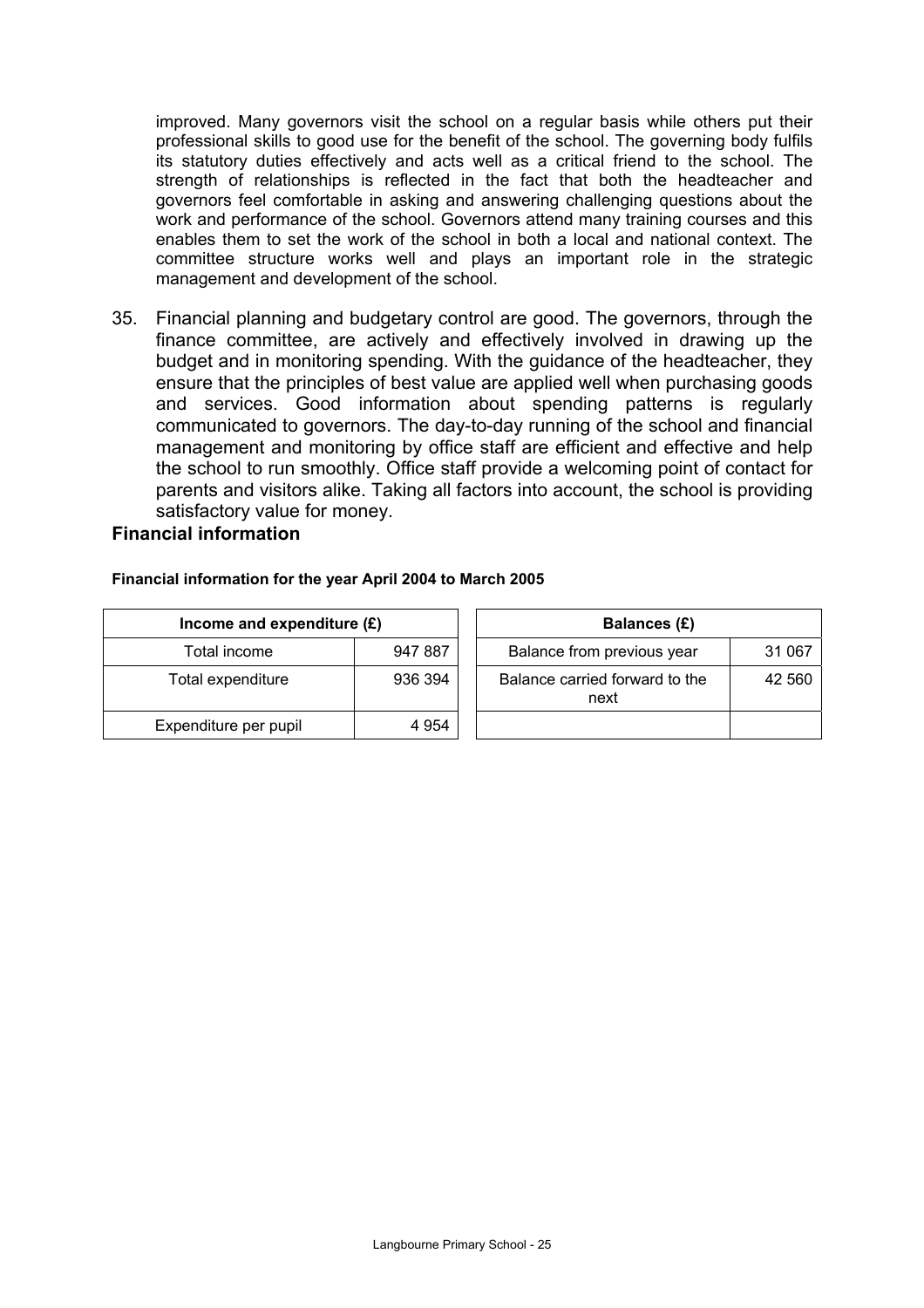improved. Many governors visit the school on a regular basis while others put their professional skills to good use for the benefit of the school. The governing body fulfils its statutory duties effectively and acts well as a critical friend to the school. The strength of relationships is reflected in the fact that both the headteacher and governors feel comfortable in asking and answering challenging questions about the work and performance of the school. Governors attend many training courses and this enables them to set the work of the school in both a local and national context. The committee structure works well and plays an important role in the strategic management and development of the school.

35. Financial planning and budgetary control are good. The governors, through the finance committee, are actively and effectively involved in drawing up the budget and in monitoring spending. With the guidance of the headteacher, they ensure that the principles of best value are applied well when purchasing goods and services. Good information about spending patterns is regularly communicated to governors. The day-to-day running of the school and financial management and monitoring by office staff are efficient and effective and help the school to run smoothly. Office staff provide a welcoming point of contact for parents and visitors alike. Taking all factors into account, the school is providing satisfactory value for money.

#### **Financial information**

#### **Financial information for the year April 2004 to March 2005**

| Income and expenditure $(E)$ |         | Balances (£)                           |        |
|------------------------------|---------|----------------------------------------|--------|
| Total income                 | 947 887 | Balance from previous year             | 31 067 |
| Total expenditure            | 936 394 | Balance carried forward to the<br>next | 42 560 |
| Expenditure per pupil        | 4 954   |                                        |        |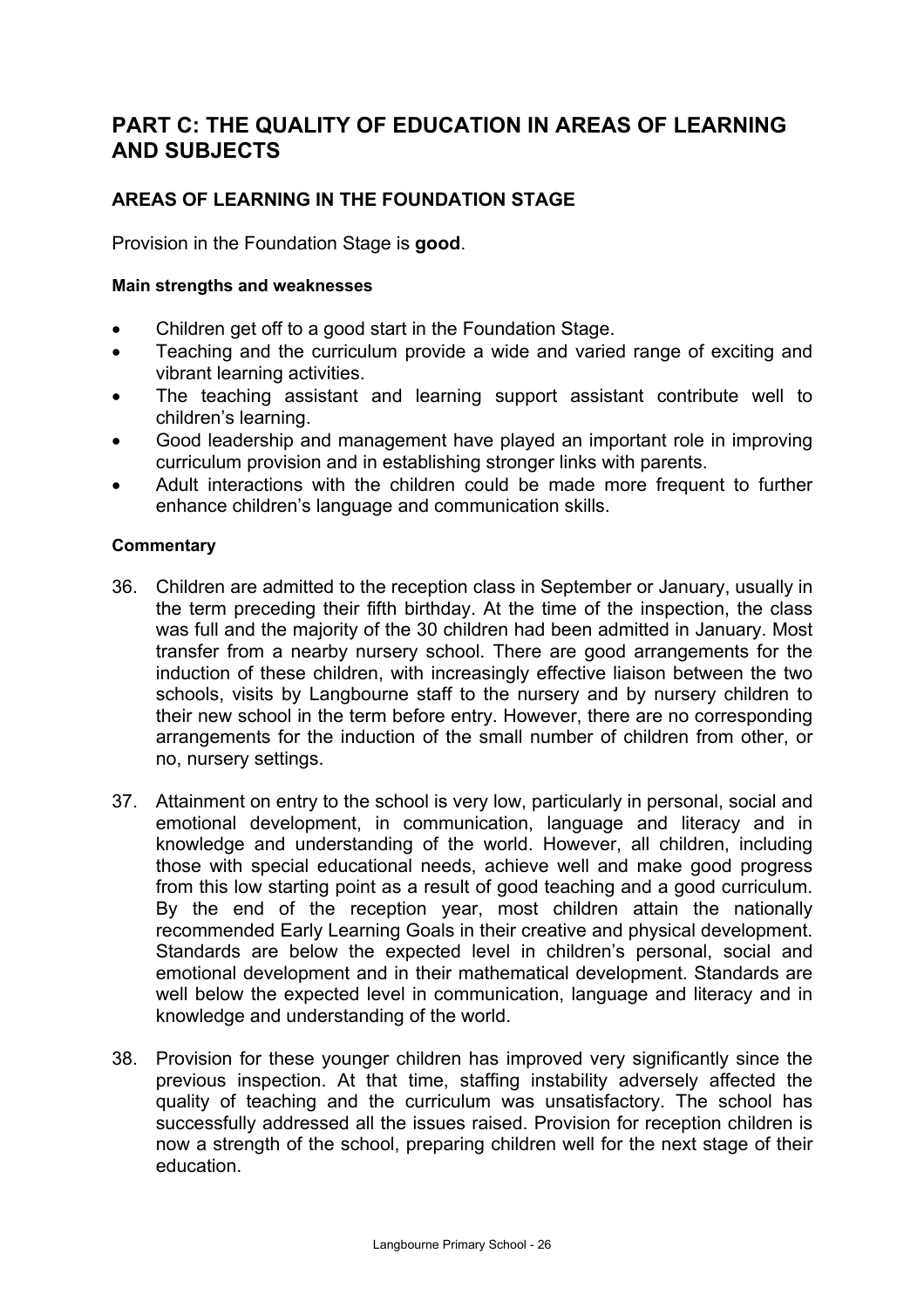# **PART C: THE QUALITY OF EDUCATION IN AREAS OF LEARNING AND SUBJECTS**

# **AREAS OF LEARNING IN THE FOUNDATION STAGE**

Provision in the Foundation Stage is **good**.

#### **Main strengths and weaknesses**

- Children get off to a good start in the Foundation Stage.
- Teaching and the curriculum provide a wide and varied range of exciting and vibrant learning activities.
- The teaching assistant and learning support assistant contribute well to children's learning.
- Good leadership and management have played an important role in improving curriculum provision and in establishing stronger links with parents.
- Adult interactions with the children could be made more frequent to further enhance children's language and communication skills.

#### **Commentary**

- 36. Children are admitted to the reception class in September or January, usually in the term preceding their fifth birthday. At the time of the inspection, the class was full and the majority of the 30 children had been admitted in January. Most transfer from a nearby nursery school. There are good arrangements for the induction of these children, with increasingly effective liaison between the two schools, visits by Langbourne staff to the nursery and by nursery children to their new school in the term before entry. However, there are no corresponding arrangements for the induction of the small number of children from other, or no, nursery settings.
- 37. Attainment on entry to the school is very low, particularly in personal, social and emotional development, in communication, language and literacy and in knowledge and understanding of the world. However, all children, including those with special educational needs, achieve well and make good progress from this low starting point as a result of good teaching and a good curriculum. By the end of the reception year, most children attain the nationally recommended Early Learning Goals in their creative and physical development. Standards are below the expected level in children's personal, social and emotional development and in their mathematical development. Standards are well below the expected level in communication, language and literacy and in knowledge and understanding of the world.
- 38. Provision for these younger children has improved very significantly since the previous inspection. At that time, staffing instability adversely affected the quality of teaching and the curriculum was unsatisfactory. The school has successfully addressed all the issues raised. Provision for reception children is now a strength of the school, preparing children well for the next stage of their education.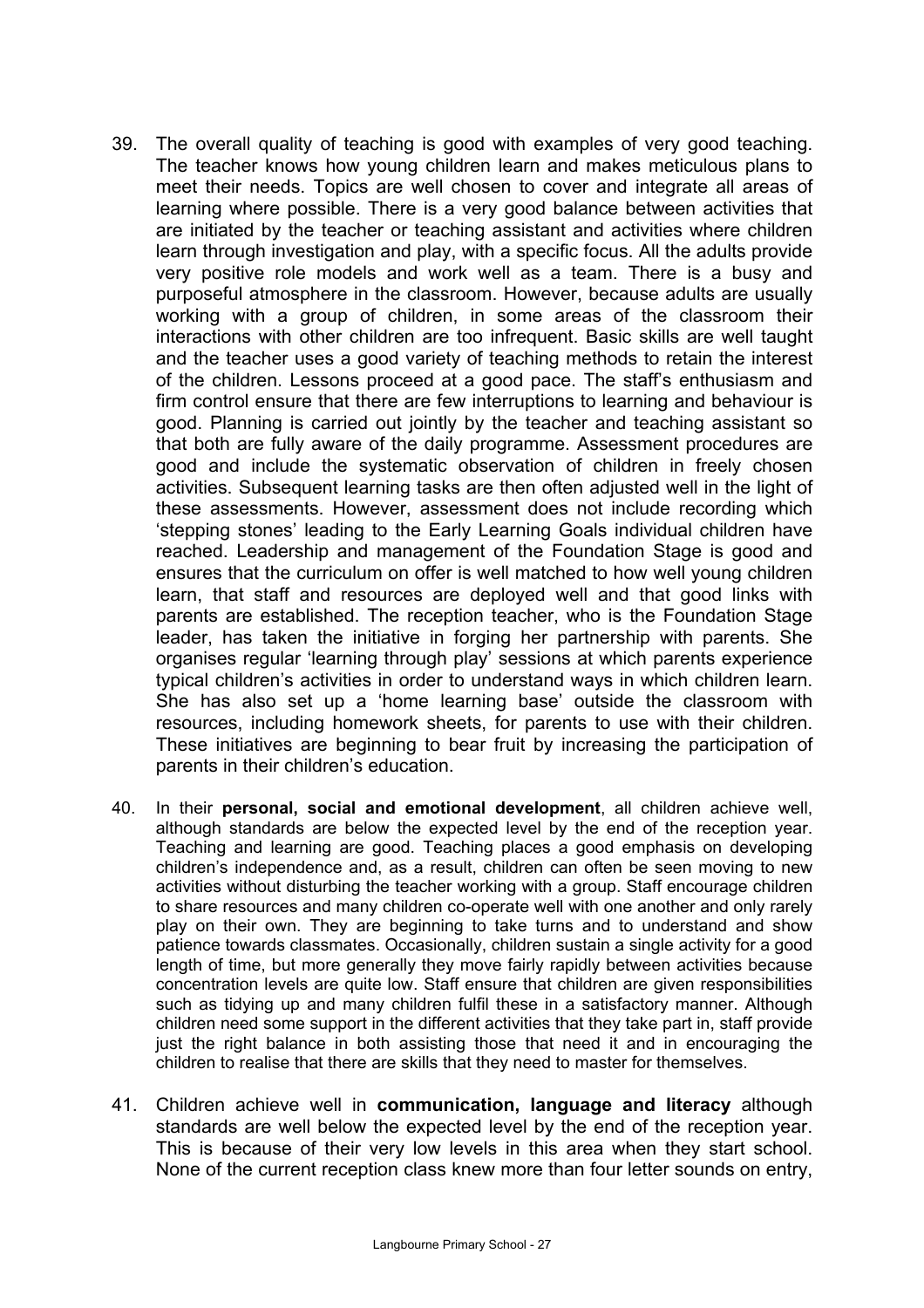- 39. The overall quality of teaching is good with examples of very good teaching. The teacher knows how young children learn and makes meticulous plans to meet their needs. Topics are well chosen to cover and integrate all areas of learning where possible. There is a very good balance between activities that are initiated by the teacher or teaching assistant and activities where children learn through investigation and play, with a specific focus. All the adults provide very positive role models and work well as a team. There is a busy and purposeful atmosphere in the classroom. However, because adults are usually working with a group of children, in some areas of the classroom their interactions with other children are too infrequent. Basic skills are well taught and the teacher uses a good variety of teaching methods to retain the interest of the children. Lessons proceed at a good pace. The staff's enthusiasm and firm control ensure that there are few interruptions to learning and behaviour is good. Planning is carried out jointly by the teacher and teaching assistant so that both are fully aware of the daily programme. Assessment procedures are good and include the systematic observation of children in freely chosen activities. Subsequent learning tasks are then often adjusted well in the light of these assessments. However, assessment does not include recording which 'stepping stones' leading to the Early Learning Goals individual children have reached. Leadership and management of the Foundation Stage is good and ensures that the curriculum on offer is well matched to how well young children learn, that staff and resources are deployed well and that good links with parents are established. The reception teacher, who is the Foundation Stage leader, has taken the initiative in forging her partnership with parents. She organises regular 'learning through play' sessions at which parents experience typical children's activities in order to understand ways in which children learn. She has also set up a 'home learning base' outside the classroom with resources, including homework sheets, for parents to use with their children. These initiatives are beginning to bear fruit by increasing the participation of parents in their children's education.
- 40. In their **personal, social and emotional development**, all children achieve well, although standards are below the expected level by the end of the reception year. Teaching and learning are good. Teaching places a good emphasis on developing children's independence and, as a result, children can often be seen moving to new activities without disturbing the teacher working with a group. Staff encourage children to share resources and many children co-operate well with one another and only rarely play on their own. They are beginning to take turns and to understand and show patience towards classmates. Occasionally, children sustain a single activity for a good length of time, but more generally they move fairly rapidly between activities because concentration levels are quite low. Staff ensure that children are given responsibilities such as tidying up and many children fulfil these in a satisfactory manner. Although children need some support in the different activities that they take part in, staff provide just the right balance in both assisting those that need it and in encouraging the children to realise that there are skills that they need to master for themselves.
- 41. Children achieve well in **communication, language and literacy** although standards are well below the expected level by the end of the reception year. This is because of their very low levels in this area when they start school. None of the current reception class knew more than four letter sounds on entry,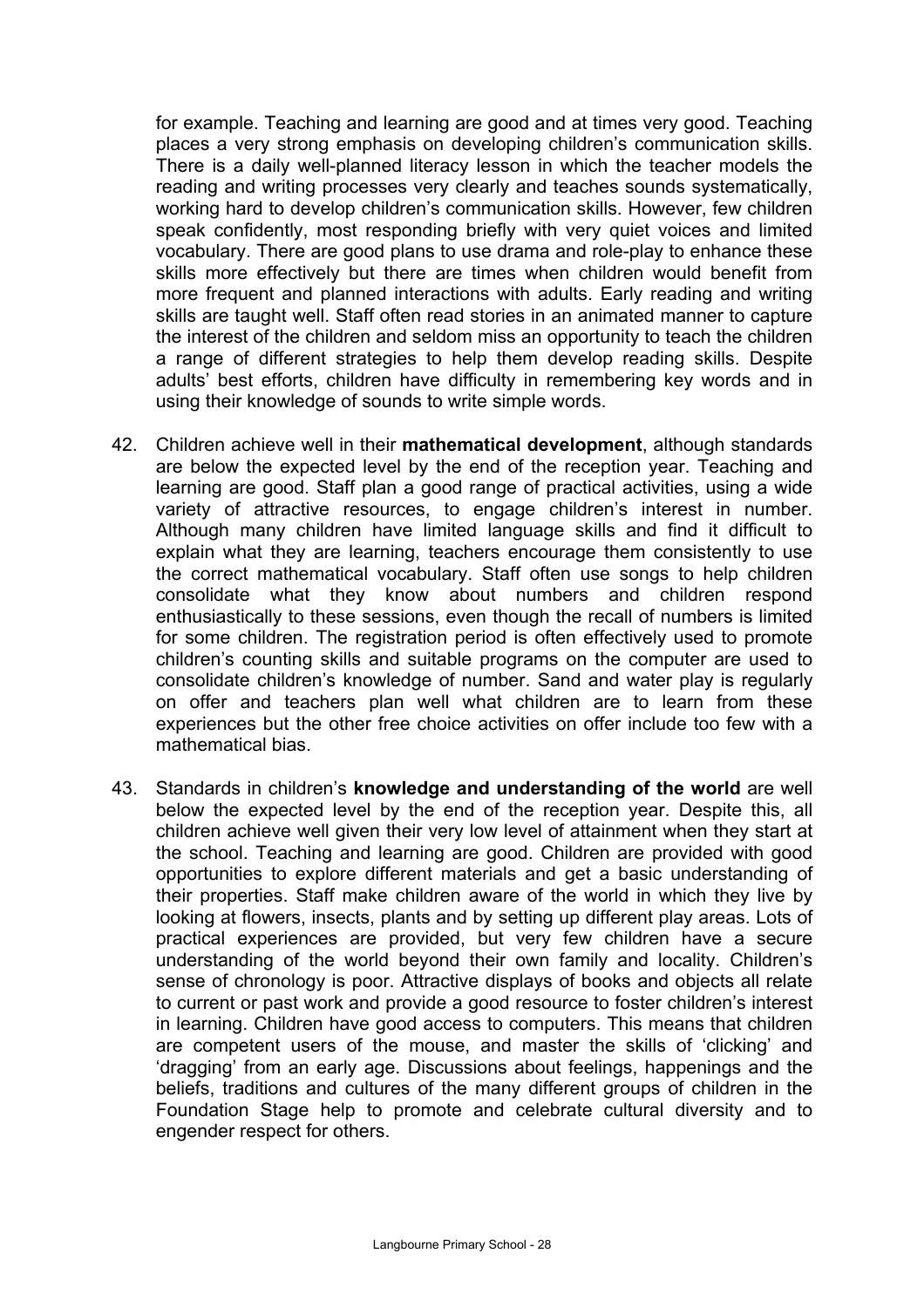for example. Teaching and learning are good and at times very good. Teaching places a very strong emphasis on developing children's communication skills. There is a daily well-planned literacy lesson in which the teacher models the reading and writing processes very clearly and teaches sounds systematically, working hard to develop children's communication skills. However, few children speak confidently, most responding briefly with very quiet voices and limited vocabulary. There are good plans to use drama and role-play to enhance these skills more effectively but there are times when children would benefit from more frequent and planned interactions with adults. Early reading and writing skills are taught well. Staff often read stories in an animated manner to capture the interest of the children and seldom miss an opportunity to teach the children a range of different strategies to help them develop reading skills. Despite adults' best efforts, children have difficulty in remembering key words and in using their knowledge of sounds to write simple words.

- 42. Children achieve well in their **mathematical development**, although standards are below the expected level by the end of the reception year. Teaching and learning are good. Staff plan a good range of practical activities, using a wide variety of attractive resources, to engage children's interest in number. Although many children have limited language skills and find it difficult to explain what they are learning, teachers encourage them consistently to use the correct mathematical vocabulary. Staff often use songs to help children consolidate what they know about numbers and children respond enthusiastically to these sessions, even though the recall of numbers is limited for some children. The registration period is often effectively used to promote children's counting skills and suitable programs on the computer are used to consolidate children's knowledge of number. Sand and water play is regularly on offer and teachers plan well what children are to learn from these experiences but the other free choice activities on offer include too few with a mathematical bias.
- 43. Standards in children's **knowledge and understanding of the world** are well below the expected level by the end of the reception year. Despite this, all children achieve well given their very low level of attainment when they start at the school. Teaching and learning are good. Children are provided with good opportunities to explore different materials and get a basic understanding of their properties. Staff make children aware of the world in which they live by looking at flowers, insects, plants and by setting up different play areas. Lots of practical experiences are provided, but very few children have a secure understanding of the world beyond their own family and locality. Children's sense of chronology is poor. Attractive displays of books and objects all relate to current or past work and provide a good resource to foster children's interest in learning. Children have good access to computers. This means that children are competent users of the mouse, and master the skills of 'clicking' and 'dragging' from an early age. Discussions about feelings, happenings and the beliefs, traditions and cultures of the many different groups of children in the Foundation Stage help to promote and celebrate cultural diversity and to engender respect for others.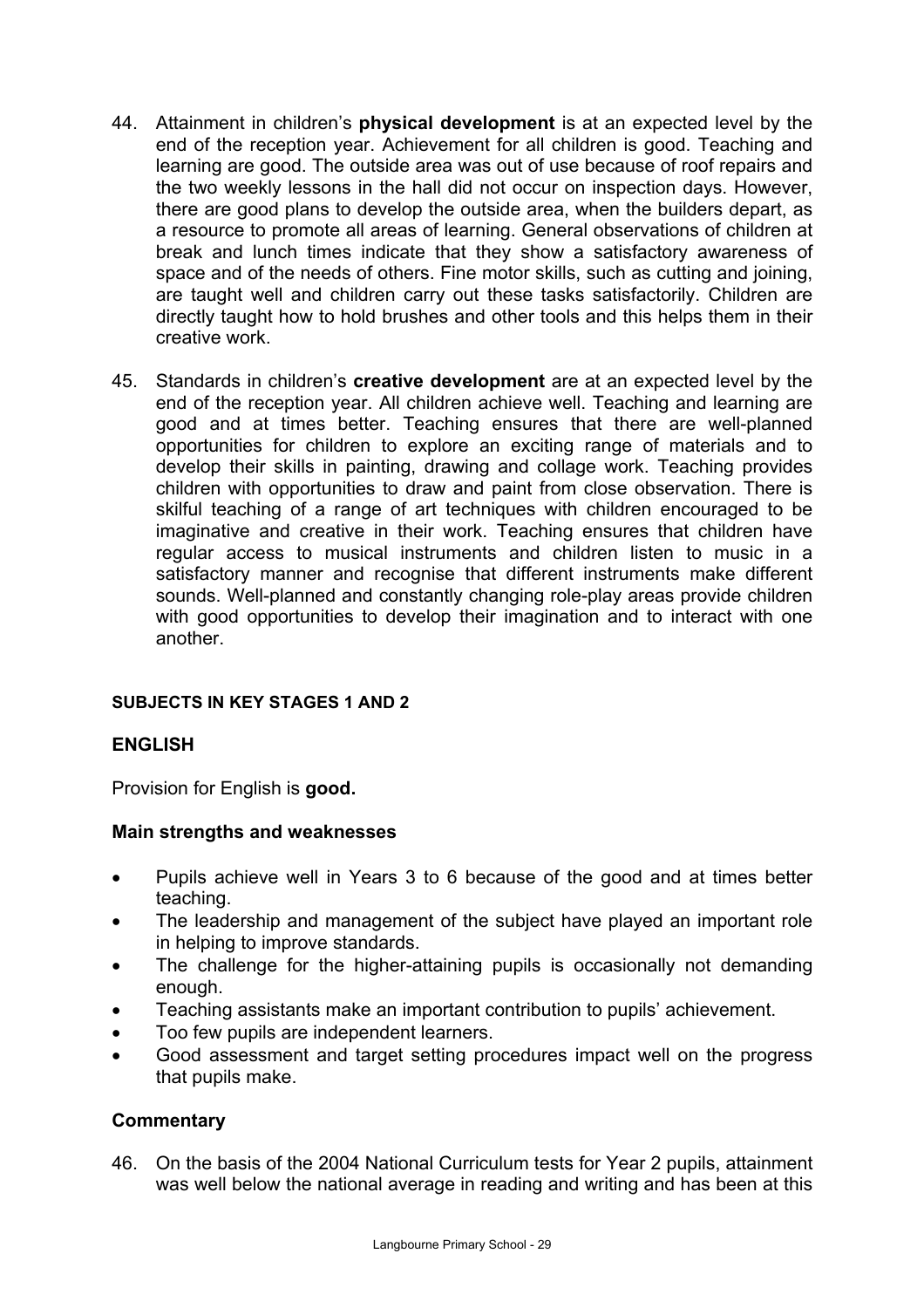- 44. Attainment in children's **physical development** is at an expected level by the end of the reception year. Achievement for all children is good. Teaching and learning are good. The outside area was out of use because of roof repairs and the two weekly lessons in the hall did not occur on inspection days. However, there are good plans to develop the outside area, when the builders depart, as a resource to promote all areas of learning. General observations of children at break and lunch times indicate that they show a satisfactory awareness of space and of the needs of others. Fine motor skills, such as cutting and joining, are taught well and children carry out these tasks satisfactorily. Children are directly taught how to hold brushes and other tools and this helps them in their creative work.
- 45. Standards in children's **creative development** are at an expected level by the end of the reception year. All children achieve well. Teaching and learning are good and at times better. Teaching ensures that there are well-planned opportunities for children to explore an exciting range of materials and to develop their skills in painting, drawing and collage work. Teaching provides children with opportunities to draw and paint from close observation. There is skilful teaching of a range of art techniques with children encouraged to be imaginative and creative in their work. Teaching ensures that children have regular access to musical instruments and children listen to music in a satisfactory manner and recognise that different instruments make different sounds. Well-planned and constantly changing role-play areas provide children with good opportunities to develop their imagination and to interact with one another.

## **SUBJECTS IN KEY STAGES 1 AND 2**

## **ENGLISH**

Provision for English is **good.** 

#### **Main strengths and weaknesses**

- Pupils achieve well in Years 3 to 6 because of the good and at times better teaching.
- The leadership and management of the subject have played an important role in helping to improve standards.
- The challenge for the higher-attaining pupils is occasionally not demanding enough.
- Teaching assistants make an important contribution to pupils' achievement.
- Too few pupils are independent learners.
- Good assessment and target setting procedures impact well on the progress that pupils make.

## **Commentary**

46. On the basis of the 2004 National Curriculum tests for Year 2 pupils, attainment was well below the national average in reading and writing and has been at this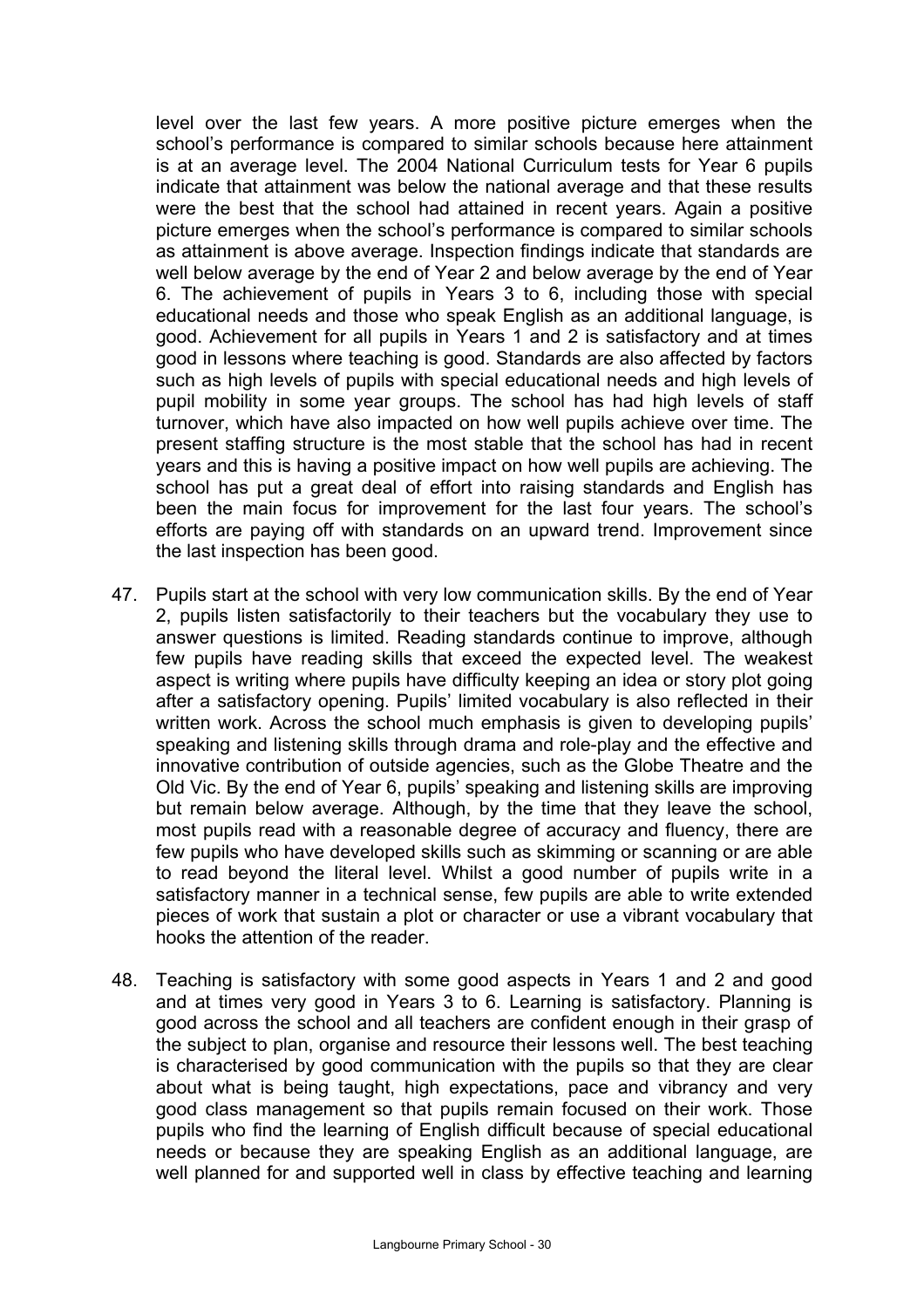level over the last few years. A more positive picture emerges when the school's performance is compared to similar schools because here attainment is at an average level. The 2004 National Curriculum tests for Year 6 pupils indicate that attainment was below the national average and that these results were the best that the school had attained in recent years. Again a positive picture emerges when the school's performance is compared to similar schools as attainment is above average. Inspection findings indicate that standards are well below average by the end of Year 2 and below average by the end of Year 6. The achievement of pupils in Years 3 to 6, including those with special educational needs and those who speak English as an additional language, is good. Achievement for all pupils in Years 1 and 2 is satisfactory and at times good in lessons where teaching is good. Standards are also affected by factors such as high levels of pupils with special educational needs and high levels of pupil mobility in some year groups. The school has had high levels of staff turnover, which have also impacted on how well pupils achieve over time. The present staffing structure is the most stable that the school has had in recent years and this is having a positive impact on how well pupils are achieving. The school has put a great deal of effort into raising standards and English has been the main focus for improvement for the last four years. The school's efforts are paying off with standards on an upward trend. Improvement since the last inspection has been good.

- 47. Pupils start at the school with very low communication skills. By the end of Year 2, pupils listen satisfactorily to their teachers but the vocabulary they use to answer questions is limited. Reading standards continue to improve, although few pupils have reading skills that exceed the expected level. The weakest aspect is writing where pupils have difficulty keeping an idea or story plot going after a satisfactory opening. Pupils' limited vocabulary is also reflected in their written work. Across the school much emphasis is given to developing pupils' speaking and listening skills through drama and role-play and the effective and innovative contribution of outside agencies, such as the Globe Theatre and the Old Vic. By the end of Year 6, pupils' speaking and listening skills are improving but remain below average. Although, by the time that they leave the school, most pupils read with a reasonable degree of accuracy and fluency, there are few pupils who have developed skills such as skimming or scanning or are able to read beyond the literal level. Whilst a good number of pupils write in a satisfactory manner in a technical sense, few pupils are able to write extended pieces of work that sustain a plot or character or use a vibrant vocabulary that hooks the attention of the reader.
- 48. Teaching is satisfactory with some good aspects in Years 1 and 2 and good and at times very good in Years 3 to 6. Learning is satisfactory. Planning is good across the school and all teachers are confident enough in their grasp of the subject to plan, organise and resource their lessons well. The best teaching is characterised by good communication with the pupils so that they are clear about what is being taught, high expectations, pace and vibrancy and very good class management so that pupils remain focused on their work. Those pupils who find the learning of English difficult because of special educational needs or because they are speaking English as an additional language, are well planned for and supported well in class by effective teaching and learning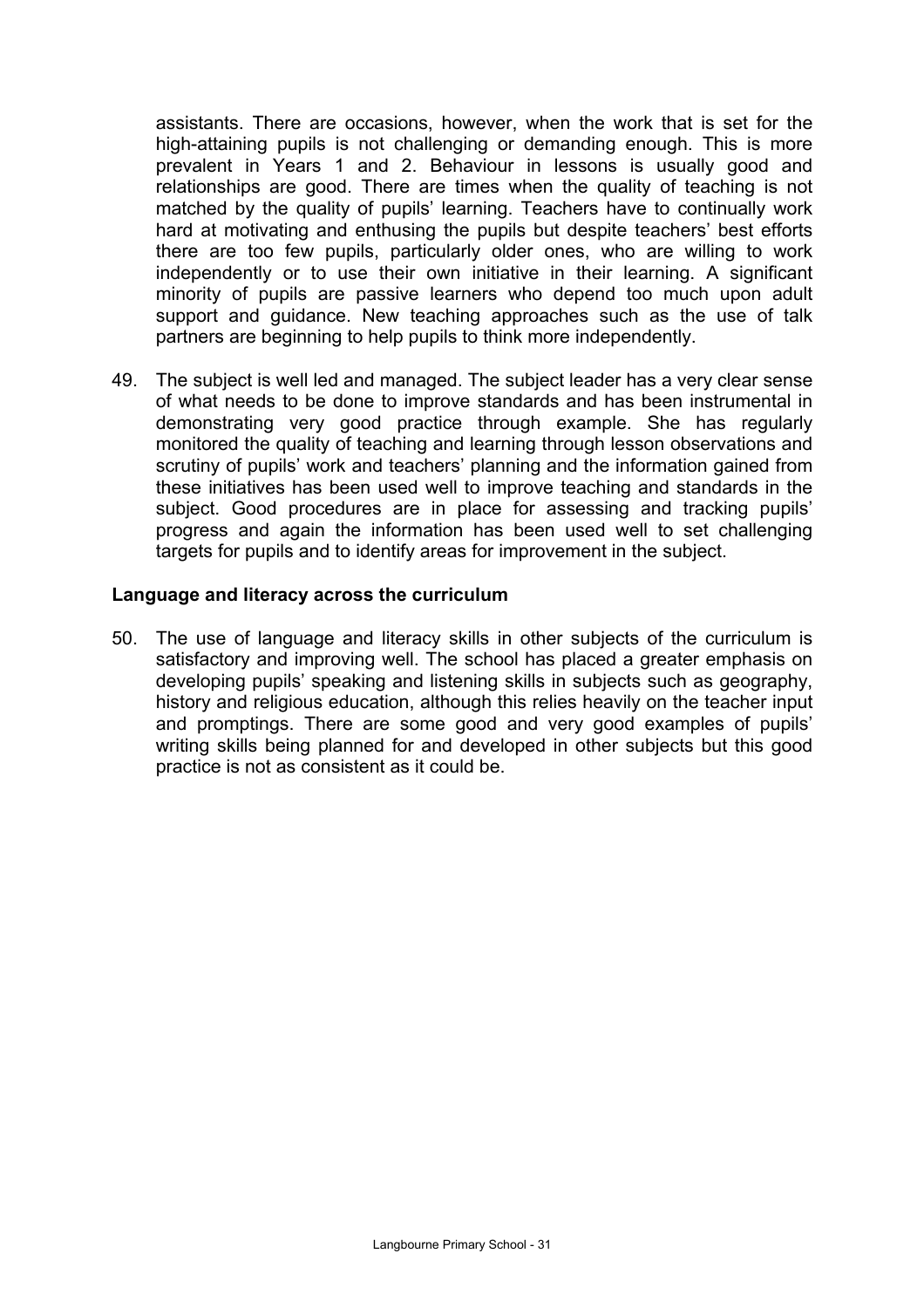assistants. There are occasions, however, when the work that is set for the high-attaining pupils is not challenging or demanding enough. This is more prevalent in Years 1 and 2. Behaviour in lessons is usually good and relationships are good. There are times when the quality of teaching is not matched by the quality of pupils' learning. Teachers have to continually work hard at motivating and enthusing the pupils but despite teachers' best efforts there are too few pupils, particularly older ones, who are willing to work independently or to use their own initiative in their learning. A significant minority of pupils are passive learners who depend too much upon adult support and guidance. New teaching approaches such as the use of talk partners are beginning to help pupils to think more independently.

49. The subject is well led and managed. The subject leader has a very clear sense of what needs to be done to improve standards and has been instrumental in demonstrating very good practice through example. She has regularly monitored the quality of teaching and learning through lesson observations and scrutiny of pupils' work and teachers' planning and the information gained from these initiatives has been used well to improve teaching and standards in the subject. Good procedures are in place for assessing and tracking pupils' progress and again the information has been used well to set challenging targets for pupils and to identify areas for improvement in the subject.

#### **Language and literacy across the curriculum**

50. The use of language and literacy skills in other subjects of the curriculum is satisfactory and improving well. The school has placed a greater emphasis on developing pupils' speaking and listening skills in subjects such as geography, history and religious education, although this relies heavily on the teacher input and promptings. There are some good and very good examples of pupils' writing skills being planned for and developed in other subjects but this good practice is not as consistent as it could be.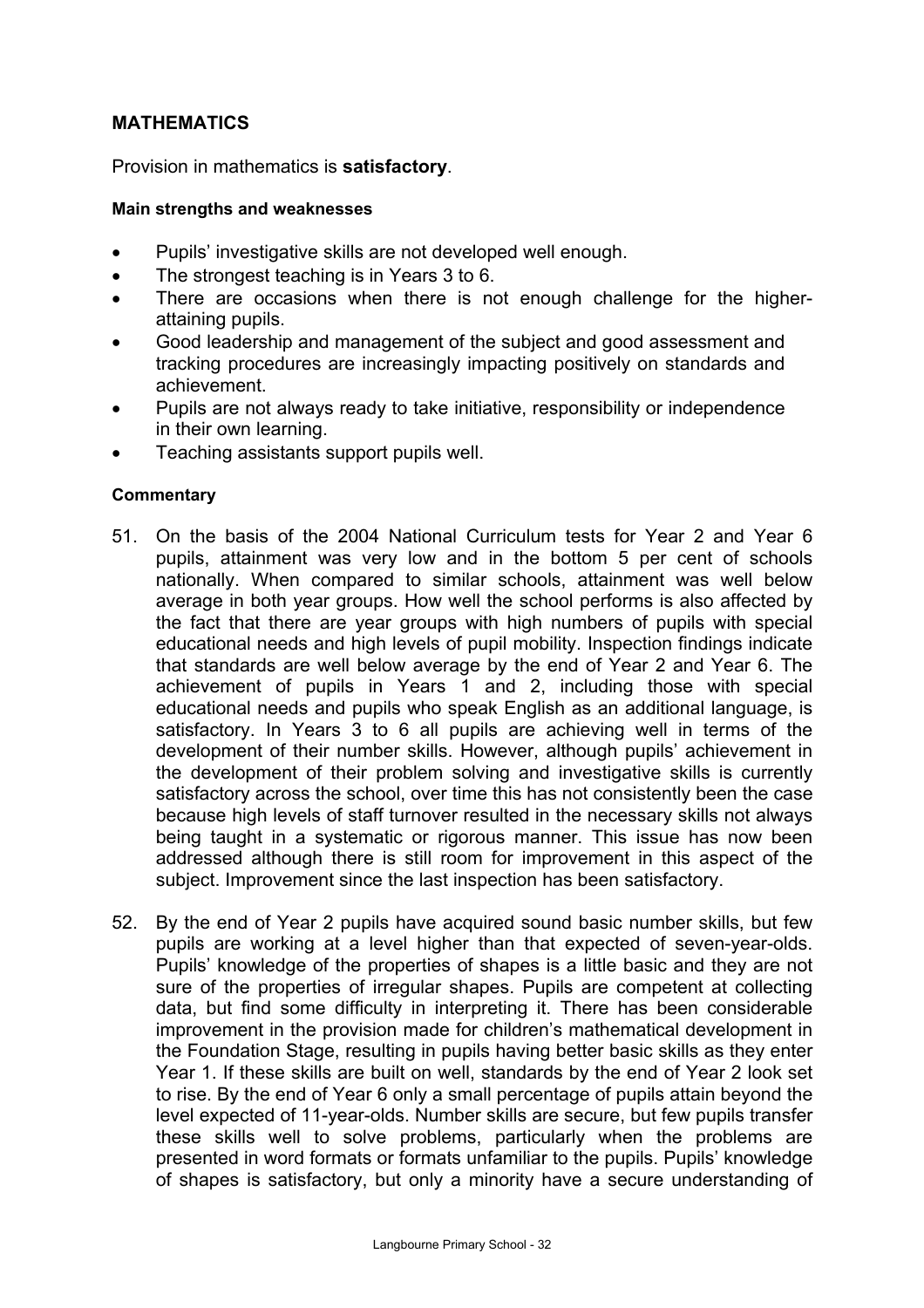## **MATHEMATICS**

Provision in mathematics is **satisfactory**.

#### **Main strengths and weaknesses**

- Pupils' investigative skills are not developed well enough.
- The strongest teaching is in Years 3 to 6.
- There are occasions when there is not enough challenge for the higherattaining pupils.
- Good leadership and management of the subject and good assessment and tracking procedures are increasingly impacting positively on standards and achievement.
- Pupils are not always ready to take initiative, responsibility or independence in their own learning.
- Teaching assistants support pupils well.

#### **Commentary**

- 51. On the basis of the 2004 National Curriculum tests for Year 2 and Year 6 pupils, attainment was very low and in the bottom 5 per cent of schools nationally. When compared to similar schools, attainment was well below average in both year groups. How well the school performs is also affected by the fact that there are year groups with high numbers of pupils with special educational needs and high levels of pupil mobility. Inspection findings indicate that standards are well below average by the end of Year 2 and Year 6. The achievement of pupils in Years 1 and 2, including those with special educational needs and pupils who speak English as an additional language, is satisfactory. In Years 3 to 6 all pupils are achieving well in terms of the development of their number skills. However, although pupils' achievement in the development of their problem solving and investigative skills is currently satisfactory across the school, over time this has not consistently been the case because high levels of staff turnover resulted in the necessary skills not always being taught in a systematic or rigorous manner. This issue has now been addressed although there is still room for improvement in this aspect of the subject. Improvement since the last inspection has been satisfactory.
- 52. By the end of Year 2 pupils have acquired sound basic number skills, but few pupils are working at a level higher than that expected of seven-year-olds. Pupils' knowledge of the properties of shapes is a little basic and they are not sure of the properties of irregular shapes. Pupils are competent at collecting data, but find some difficulty in interpreting it. There has been considerable improvement in the provision made for children's mathematical development in the Foundation Stage, resulting in pupils having better basic skills as they enter Year 1. If these skills are built on well, standards by the end of Year 2 look set to rise. By the end of Year 6 only a small percentage of pupils attain beyond the level expected of 11-year-olds. Number skills are secure, but few pupils transfer these skills well to solve problems, particularly when the problems are presented in word formats or formats unfamiliar to the pupils. Pupils' knowledge of shapes is satisfactory, but only a minority have a secure understanding of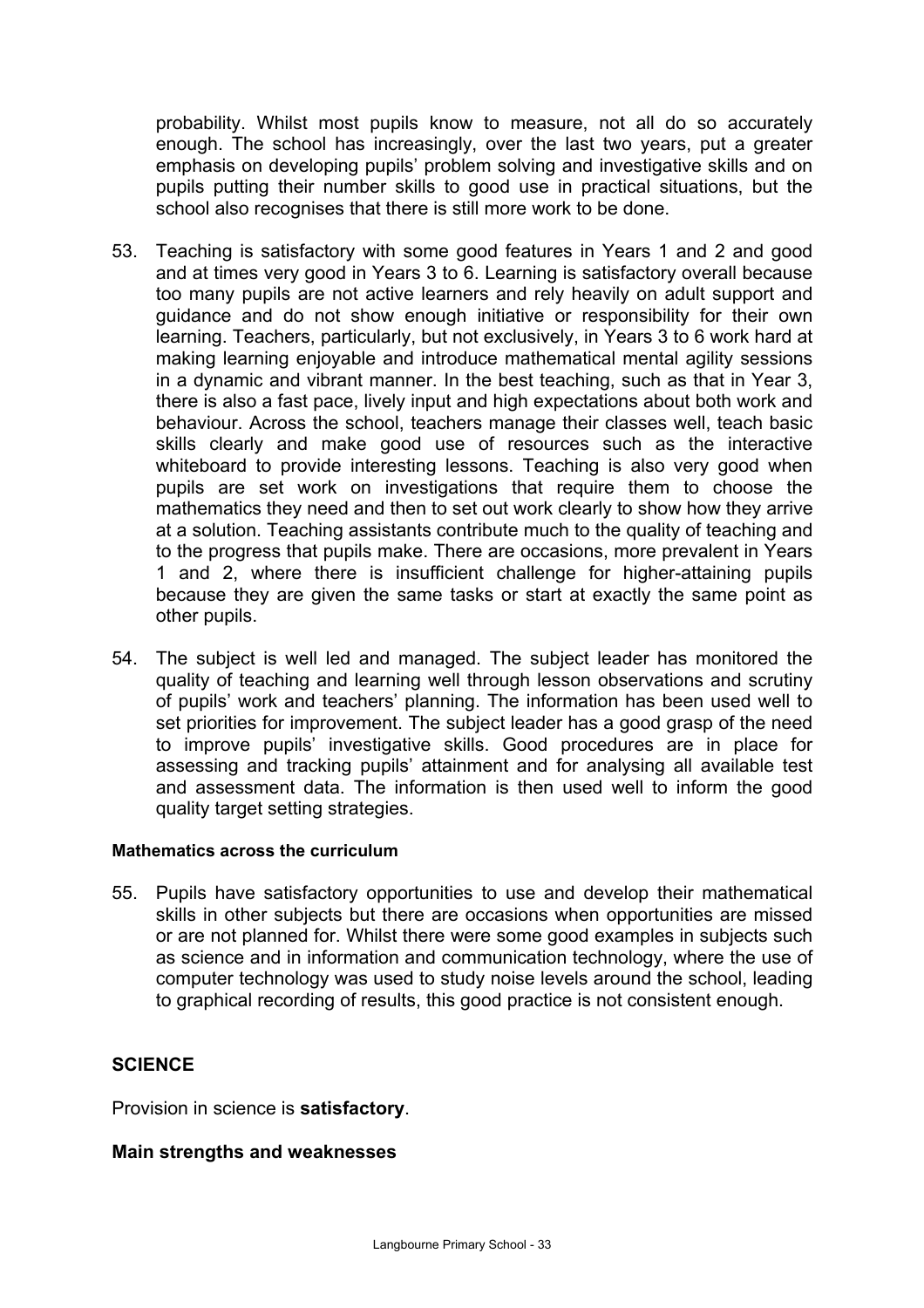probability. Whilst most pupils know to measure, not all do so accurately enough. The school has increasingly, over the last two years, put a greater emphasis on developing pupils' problem solving and investigative skills and on pupils putting their number skills to good use in practical situations, but the school also recognises that there is still more work to be done.

- 53. Teaching is satisfactory with some good features in Years 1 and 2 and good and at times very good in Years 3 to 6. Learning is satisfactory overall because too many pupils are not active learners and rely heavily on adult support and guidance and do not show enough initiative or responsibility for their own learning. Teachers, particularly, but not exclusively, in Years 3 to 6 work hard at making learning enjoyable and introduce mathematical mental agility sessions in a dynamic and vibrant manner. In the best teaching, such as that in Year 3, there is also a fast pace, lively input and high expectations about both work and behaviour. Across the school, teachers manage their classes well, teach basic skills clearly and make good use of resources such as the interactive whiteboard to provide interesting lessons. Teaching is also very good when pupils are set work on investigations that require them to choose the mathematics they need and then to set out work clearly to show how they arrive at a solution. Teaching assistants contribute much to the quality of teaching and to the progress that pupils make. There are occasions, more prevalent in Years 1 and 2, where there is insufficient challenge for higher-attaining pupils because they are given the same tasks or start at exactly the same point as other pupils.
- 54. The subject is well led and managed. The subject leader has monitored the quality of teaching and learning well through lesson observations and scrutiny of pupils' work and teachers' planning. The information has been used well to set priorities for improvement. The subject leader has a good grasp of the need to improve pupils' investigative skills. Good procedures are in place for assessing and tracking pupils' attainment and for analysing all available test and assessment data. The information is then used well to inform the good quality target setting strategies.

#### **Mathematics across the curriculum**

55. Pupils have satisfactory opportunities to use and develop their mathematical skills in other subjects but there are occasions when opportunities are missed or are not planned for. Whilst there were some good examples in subjects such as science and in information and communication technology, where the use of computer technology was used to study noise levels around the school, leading to graphical recording of results, this good practice is not consistent enough.

## **SCIENCE**

Provision in science is **satisfactory**.

## **Main strengths and weaknesses**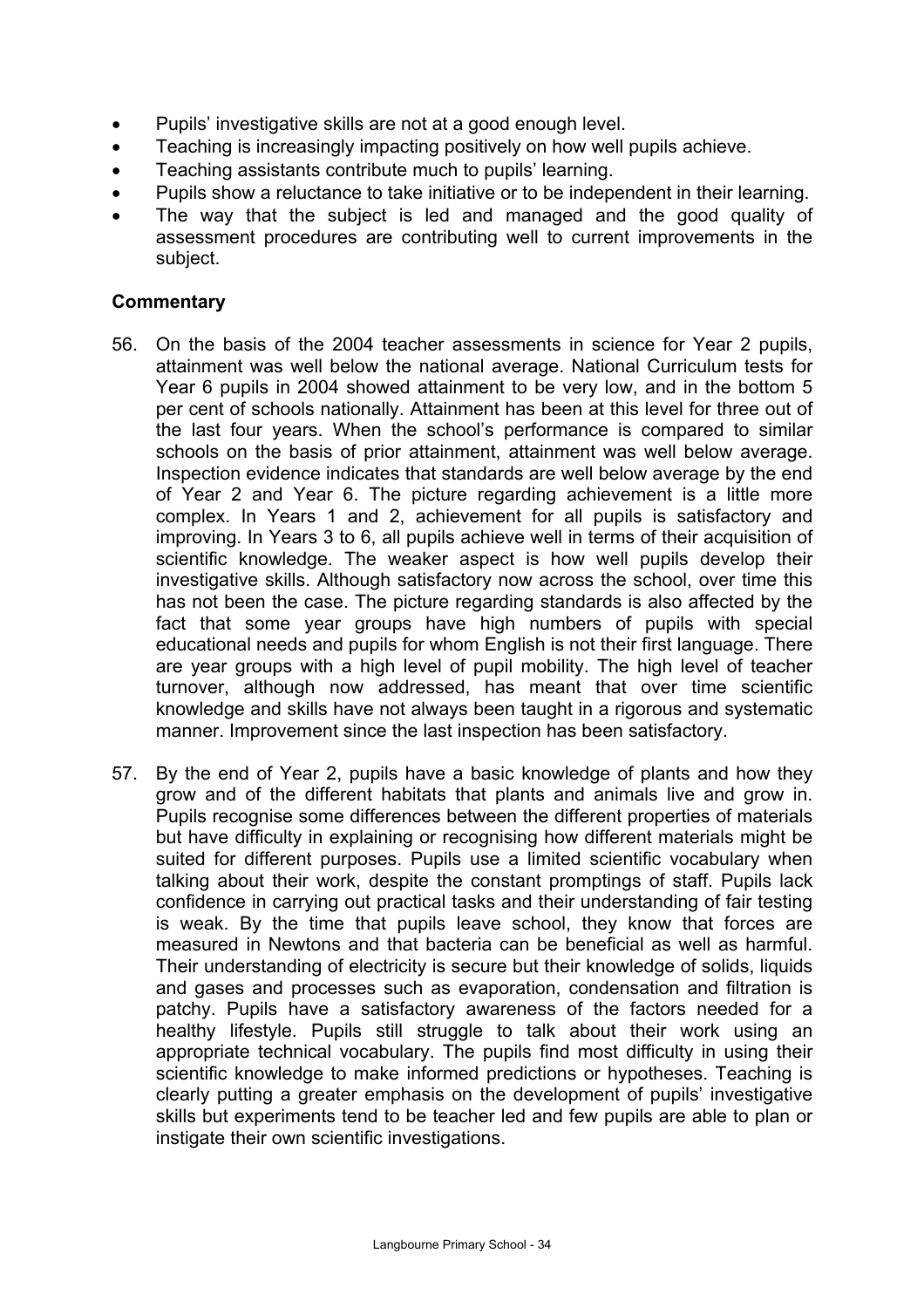- Pupils' investigative skills are not at a good enough level.
- Teaching is increasingly impacting positively on how well pupils achieve.
- Teaching assistants contribute much to pupils' learning.
- Pupils show a reluctance to take initiative or to be independent in their learning.
- The way that the subject is led and managed and the good quality of assessment procedures are contributing well to current improvements in the subject.

#### **Commentary**

- 56. On the basis of the 2004 teacher assessments in science for Year 2 pupils, attainment was well below the national average. National Curriculum tests for Year 6 pupils in 2004 showed attainment to be very low, and in the bottom 5 per cent of schools nationally. Attainment has been at this level for three out of the last four years. When the school's performance is compared to similar schools on the basis of prior attainment, attainment was well below average. Inspection evidence indicates that standards are well below average by the end of Year 2 and Year 6. The picture regarding achievement is a little more complex. In Years 1 and 2, achievement for all pupils is satisfactory and improving. In Years 3 to 6, all pupils achieve well in terms of their acquisition of scientific knowledge. The weaker aspect is how well pupils develop their investigative skills. Although satisfactory now across the school, over time this has not been the case. The picture regarding standards is also affected by the fact that some year groups have high numbers of pupils with special educational needs and pupils for whom English is not their first language. There are year groups with a high level of pupil mobility. The high level of teacher turnover, although now addressed, has meant that over time scientific knowledge and skills have not always been taught in a rigorous and systematic manner. Improvement since the last inspection has been satisfactory.
- 57. By the end of Year 2, pupils have a basic knowledge of plants and how they grow and of the different habitats that plants and animals live and grow in. Pupils recognise some differences between the different properties of materials but have difficulty in explaining or recognising how different materials might be suited for different purposes. Pupils use a limited scientific vocabulary when talking about their work, despite the constant promptings of staff. Pupils lack confidence in carrying out practical tasks and their understanding of fair testing is weak. By the time that pupils leave school, they know that forces are measured in Newtons and that bacteria can be beneficial as well as harmful. Their understanding of electricity is secure but their knowledge of solids, liquids and gases and processes such as evaporation, condensation and filtration is patchy. Pupils have a satisfactory awareness of the factors needed for a healthy lifestyle. Pupils still struggle to talk about their work using an appropriate technical vocabulary. The pupils find most difficulty in using their scientific knowledge to make informed predictions or hypotheses. Teaching is clearly putting a greater emphasis on the development of pupils' investigative skills but experiments tend to be teacher led and few pupils are able to plan or instigate their own scientific investigations.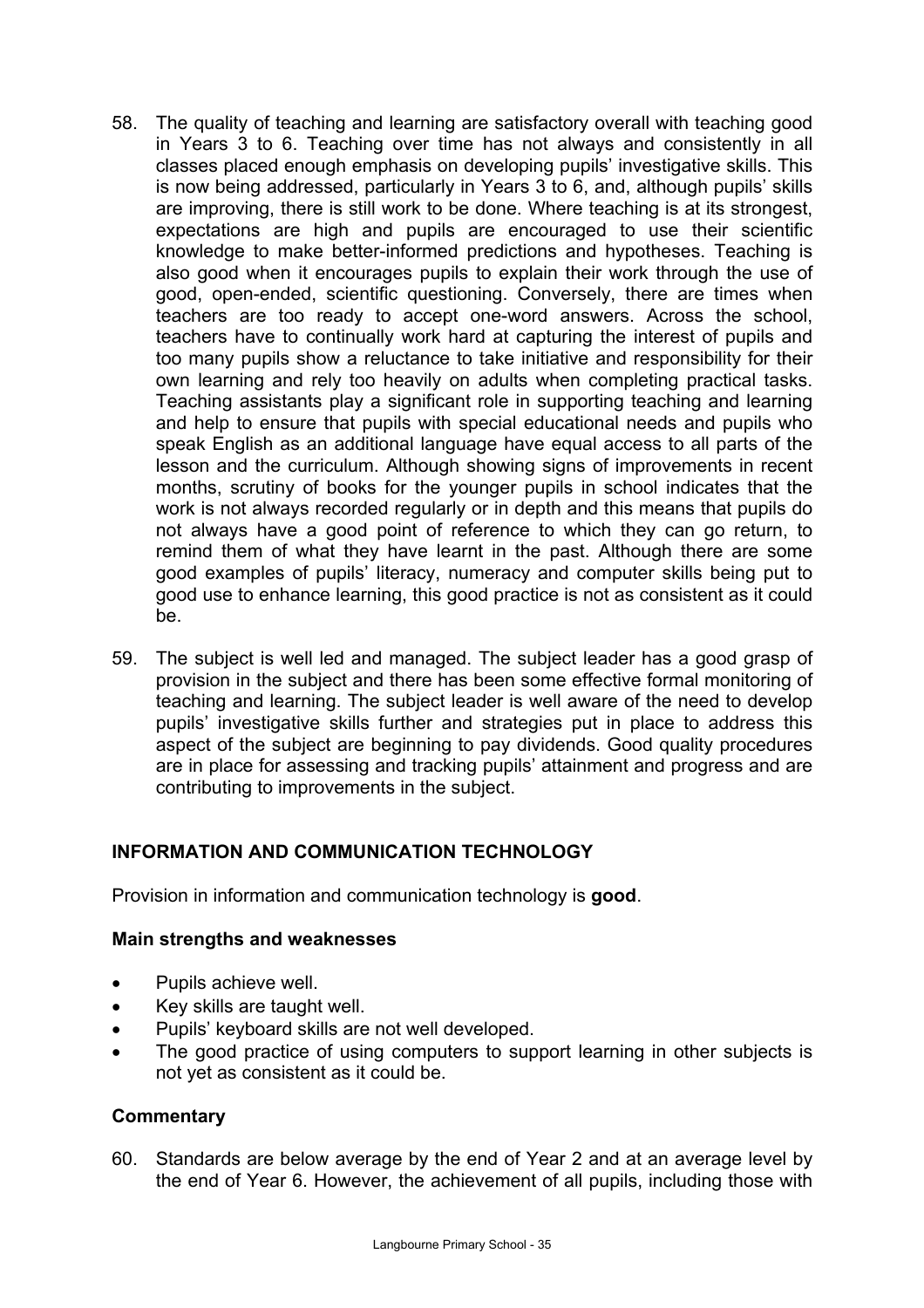- 58. The quality of teaching and learning are satisfactory overall with teaching good in Years 3 to 6. Teaching over time has not always and consistently in all classes placed enough emphasis on developing pupils' investigative skills. This is now being addressed, particularly in Years 3 to 6, and, although pupils' skills are improving, there is still work to be done. Where teaching is at its strongest, expectations are high and pupils are encouraged to use their scientific knowledge to make better-informed predictions and hypotheses. Teaching is also good when it encourages pupils to explain their work through the use of good, open-ended, scientific questioning. Conversely, there are times when teachers are too ready to accept one-word answers. Across the school, teachers have to continually work hard at capturing the interest of pupils and too many pupils show a reluctance to take initiative and responsibility for their own learning and rely too heavily on adults when completing practical tasks. Teaching assistants play a significant role in supporting teaching and learning and help to ensure that pupils with special educational needs and pupils who speak English as an additional language have equal access to all parts of the lesson and the curriculum. Although showing signs of improvements in recent months, scrutiny of books for the younger pupils in school indicates that the work is not always recorded regularly or in depth and this means that pupils do not always have a good point of reference to which they can go return, to remind them of what they have learnt in the past. Although there are some good examples of pupils' literacy, numeracy and computer skills being put to good use to enhance learning, this good practice is not as consistent as it could be.
- 59. The subject is well led and managed. The subject leader has a good grasp of provision in the subject and there has been some effective formal monitoring of teaching and learning. The subject leader is well aware of the need to develop pupils' investigative skills further and strategies put in place to address this aspect of the subject are beginning to pay dividends. Good quality procedures are in place for assessing and tracking pupils' attainment and progress and are contributing to improvements in the subject.

# **INFORMATION AND COMMUNICATION TECHNOLOGY**

Provision in information and communication technology is **good**.

#### **Main strengths and weaknesses**

- Pupils achieve well.
- Key skills are taught well.
- Pupils' keyboard skills are not well developed.
- The good practice of using computers to support learning in other subjects is not yet as consistent as it could be.

#### **Commentary**

60. Standards are below average by the end of Year 2 and at an average level by the end of Year 6. However, the achievement of all pupils, including those with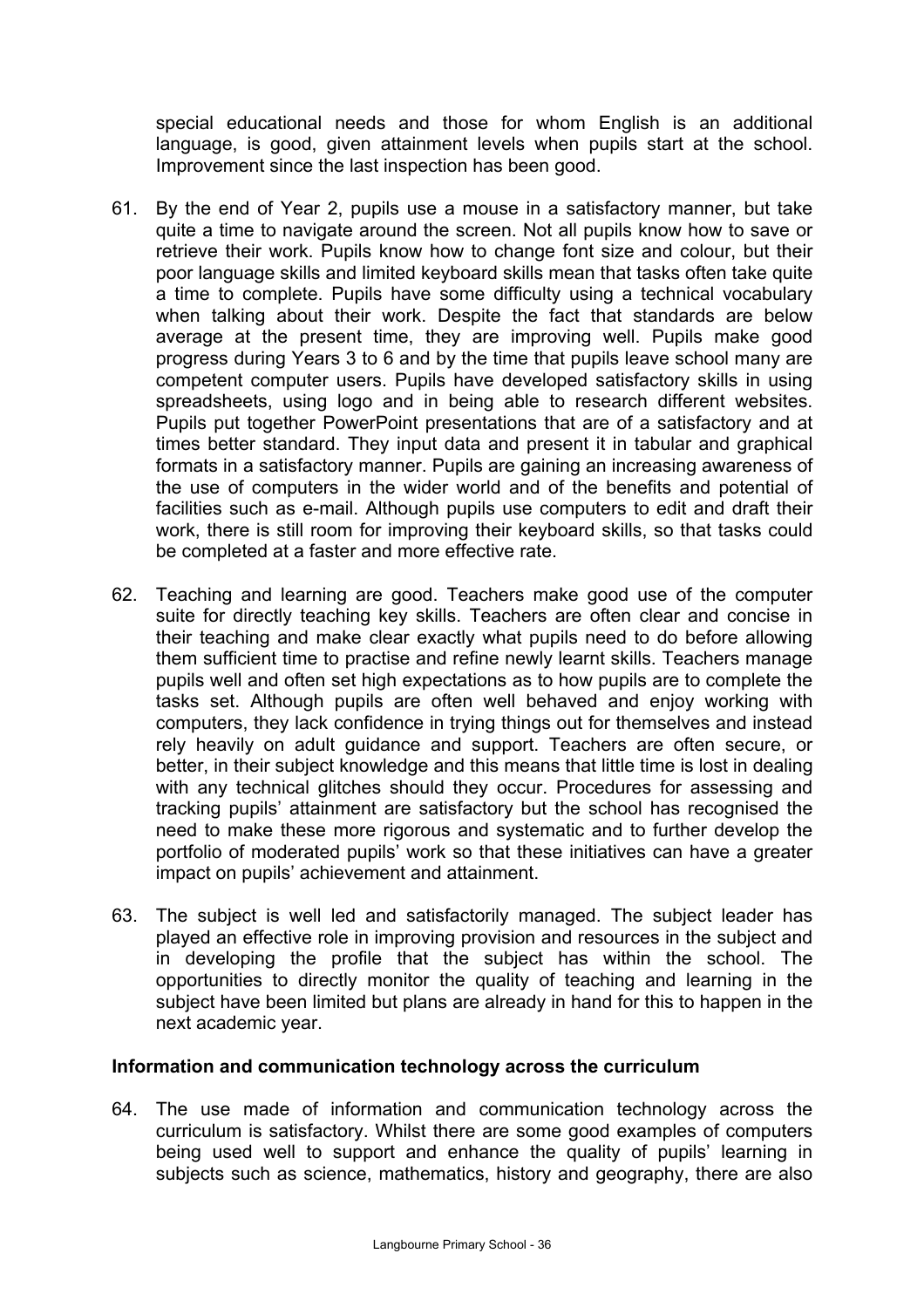special educational needs and those for whom English is an additional language, is good, given attainment levels when pupils start at the school. Improvement since the last inspection has been good.

- 61. By the end of Year 2, pupils use a mouse in a satisfactory manner, but take quite a time to navigate around the screen. Not all pupils know how to save or retrieve their work. Pupils know how to change font size and colour, but their poor language skills and limited keyboard skills mean that tasks often take quite a time to complete. Pupils have some difficulty using a technical vocabulary when talking about their work. Despite the fact that standards are below average at the present time, they are improving well. Pupils make good progress during Years 3 to 6 and by the time that pupils leave school many are competent computer users. Pupils have developed satisfactory skills in using spreadsheets, using logo and in being able to research different websites. Pupils put together PowerPoint presentations that are of a satisfactory and at times better standard. They input data and present it in tabular and graphical formats in a satisfactory manner. Pupils are gaining an increasing awareness of the use of computers in the wider world and of the benefits and potential of facilities such as e-mail. Although pupils use computers to edit and draft their work, there is still room for improving their keyboard skills, so that tasks could be completed at a faster and more effective rate.
- 62. Teaching and learning are good. Teachers make good use of the computer suite for directly teaching key skills. Teachers are often clear and concise in their teaching and make clear exactly what pupils need to do before allowing them sufficient time to practise and refine newly learnt skills. Teachers manage pupils well and often set high expectations as to how pupils are to complete the tasks set. Although pupils are often well behaved and enjoy working with computers, they lack confidence in trying things out for themselves and instead rely heavily on adult guidance and support. Teachers are often secure, or better, in their subject knowledge and this means that little time is lost in dealing with any technical glitches should they occur. Procedures for assessing and tracking pupils' attainment are satisfactory but the school has recognised the need to make these more rigorous and systematic and to further develop the portfolio of moderated pupils' work so that these initiatives can have a greater impact on pupils' achievement and attainment.
- 63. The subject is well led and satisfactorily managed. The subject leader has played an effective role in improving provision and resources in the subject and in developing the profile that the subject has within the school. The opportunities to directly monitor the quality of teaching and learning in the subject have been limited but plans are already in hand for this to happen in the next academic year.

## **Information and communication technology across the curriculum**

64. The use made of information and communication technology across the curriculum is satisfactory. Whilst there are some good examples of computers being used well to support and enhance the quality of pupils' learning in subjects such as science, mathematics, history and geography, there are also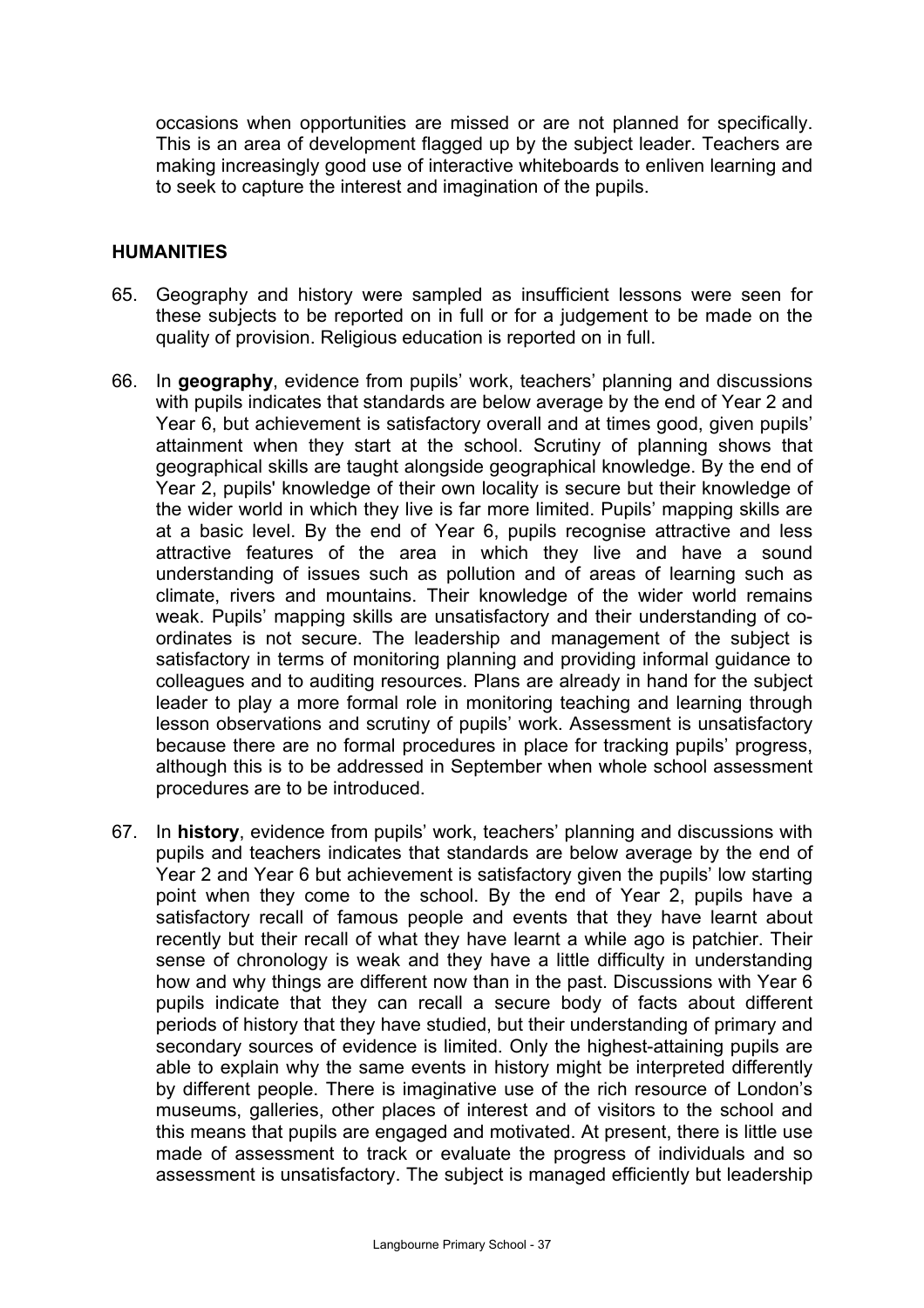occasions when opportunities are missed or are not planned for specifically. This is an area of development flagged up by the subject leader. Teachers are making increasingly good use of interactive whiteboards to enliven learning and to seek to capture the interest and imagination of the pupils.

#### **HUMANITIES**

- 65. Geography and history were sampled as insufficient lessons were seen for these subjects to be reported on in full or for a judgement to be made on the quality of provision. Religious education is reported on in full.
- 66. In **geography**, evidence from pupils' work, teachers' planning and discussions with pupils indicates that standards are below average by the end of Year 2 and Year 6, but achievement is satisfactory overall and at times good, given pupils' attainment when they start at the school. Scrutiny of planning shows that geographical skills are taught alongside geographical knowledge. By the end of Year 2, pupils' knowledge of their own locality is secure but their knowledge of the wider world in which they live is far more limited. Pupils' mapping skills are at a basic level. By the end of Year 6, pupils recognise attractive and less attractive features of the area in which they live and have a sound understanding of issues such as pollution and of areas of learning such as climate, rivers and mountains. Their knowledge of the wider world remains weak. Pupils' mapping skills are unsatisfactory and their understanding of coordinates is not secure. The leadership and management of the subject is satisfactory in terms of monitoring planning and providing informal guidance to colleagues and to auditing resources. Plans are already in hand for the subject leader to play a more formal role in monitoring teaching and learning through lesson observations and scrutiny of pupils' work. Assessment is unsatisfactory because there are no formal procedures in place for tracking pupils' progress, although this is to be addressed in September when whole school assessment procedures are to be introduced.
- 67. In **history**, evidence from pupils' work, teachers' planning and discussions with pupils and teachers indicates that standards are below average by the end of Year 2 and Year 6 but achievement is satisfactory given the pupils' low starting point when they come to the school. By the end of Year 2, pupils have a satisfactory recall of famous people and events that they have learnt about recently but their recall of what they have learnt a while ago is patchier. Their sense of chronology is weak and they have a little difficulty in understanding how and why things are different now than in the past. Discussions with Year 6 pupils indicate that they can recall a secure body of facts about different periods of history that they have studied, but their understanding of primary and secondary sources of evidence is limited. Only the highest-attaining pupils are able to explain why the same events in history might be interpreted differently by different people. There is imaginative use of the rich resource of London's museums, galleries, other places of interest and of visitors to the school and this means that pupils are engaged and motivated. At present, there is little use made of assessment to track or evaluate the progress of individuals and so assessment is unsatisfactory. The subject is managed efficiently but leadership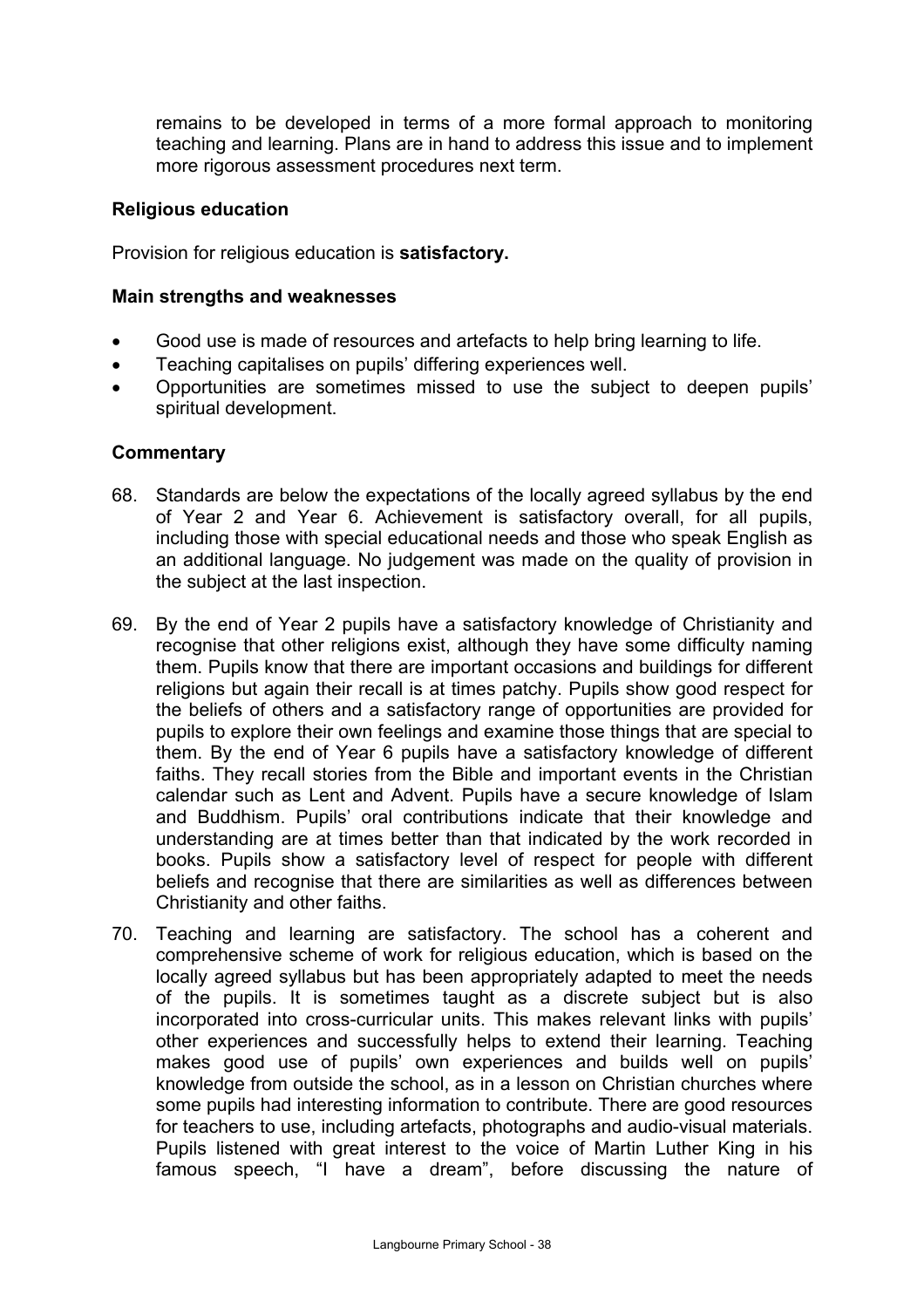remains to be developed in terms of a more formal approach to monitoring teaching and learning. Plans are in hand to address this issue and to implement more rigorous assessment procedures next term.

#### **Religious education**

Provision for religious education is **satisfactory.** 

#### **Main strengths and weaknesses**

- Good use is made of resources and artefacts to help bring learning to life.
- Teaching capitalises on pupils' differing experiences well.
- Opportunities are sometimes missed to use the subject to deepen pupils' spiritual development.

#### **Commentary**

- 68. Standards are below the expectations of the locally agreed syllabus by the end of Year 2 and Year 6. Achievement is satisfactory overall, for all pupils, including those with special educational needs and those who speak English as an additional language. No judgement was made on the quality of provision in the subject at the last inspection.
- 69. By the end of Year 2 pupils have a satisfactory knowledge of Christianity and recognise that other religions exist, although they have some difficulty naming them. Pupils know that there are important occasions and buildings for different religions but again their recall is at times patchy. Pupils show good respect for the beliefs of others and a satisfactory range of opportunities are provided for pupils to explore their own feelings and examine those things that are special to them. By the end of Year 6 pupils have a satisfactory knowledge of different faiths. They recall stories from the Bible and important events in the Christian calendar such as Lent and Advent. Pupils have a secure knowledge of Islam and Buddhism. Pupils' oral contributions indicate that their knowledge and understanding are at times better than that indicated by the work recorded in books. Pupils show a satisfactory level of respect for people with different beliefs and recognise that there are similarities as well as differences between Christianity and other faiths.
- 70. Teaching and learning are satisfactory. The school has a coherent and comprehensive scheme of work for religious education, which is based on the locally agreed syllabus but has been appropriately adapted to meet the needs of the pupils. It is sometimes taught as a discrete subject but is also incorporated into cross-curricular units. This makes relevant links with pupils' other experiences and successfully helps to extend their learning. Teaching makes good use of pupils' own experiences and builds well on pupils' knowledge from outside the school, as in a lesson on Christian churches where some pupils had interesting information to contribute. There are good resources for teachers to use, including artefacts, photographs and audio-visual materials. Pupils listened with great interest to the voice of Martin Luther King in his famous speech, "I have a dream", before discussing the nature of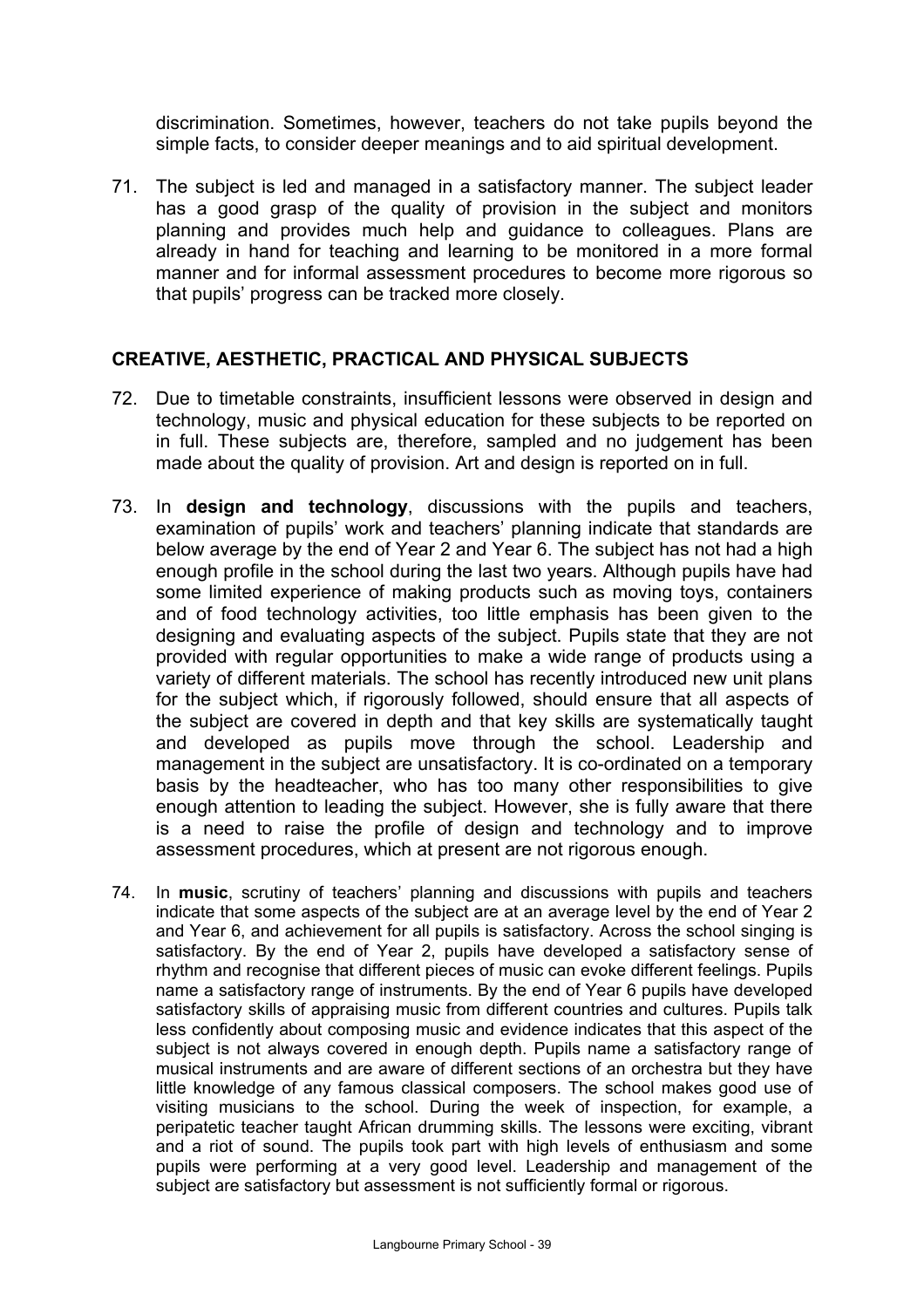discrimination. Sometimes, however, teachers do not take pupils beyond the simple facts, to consider deeper meanings and to aid spiritual development.

71. The subject is led and managed in a satisfactory manner. The subject leader has a good grasp of the quality of provision in the subject and monitors planning and provides much help and guidance to colleagues. Plans are already in hand for teaching and learning to be monitored in a more formal manner and for informal assessment procedures to become more rigorous so that pupils' progress can be tracked more closely.

## **CREATIVE, AESTHETIC, PRACTICAL AND PHYSICAL SUBJECTS**

- 72. Due to timetable constraints, insufficient lessons were observed in design and technology, music and physical education for these subjects to be reported on in full. These subjects are, therefore, sampled and no judgement has been made about the quality of provision. Art and design is reported on in full.
- 73. In **design and technology**, discussions with the pupils and teachers, examination of pupils' work and teachers' planning indicate that standards are below average by the end of Year 2 and Year 6. The subject has not had a high enough profile in the school during the last two years. Although pupils have had some limited experience of making products such as moving toys, containers and of food technology activities, too little emphasis has been given to the designing and evaluating aspects of the subject. Pupils state that they are not provided with regular opportunities to make a wide range of products using a variety of different materials. The school has recently introduced new unit plans for the subject which, if rigorously followed, should ensure that all aspects of the subject are covered in depth and that key skills are systematically taught and developed as pupils move through the school. Leadership and management in the subject are unsatisfactory. It is co-ordinated on a temporary basis by the headteacher, who has too many other responsibilities to give enough attention to leading the subject. However, she is fully aware that there is a need to raise the profile of design and technology and to improve assessment procedures, which at present are not rigorous enough.
- 74. In **music**, scrutiny of teachers' planning and discussions with pupils and teachers indicate that some aspects of the subject are at an average level by the end of Year 2 and Year 6, and achievement for all pupils is satisfactory. Across the school singing is satisfactory. By the end of Year 2, pupils have developed a satisfactory sense of rhythm and recognise that different pieces of music can evoke different feelings. Pupils name a satisfactory range of instruments. By the end of Year 6 pupils have developed satisfactory skills of appraising music from different countries and cultures. Pupils talk less confidently about composing music and evidence indicates that this aspect of the subject is not always covered in enough depth. Pupils name a satisfactory range of musical instruments and are aware of different sections of an orchestra but they have little knowledge of any famous classical composers. The school makes good use of visiting musicians to the school. During the week of inspection, for example, a peripatetic teacher taught African drumming skills. The lessons were exciting, vibrant and a riot of sound. The pupils took part with high levels of enthusiasm and some pupils were performing at a very good level. Leadership and management of the subject are satisfactory but assessment is not sufficiently formal or rigorous.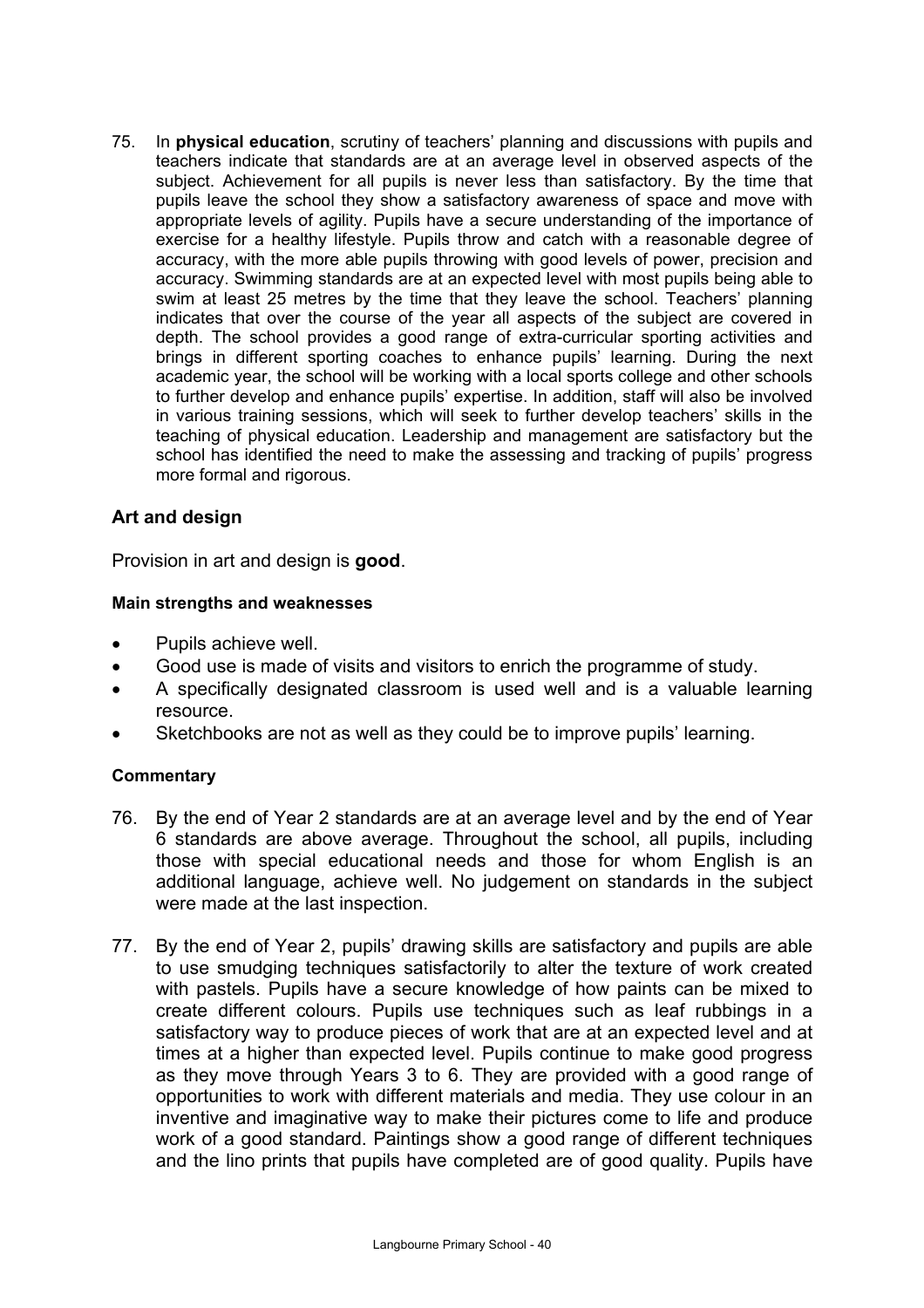75. In **physical education**, scrutiny of teachers' planning and discussions with pupils and teachers indicate that standards are at an average level in observed aspects of the subject. Achievement for all pupils is never less than satisfactory. By the time that pupils leave the school they show a satisfactory awareness of space and move with appropriate levels of agility. Pupils have a secure understanding of the importance of exercise for a healthy lifestyle. Pupils throw and catch with a reasonable degree of accuracy, with the more able pupils throwing with good levels of power, precision and accuracy. Swimming standards are at an expected level with most pupils being able to swim at least 25 metres by the time that they leave the school. Teachers' planning indicates that over the course of the year all aspects of the subject are covered in depth. The school provides a good range of extra-curricular sporting activities and brings in different sporting coaches to enhance pupils' learning. During the next academic year, the school will be working with a local sports college and other schools to further develop and enhance pupils' expertise. In addition, staff will also be involved in various training sessions, which will seek to further develop teachers' skills in the teaching of physical education. Leadership and management are satisfactory but the school has identified the need to make the assessing and tracking of pupils' progress more formal and rigorous.

# **Art and design**

Provision in art and design is **good**.

#### **Main strengths and weaknesses**

- Pupils achieve well.
- Good use is made of visits and visitors to enrich the programme of study.
- A specifically designated classroom is used well and is a valuable learning resource.
- Sketchbooks are not as well as they could be to improve pupils' learning.

## **Commentary**

- 76. By the end of Year 2 standards are at an average level and by the end of Year 6 standards are above average. Throughout the school, all pupils, including those with special educational needs and those for whom English is an additional language, achieve well. No judgement on standards in the subject were made at the last inspection.
- 77. By the end of Year 2, pupils' drawing skills are satisfactory and pupils are able to use smudging techniques satisfactorily to alter the texture of work created with pastels. Pupils have a secure knowledge of how paints can be mixed to create different colours. Pupils use techniques such as leaf rubbings in a satisfactory way to produce pieces of work that are at an expected level and at times at a higher than expected level. Pupils continue to make good progress as they move through Years 3 to 6. They are provided with a good range of opportunities to work with different materials and media. They use colour in an inventive and imaginative way to make their pictures come to life and produce work of a good standard. Paintings show a good range of different techniques and the lino prints that pupils have completed are of good quality. Pupils have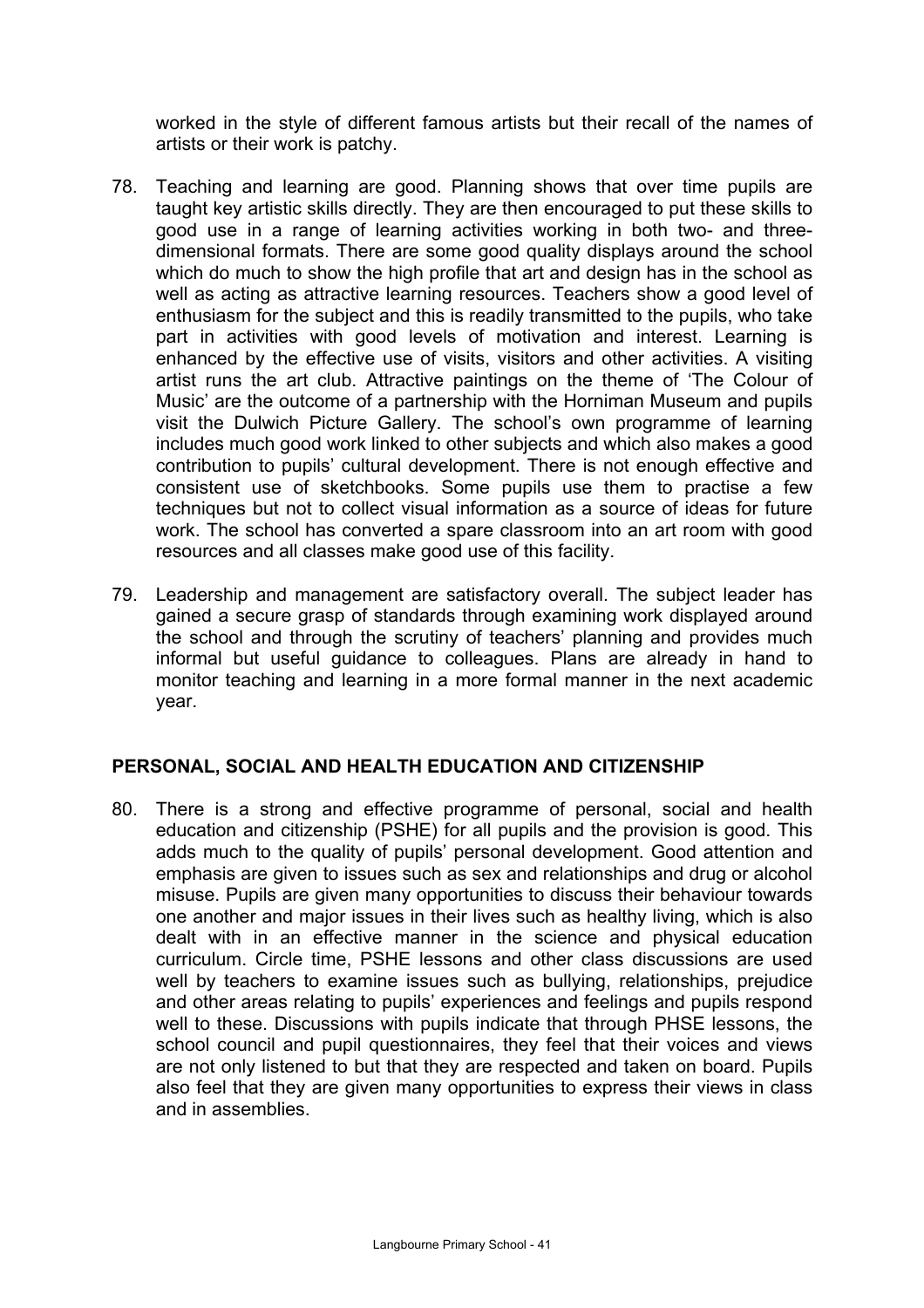worked in the style of different famous artists but their recall of the names of artists or their work is patchy.

- 78. Teaching and learning are good. Planning shows that over time pupils are taught key artistic skills directly. They are then encouraged to put these skills to good use in a range of learning activities working in both two- and threedimensional formats. There are some good quality displays around the school which do much to show the high profile that art and design has in the school as well as acting as attractive learning resources. Teachers show a good level of enthusiasm for the subject and this is readily transmitted to the pupils, who take part in activities with good levels of motivation and interest. Learning is enhanced by the effective use of visits, visitors and other activities. A visiting artist runs the art club. Attractive paintings on the theme of 'The Colour of Music' are the outcome of a partnership with the Horniman Museum and pupils visit the Dulwich Picture Gallery. The school's own programme of learning includes much good work linked to other subjects and which also makes a good contribution to pupils' cultural development. There is not enough effective and consistent use of sketchbooks. Some pupils use them to practise a few techniques but not to collect visual information as a source of ideas for future work. The school has converted a spare classroom into an art room with good resources and all classes make good use of this facility.
- 79. Leadership and management are satisfactory overall. The subject leader has gained a secure grasp of standards through examining work displayed around the school and through the scrutiny of teachers' planning and provides much informal but useful guidance to colleagues. Plans are already in hand to monitor teaching and learning in a more formal manner in the next academic year.

## **PERSONAL, SOCIAL AND HEALTH EDUCATION AND CITIZENSHIP**

80. There is a strong and effective programme of personal, social and health education and citizenship (PSHE) for all pupils and the provision is good. This adds much to the quality of pupils' personal development. Good attention and emphasis are given to issues such as sex and relationships and drug or alcohol misuse. Pupils are given many opportunities to discuss their behaviour towards one another and major issues in their lives such as healthy living, which is also dealt with in an effective manner in the science and physical education curriculum. Circle time, PSHE lessons and other class discussions are used well by teachers to examine issues such as bullying, relationships, prejudice and other areas relating to pupils' experiences and feelings and pupils respond well to these. Discussions with pupils indicate that through PHSE lessons, the school council and pupil questionnaires, they feel that their voices and views are not only listened to but that they are respected and taken on board. Pupils also feel that they are given many opportunities to express their views in class and in assemblies.